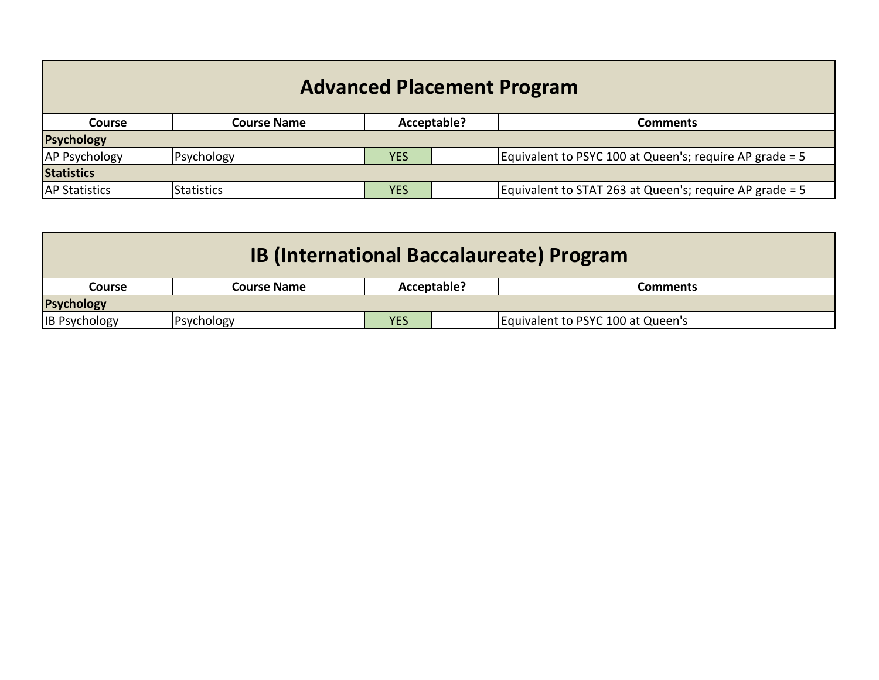| <b>Advanced Placement Program</b> |                    |            |             |                                                         |  |
|-----------------------------------|--------------------|------------|-------------|---------------------------------------------------------|--|
| <b>Course</b>                     | <b>Course Name</b> |            | Acceptable? | Comments                                                |  |
| <b>Psychology</b>                 |                    |            |             |                                                         |  |
| <b>AP Psychology</b>              | Psychology         | <b>YES</b> |             | Equivalent to PSYC 100 at Queen's; require AP grade = 5 |  |
| <b>Statistics</b>                 |                    |            |             |                                                         |  |
| <b>AP Statistics</b>              | <b>Statistics</b>  | <b>YES</b> |             | Equivalent to STAT 263 at Queen's; require AP grade = 5 |  |

| <b>IB (International Baccalaureate) Program</b> |             |             |  |                                   |  |  |  |
|-------------------------------------------------|-------------|-------------|--|-----------------------------------|--|--|--|
| Course                                          | Course Name | Acceptable? |  | Comments                          |  |  |  |
| <b>Psychology</b>                               |             |             |  |                                   |  |  |  |
| <b>IB Psychology</b>                            | Psychology  | <b>YES</b>  |  | Equivalent to PSYC 100 at Queen's |  |  |  |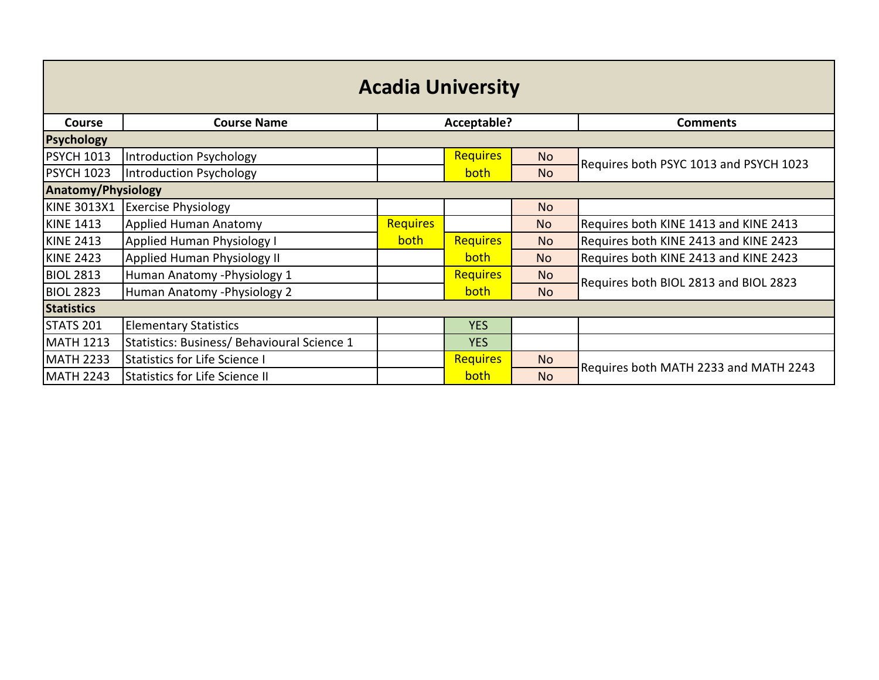| <b>Acadia University</b> |                                             |                 |                 |           |                                        |  |
|--------------------------|---------------------------------------------|-----------------|-----------------|-----------|----------------------------------------|--|
| <b>Course</b>            | <b>Course Name</b>                          |                 | Acceptable?     |           | <b>Comments</b>                        |  |
| <b>Psychology</b>        |                                             |                 |                 |           |                                        |  |
| <b>PSYCH 1013</b>        | Introduction Psychology                     |                 | <b>Requires</b> | <b>No</b> | Requires both PSYC 1013 and PSYCH 1023 |  |
| <b>PSYCH 1023</b>        | Introduction Psychology                     |                 | both            | <b>No</b> |                                        |  |
|                          | <b>Anatomy/Physiology</b>                   |                 |                 |           |                                        |  |
| <b>KINE 3013X1</b>       | <b>Exercise Physiology</b>                  |                 |                 | <b>No</b> |                                        |  |
| <b>KINE 1413</b>         | Applied Human Anatomy                       | <b>Requires</b> |                 | <b>No</b> | Requires both KINE 1413 and KINE 2413  |  |
| <b>KINE 2413</b>         | <b>Applied Human Physiology I</b>           | both            | <b>Requires</b> | <b>No</b> | Requires both KINE 2413 and KINE 2423  |  |
| <b>KINE 2423</b>         | Applied Human Physiology II                 |                 | both            | <b>No</b> | Requires both KINE 2413 and KINE 2423  |  |
| <b>BIOL 2813</b>         | Human Anatomy - Physiology 1                |                 | <b>Requires</b> | <b>No</b> | Requires both BIOL 2813 and BIOL 2823  |  |
| <b>BIOL 2823</b>         | Human Anatomy - Physiology 2                |                 | <b>both</b>     | <b>No</b> |                                        |  |
| <b>Statistics</b>        |                                             |                 |                 |           |                                        |  |
| STATS 201                | <b>Elementary Statistics</b>                |                 | <b>YES</b>      |           |                                        |  |
| <b>MATH 1213</b>         | Statistics: Business/ Behavioural Science 1 |                 | <b>YES</b>      |           |                                        |  |
| <b>MATH 2233</b>         | <b>Statistics for Life Science I</b>        |                 | <b>Requires</b> | <b>No</b> |                                        |  |
| <b>MATH 2243</b>         | <b>Statistics for Life Science II</b>       |                 | both            | <b>No</b> | Requires both MATH 2233 and MATH 2243  |  |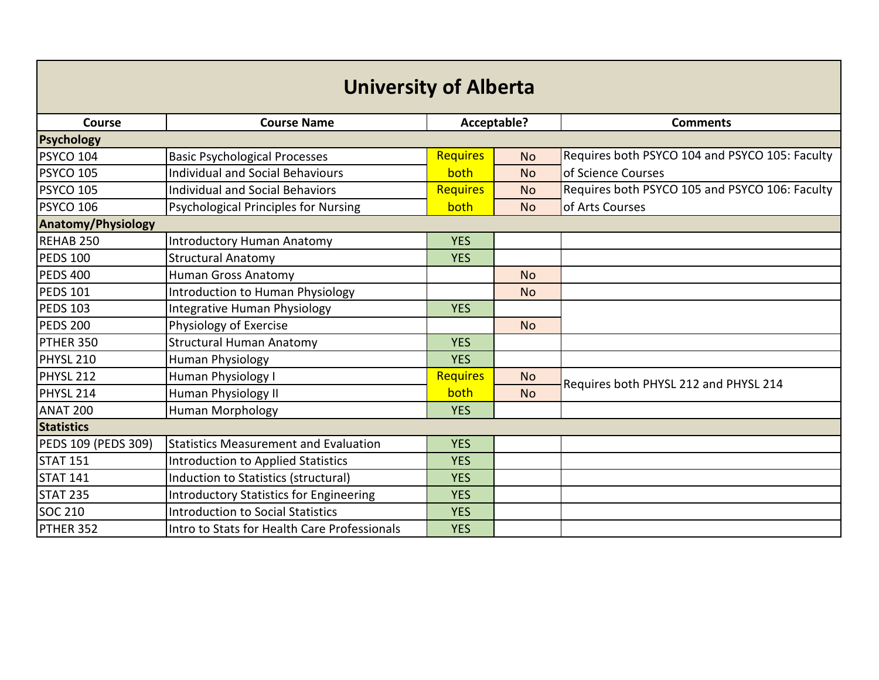| <b>University of Alberta</b> |                                                |                 |             |                                                |  |  |
|------------------------------|------------------------------------------------|-----------------|-------------|------------------------------------------------|--|--|
| Course                       | <b>Course Name</b>                             |                 | Acceptable? | <b>Comments</b>                                |  |  |
| <b>Psychology</b>            |                                                |                 |             |                                                |  |  |
| PSYCO 104                    | <b>Basic Psychological Processes</b>           | <b>Requires</b> | <b>No</b>   | Requires both PSYCO 104 and PSYCO 105: Faculty |  |  |
| <b>PSYCO 105</b>             | <b>Individual and Social Behaviours</b>        | both            | <b>No</b>   | of Science Courses                             |  |  |
| PSYCO 105                    | <b>Individual and Social Behaviors</b>         | <b>Requires</b> | <b>No</b>   | Requires both PSYCO 105 and PSYCO 106: Faculty |  |  |
| PSYCO 106                    | <b>Psychological Principles for Nursing</b>    | both            | <b>No</b>   | of Arts Courses                                |  |  |
| <b>Anatomy/Physiology</b>    |                                                |                 |             |                                                |  |  |
| REHAB 250                    | <b>Introductory Human Anatomy</b>              | <b>YES</b>      |             |                                                |  |  |
| <b>PEDS 100</b>              | <b>Structural Anatomy</b>                      | <b>YES</b>      |             |                                                |  |  |
| <b>PEDS 400</b>              | <b>Human Gross Anatomy</b>                     |                 | <b>No</b>   |                                                |  |  |
| <b>PEDS 101</b>              | Introduction to Human Physiology               |                 | <b>No</b>   |                                                |  |  |
| <b>PEDS 103</b>              | Integrative Human Physiology                   | <b>YES</b>      |             |                                                |  |  |
| <b>PEDS 200</b>              | Physiology of Exercise                         |                 | <b>No</b>   |                                                |  |  |
| PTHER 350                    | <b>Structural Human Anatomy</b>                | <b>YES</b>      |             |                                                |  |  |
| PHYSL 210                    | <b>Human Physiology</b>                        | <b>YES</b>      |             |                                                |  |  |
| <b>PHYSL 212</b>             | Human Physiology I                             | <b>Requires</b> | <b>No</b>   | Requires both PHYSL 212 and PHYSL 214          |  |  |
| PHYSL 214                    | Human Physiology II                            | both            | <b>No</b>   |                                                |  |  |
| <b>ANAT 200</b>              | Human Morphology                               | <b>YES</b>      |             |                                                |  |  |
| <b>Statistics</b>            |                                                |                 |             |                                                |  |  |
| PEDS 109 (PEDS 309)          | <b>Statistics Measurement and Evaluation</b>   | <b>YES</b>      |             |                                                |  |  |
| <b>STAT 151</b>              | <b>Introduction to Applied Statistics</b>      | <b>YES</b>      |             |                                                |  |  |
| <b>STAT 141</b>              | Induction to Statistics (structural)           | <b>YES</b>      |             |                                                |  |  |
| <b>STAT 235</b>              | <b>Introductory Statistics for Engineering</b> | <b>YES</b>      |             |                                                |  |  |
| <b>SOC 210</b>               | <b>Introduction to Social Statistics</b>       | <b>YES</b>      |             |                                                |  |  |
| PTHER 352                    | Intro to Stats for Health Care Professionals   | <b>YES</b>      |             |                                                |  |  |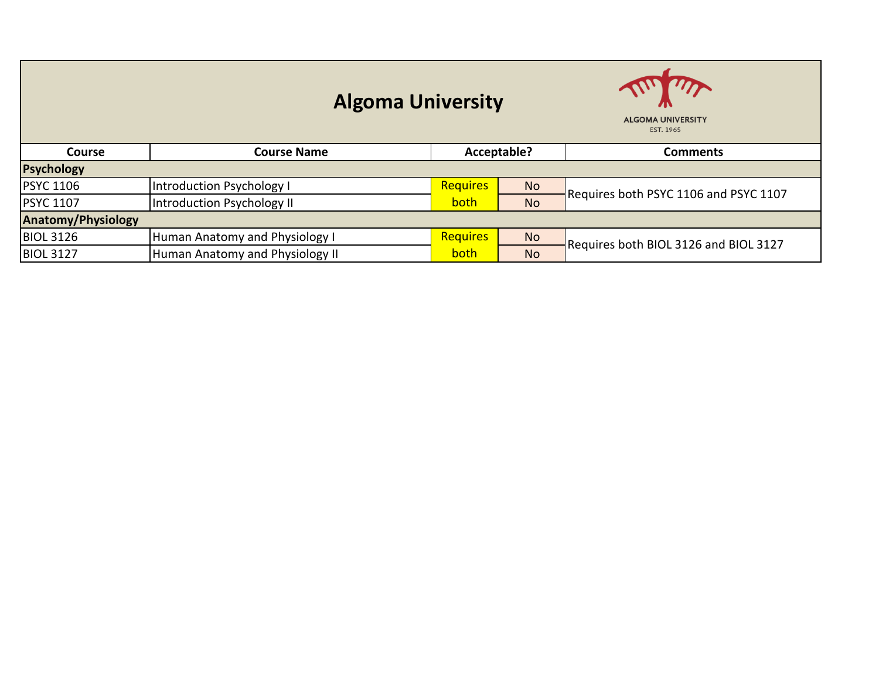| <b>Algoma University</b>  |                                 |                 |             | $\mathbf{A}$<br><b>ALGOMA UNIVERSITY</b><br>EST. 1965 |
|---------------------------|---------------------------------|-----------------|-------------|-------------------------------------------------------|
| <b>Course</b>             | <b>Course Name</b>              |                 | Acceptable? | <b>Comments</b>                                       |
| <b>Psychology</b>         |                                 |                 |             |                                                       |
| <b>PSYC 1106</b>          | Introduction Psychology I       | <b>Requires</b> | <b>No</b>   | Requires both PSYC 1106 and PSYC 1107                 |
| <b>PSYC 1107</b>          | Introduction Psychology II      | both            | <b>No</b>   |                                                       |
| <b>Anatomy/Physiology</b> |                                 |                 |             |                                                       |
| <b>BIOL 3126</b>          | Human Anatomy and Physiology I  | <b>Requires</b> | <b>No</b>   | Requires both BIOL 3126 and BIOL 3127                 |
| <b>BIOL 3127</b>          | Human Anatomy and Physiology II | both            | <b>No</b>   |                                                       |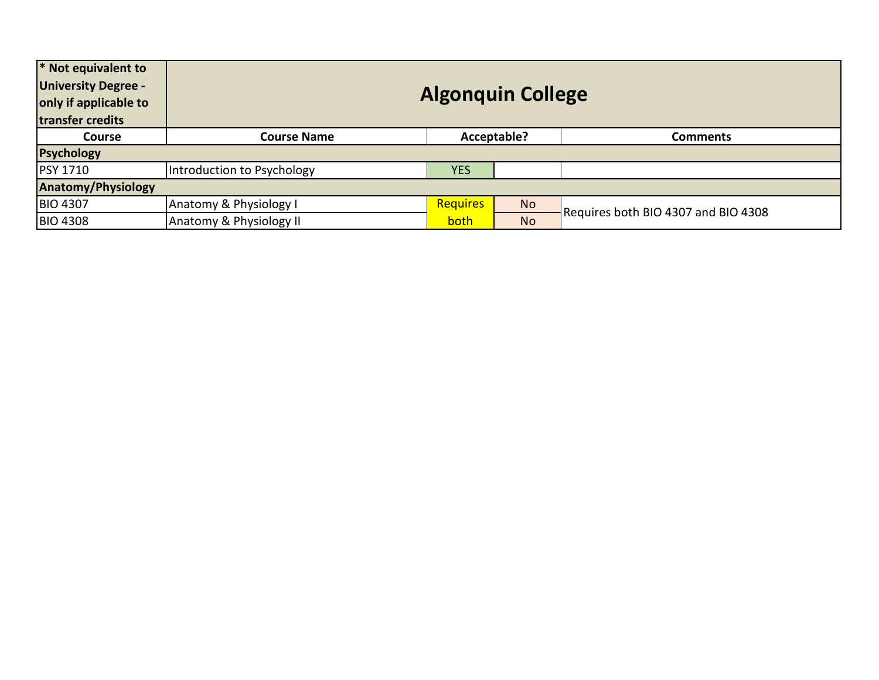| * Not equivalent to<br><b>University Degree -</b><br>only if applicable to<br>transfer credits | <b>Algonquin College</b>   |                 |             |                                     |  |
|------------------------------------------------------------------------------------------------|----------------------------|-----------------|-------------|-------------------------------------|--|
| <b>Course</b>                                                                                  | <b>Course Name</b>         |                 | Acceptable? | <b>Comments</b>                     |  |
| <b>Psychology</b>                                                                              |                            |                 |             |                                     |  |
| <b>PSY 1710</b>                                                                                | Introduction to Psychology | <b>YES</b>      |             |                                     |  |
| <b>Anatomy/Physiology</b>                                                                      |                            |                 |             |                                     |  |
| <b>BIO 4307</b>                                                                                | Anatomy & Physiology I     | <b>Requires</b> | <b>No</b>   | Requires both BIO 4307 and BIO 4308 |  |
| <b>BIO 4308</b>                                                                                | Anatomy & Physiology II    | both            | <b>No</b>   |                                     |  |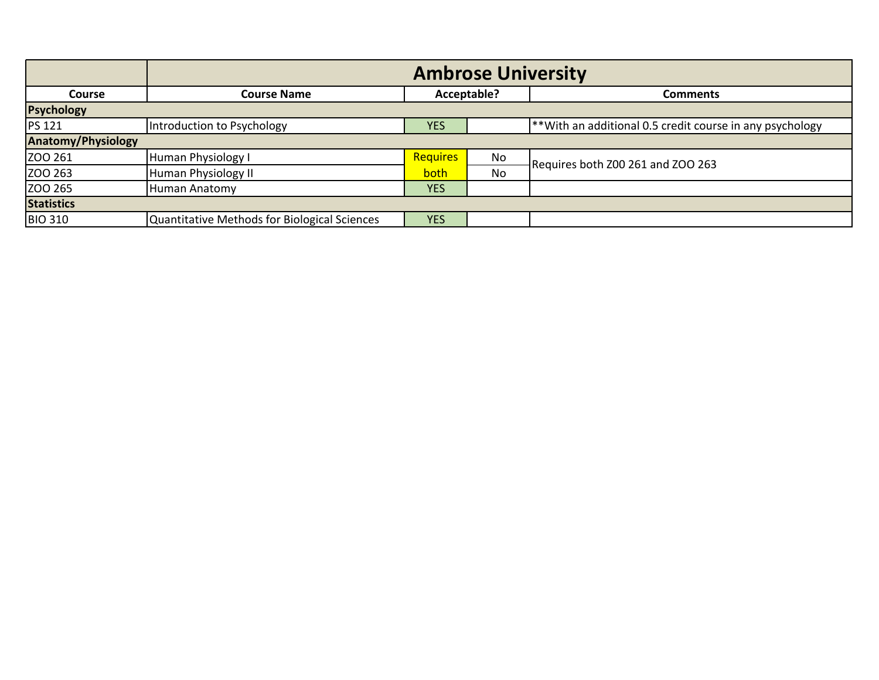|                           | <b>Ambrose University</b>                    |            |             |                                                          |  |
|---------------------------|----------------------------------------------|------------|-------------|----------------------------------------------------------|--|
| <b>Course</b>             | <b>Course Name</b>                           |            | Acceptable? | <b>Comments</b>                                          |  |
| Psychology                |                                              |            |             |                                                          |  |
| <b>PS 121</b>             | Introduction to Psychology                   | <b>YES</b> |             | **With an additional 0.5 credit course in any psychology |  |
| <b>Anatomy/Physiology</b> |                                              |            |             |                                                          |  |
| ZOO 261                   | Human Physiology I                           | Requires   | No          | Requires both Z00 261 and ZOO 263                        |  |
| ZOO 263                   | Human Physiology II                          | both       | No          |                                                          |  |
| ZOO 265                   | Human Anatomy                                | <b>YES</b> |             |                                                          |  |
| <b>Statistics</b>         |                                              |            |             |                                                          |  |
| <b>BIO 310</b>            | Quantitative Methods for Biological Sciences | <b>YES</b> |             |                                                          |  |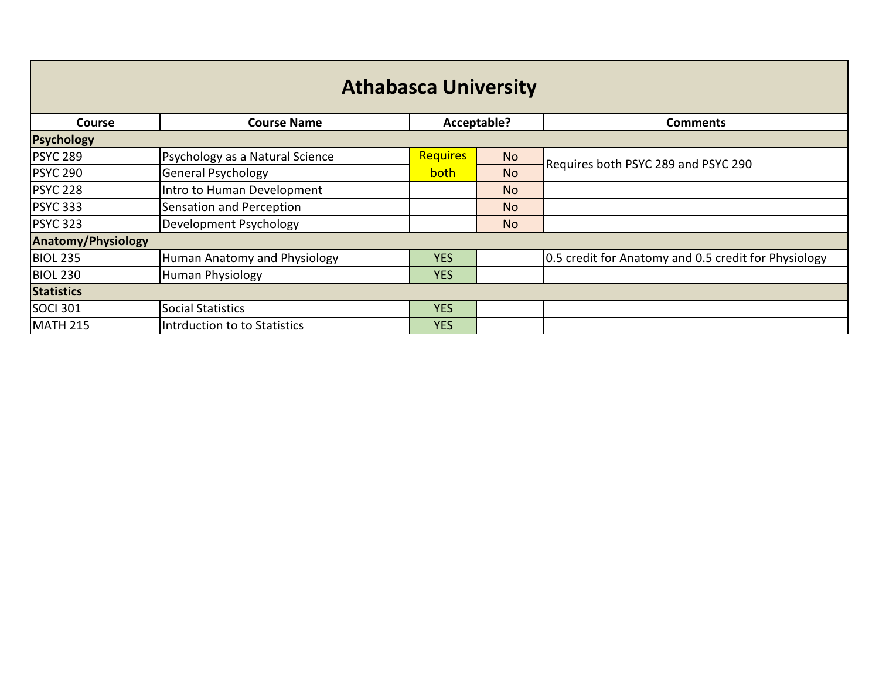| <b>Athabasca University</b> |                                 |                 |             |                                                      |  |  |
|-----------------------------|---------------------------------|-----------------|-------------|------------------------------------------------------|--|--|
| <b>Course</b>               | <b>Course Name</b>              |                 | Acceptable? | <b>Comments</b>                                      |  |  |
| Psychology                  |                                 |                 |             |                                                      |  |  |
| <b>PSYC 289</b>             | Psychology as a Natural Science | <b>Requires</b> | No          | Requires both PSYC 289 and PSYC 290                  |  |  |
| <b>PSYC 290</b>             | <b>General Psychology</b>       | <b>both</b>     | <b>No</b>   |                                                      |  |  |
| <b>PSYC 228</b>             | Intro to Human Development      |                 | No          |                                                      |  |  |
| <b>PSYC 333</b>             | Sensation and Perception        |                 | <b>No</b>   |                                                      |  |  |
| <b>PSYC 323</b>             | Development Psychology          |                 | No          |                                                      |  |  |
| <b>Anatomy/Physiology</b>   |                                 |                 |             |                                                      |  |  |
| <b>BIOL 235</b>             | Human Anatomy and Physiology    | <b>YES</b>      |             | 0.5 credit for Anatomy and 0.5 credit for Physiology |  |  |
| <b>BIOL 230</b>             | Human Physiology                | <b>YES</b>      |             |                                                      |  |  |
| <b>Statistics</b>           |                                 |                 |             |                                                      |  |  |
| <b>SOCI 301</b>             | <b>Social Statistics</b>        | <b>YES</b>      |             |                                                      |  |  |
| <b>MATH 215</b>             | Intrduction to to Statistics    | <b>YES</b>      |             |                                                      |  |  |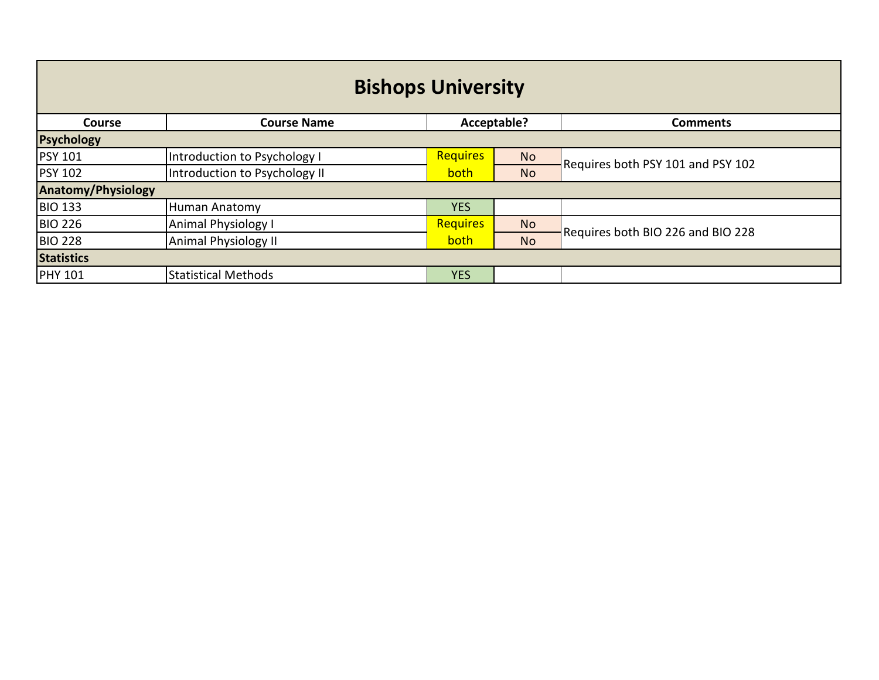| <b>Bishops University</b> |                               |                 |             |                                   |  |  |
|---------------------------|-------------------------------|-----------------|-------------|-----------------------------------|--|--|
| <b>Course</b>             | <b>Course Name</b>            |                 | Acceptable? | <b>Comments</b>                   |  |  |
| <b>Psychology</b>         |                               |                 |             |                                   |  |  |
| <b>PSY 101</b>            | Introduction to Psychology I  | <b>Requires</b> | <b>No</b>   | Requires both PSY 101 and PSY 102 |  |  |
| <b>PSY 102</b>            | Introduction to Psychology II | both            | <b>No</b>   |                                   |  |  |
| <b>Anatomy/Physiology</b> |                               |                 |             |                                   |  |  |
| <b>BIO 133</b>            | Human Anatomy                 | <b>YES</b>      |             |                                   |  |  |
| <b>BIO 226</b>            | <b>Animal Physiology I</b>    | <b>Requires</b> | <b>No</b>   | Requires both BIO 226 and BIO 228 |  |  |
| <b>BIO 228</b>            | <b>Animal Physiology II</b>   | both            | <b>No</b>   |                                   |  |  |
| <b>Statistics</b>         |                               |                 |             |                                   |  |  |
| <b>PHY 101</b>            | <b>Statistical Methods</b>    | <b>YES</b>      |             |                                   |  |  |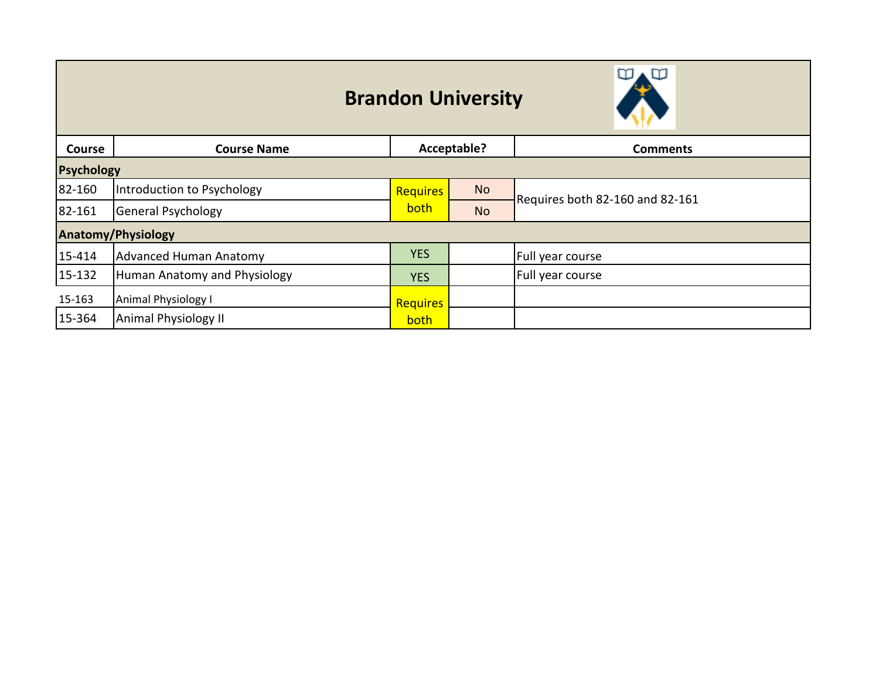## **Brandon University**



| <b>Course</b> | <b>Course Name</b>           |            | Acceptable? | <b>Comments</b>                 |  |  |
|---------------|------------------------------|------------|-------------|---------------------------------|--|--|
|               | <b>Psychology</b>            |            |             |                                 |  |  |
| 82-160        | Introduction to Psychology   | Requires   | <b>No</b>   | Requires both 82-160 and 82-161 |  |  |
| 82-161        | General Psychology           | both       | <b>No</b>   |                                 |  |  |
|               | <b>Anatomy/Physiology</b>    |            |             |                                 |  |  |
| 15-414        | Advanced Human Anatomy       | <b>YES</b> |             | Full year course                |  |  |
| 15-132        | Human Anatomy and Physiology | <b>YES</b> |             | Full year course                |  |  |
| 15-163        | Animal Physiology I          | Requires   |             |                                 |  |  |
| 15-364        | Animal Physiology II         | both       |             |                                 |  |  |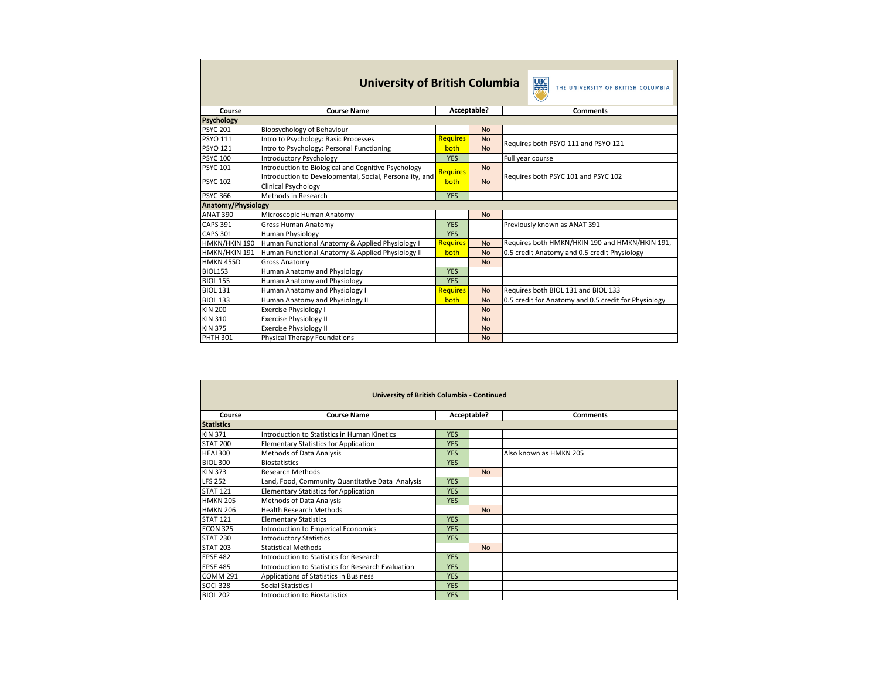|                           | <b>University of British Columbia</b>                   |                 |             | <b>UBC</b><br>THE UNIVERSITY OF BRITISH COLUMBIA     |  |
|---------------------------|---------------------------------------------------------|-----------------|-------------|------------------------------------------------------|--|
| Course                    | <b>Course Name</b>                                      |                 | Acceptable? | <b>Comments</b>                                      |  |
| <b>Psychology</b>         |                                                         |                 |             |                                                      |  |
| <b>PSYC 201</b>           | <b>Biopsychology of Behaviour</b>                       |                 | <b>No</b>   |                                                      |  |
| <b>PSYO 111</b>           | Intro to Psychology: Basic Processes                    | <b>Requires</b> | <b>No</b>   | Requires both PSYO 111 and PSYO 121                  |  |
| <b>PSYO 121</b>           | Intro to Psychology: Personal Functioning               | both            | <b>No</b>   |                                                      |  |
| <b>PSYC 100</b>           | <b>Introductory Psychology</b>                          | <b>YES</b>      |             | Full year course                                     |  |
| <b>PSYC 101</b>           | Introduction to Biological and Cognitive Psychology     | <b>Requires</b> | <b>No</b>   |                                                      |  |
| <b>PSYC 102</b>           | Introduction to Developmental, Social, Personality, and | both            | <b>No</b>   | Requires both PSYC 101 and PSYC 102                  |  |
|                           | <b>Clinical Psychology</b>                              |                 |             |                                                      |  |
| <b>PSYC 366</b>           | Methods in Research                                     | <b>YES</b>      |             |                                                      |  |
| <b>Anatomy/Physiology</b> |                                                         |                 |             |                                                      |  |
| ANAT 390                  | Microscopic Human Anatomy                               |                 | <b>No</b>   |                                                      |  |
| <b>CAPS 391</b>           | <b>Gross Human Anatomy</b>                              | <b>YES</b>      |             | Previously known as ANAT 391                         |  |
| <b>CAPS 301</b>           | Human Physiology                                        | <b>YES</b>      |             |                                                      |  |
| HMKN/HKIN 190             | Human Functional Anatomy & Applied Physiology I         | <b>Requires</b> | <b>No</b>   | Requires both HMKN/HKIN 190 and HMKN/HKIN 191,       |  |
| HMKN/HKIN 191             | Human Functional Anatomy & Applied Physiology II        | both            | <b>No</b>   | 0.5 credit Anatomy and 0.5 credit Physiology         |  |
| HMKN 455D                 | <b>Gross Anatomy</b>                                    |                 | <b>No</b>   |                                                      |  |
| <b>BIOL153</b>            | <b>Human Anatomy and Physiology</b>                     | <b>YES</b>      |             |                                                      |  |
| <b>BIOL 155</b>           | Human Anatomy and Physiology                            | <b>YES</b>      |             |                                                      |  |
| <b>BIOL 131</b>           | Human Anatomy and Physiology I                          | <b>Requires</b> | <b>No</b>   | Requires both BIOL 131 and BIOL 133                  |  |
| <b>BIOL 133</b>           | Human Anatomy and Physiology II                         | both            | <b>No</b>   | 0.5 credit for Anatomy and 0.5 credit for Physiology |  |
| <b>KIN 200</b>            | <b>Exercise Physiology I</b>                            |                 | <b>No</b>   |                                                      |  |
| <b>KIN 310</b>            | <b>Exercise Physiology II</b>                           |                 | <b>No</b>   |                                                      |  |
| <b>KIN 375</b>            | <b>Exercise Physiology II</b>                           |                 | <b>No</b>   |                                                      |  |
| <b>PHTH 301</b>           | <b>Physical Therapy Foundations</b>                     |                 | <b>No</b>   |                                                      |  |

|                   | <b>University of British Columbia - Continued</b>  |            |             |                        |  |  |  |  |
|-------------------|----------------------------------------------------|------------|-------------|------------------------|--|--|--|--|
| Course            | <b>Course Name</b>                                 |            | Acceptable? | <b>Comments</b>        |  |  |  |  |
| <b>Statistics</b> |                                                    |            |             |                        |  |  |  |  |
| <b>KIN 371</b>    | Introduction to Statistics in Human Kinetics       | <b>YES</b> |             |                        |  |  |  |  |
| <b>STAT 200</b>   | <b>Elementary Statistics for Application</b>       | <b>YES</b> |             |                        |  |  |  |  |
| HEAL300           | <b>Methods of Data Analysis</b>                    | <b>YES</b> |             | Also known as HMKN 205 |  |  |  |  |
| <b>BIOL 300</b>   | <b>Biostatistics</b>                               | <b>YES</b> |             |                        |  |  |  |  |
| <b>KIN 373</b>    | <b>Research Methods</b>                            |            | <b>No</b>   |                        |  |  |  |  |
| <b>LFS 252</b>    | Land, Food, Community Quantitative Data Analysis   | <b>YES</b> |             |                        |  |  |  |  |
| <b>STAT 121</b>   | <b>Elementary Statistics for Application</b>       | <b>YES</b> |             |                        |  |  |  |  |
| <b>HMKN 205</b>   | <b>Methods of Data Analysis</b>                    | <b>YES</b> |             |                        |  |  |  |  |
| <b>HMKN 206</b>   | <b>Health Research Methods</b>                     |            | <b>No</b>   |                        |  |  |  |  |
| <b>STAT 121</b>   | <b>Elementary Statistics</b>                       | <b>YES</b> |             |                        |  |  |  |  |
| ECON 325          | <b>Introduction to Emperical Economics</b>         | <b>YES</b> |             |                        |  |  |  |  |
| <b>STAT 230</b>   | <b>Introductory Statistics</b>                     | <b>YES</b> |             |                        |  |  |  |  |
| <b>STAT 203</b>   | <b>Statistical Methods</b>                         |            | <b>No</b>   |                        |  |  |  |  |
| <b>EPSE 482</b>   | Introduction to Statistics for Research            | <b>YES</b> |             |                        |  |  |  |  |
| <b>EPSE 485</b>   | Introduction to Statistics for Research Evaluation | <b>YES</b> |             |                        |  |  |  |  |
| COMM 291          | Applications of Statistics in Business             | <b>YES</b> |             |                        |  |  |  |  |
| <b>SOCI 328</b>   | Social Statistics I                                | <b>YES</b> |             |                        |  |  |  |  |
| <b>BIOL 202</b>   | <b>Introduction to Biostatistics</b>               | <b>YES</b> |             |                        |  |  |  |  |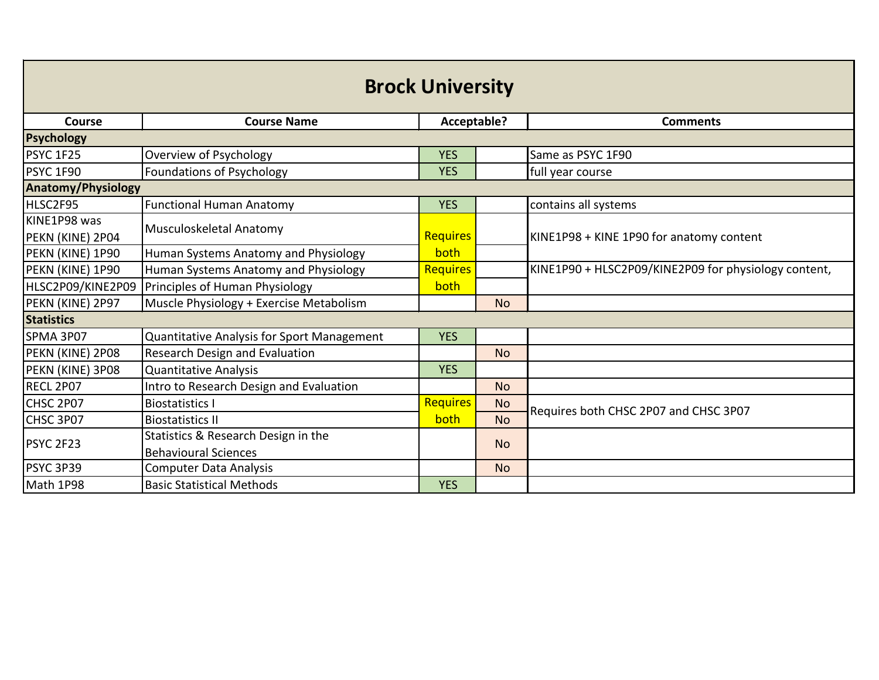| <b>Brock University</b>   |                                            |                 |           |                                                      |  |
|---------------------------|--------------------------------------------|-----------------|-----------|------------------------------------------------------|--|
| Course                    | <b>Course Name</b>                         | Acceptable?     |           | <b>Comments</b>                                      |  |
| <b>Psychology</b>         |                                            |                 |           |                                                      |  |
| PSYC 1F25                 | Overview of Psychology                     | <b>YES</b>      |           | Same as PSYC 1F90                                    |  |
| PSYC 1F90                 | Foundations of Psychology                  | <b>YES</b>      |           | full year course                                     |  |
| <b>Anatomy/Physiology</b> |                                            |                 |           |                                                      |  |
| HLSC2F95                  | <b>Functional Human Anatomy</b>            | <b>YES</b>      |           | contains all systems                                 |  |
| KINE1P98 was              | Musculoskeletal Anatomy                    |                 |           |                                                      |  |
| PEKN (KINE) 2P04          |                                            | <b>Requires</b> |           | KINE1P98 + KINE 1P90 for anatomy content             |  |
| PEKN (KINE) 1P90          | Human Systems Anatomy and Physiology       | both            |           |                                                      |  |
| PEKN (KINE) 1P90          | Human Systems Anatomy and Physiology       | <b>Requires</b> |           | KINE1P90 + HLSC2P09/KINE2P09 for physiology content, |  |
| HLSC2P09/KINE2P09         | Principles of Human Physiology             | both            |           |                                                      |  |
| PEKN (KINE) 2P97          | Muscle Physiology + Exercise Metabolism    |                 | <b>No</b> |                                                      |  |
| <b>Statistics</b>         |                                            |                 |           |                                                      |  |
| SPMA 3P07                 | Quantitative Analysis for Sport Management | <b>YES</b>      |           |                                                      |  |
| PEKN (KINE) 2P08          | Research Design and Evaluation             |                 | <b>No</b> |                                                      |  |
| PEKN (KINE) 3P08          | <b>Quantitative Analysis</b>               | <b>YES</b>      |           |                                                      |  |
| RECL 2P07                 | Intro to Research Design and Evaluation    |                 | <b>No</b> |                                                      |  |
| CHSC 2P07                 | <b>Biostatistics I</b>                     | <b>Requires</b> | <b>No</b> | Requires both CHSC 2P07 and CHSC 3P07                |  |
| CHSC 3P07                 | <b>Biostatistics II</b>                    | both            | <b>No</b> |                                                      |  |
|                           | Statistics & Research Design in the        |                 | <b>No</b> |                                                      |  |
| PSYC 2F23                 | <b>Behavioural Sciences</b>                |                 |           |                                                      |  |
| PSYC 3P39                 | <b>Computer Data Analysis</b>              |                 | <b>No</b> |                                                      |  |
| Math 1P98                 | <b>Basic Statistical Methods</b>           | <b>YES</b>      |           |                                                      |  |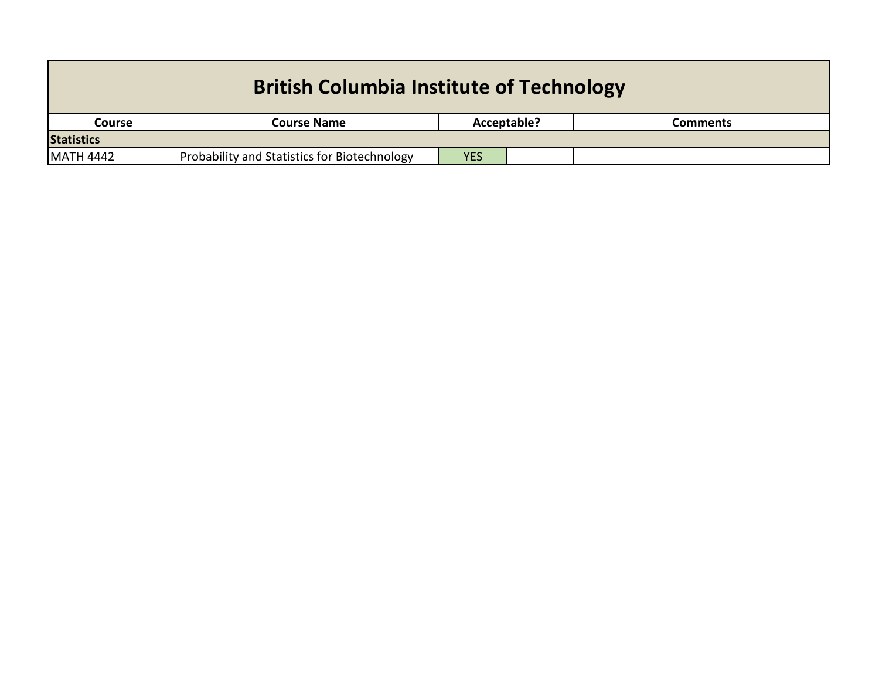| <b>British Columbia Institute of Technology</b> |                                                     |            |                                |  |  |
|-------------------------------------------------|-----------------------------------------------------|------------|--------------------------------|--|--|
| <b>Course</b>                                   | <b>Course Name</b>                                  |            | Acceptable?<br><b>Comments</b> |  |  |
| <b>Statistics</b>                               |                                                     |            |                                |  |  |
| <b>MATH 4442</b>                                | <b>Probability and Statistics for Biotechnology</b> | <b>YES</b> |                                |  |  |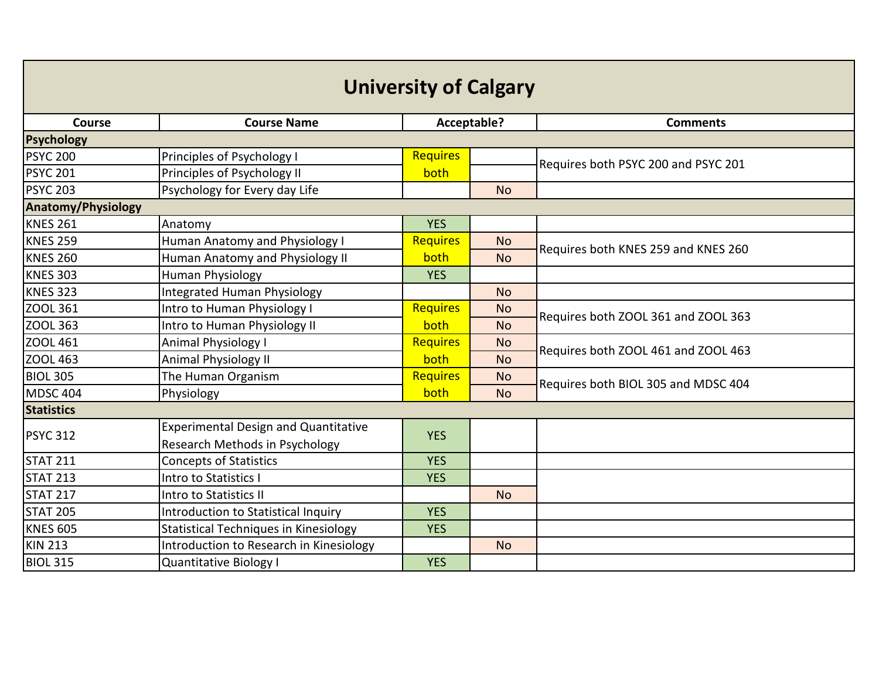| <b>University of Calgary</b> |                                              |                 |             |                                     |  |
|------------------------------|----------------------------------------------|-----------------|-------------|-------------------------------------|--|
| <b>Course</b>                | <b>Course Name</b>                           |                 | Acceptable? | <b>Comments</b>                     |  |
| <b>Psychology</b>            |                                              |                 |             |                                     |  |
| <b>PSYC 200</b>              | Principles of Psychology I                   | <b>Requires</b> |             | Requires both PSYC 200 and PSYC 201 |  |
| <b>PSYC 201</b>              | Principles of Psychology II                  | both            |             |                                     |  |
| <b>PSYC 203</b>              | Psychology for Every day Life                |                 | <b>No</b>   |                                     |  |
| <b>Anatomy/Physiology</b>    |                                              |                 |             |                                     |  |
| <b>KNES 261</b>              | Anatomy                                      | <b>YES</b>      |             |                                     |  |
| <b>KNES 259</b>              | Human Anatomy and Physiology I               | <b>Requires</b> | <b>No</b>   | Requires both KNES 259 and KNES 260 |  |
| <b>KNES 260</b>              | Human Anatomy and Physiology II              | both            | <b>No</b>   |                                     |  |
| <b>KNES 303</b>              | Human Physiology                             | <b>YES</b>      |             |                                     |  |
| <b>KNES 323</b>              | Integrated Human Physiology                  |                 | <b>No</b>   |                                     |  |
| ZOOL 361                     | Intro to Human Physiology I                  | <b>Requires</b> | <b>No</b>   | Requires both ZOOL 361 and ZOOL 363 |  |
| ZOOL 363                     | Intro to Human Physiology II                 | both            | <b>No</b>   |                                     |  |
| ZOOL 461                     | <b>Animal Physiology I</b>                   | <b>Requires</b> | <b>No</b>   | Requires both ZOOL 461 and ZOOL 463 |  |
| ZOOL 463                     | Animal Physiology II                         | both            | <b>No</b>   |                                     |  |
| <b>BIOL 305</b>              | The Human Organism                           | <b>Requires</b> | <b>No</b>   | Requires both BIOL 305 and MDSC 404 |  |
| <b>MDSC 404</b>              | Physiology                                   | both            | <b>No</b>   |                                     |  |
| <b>Statistics</b>            |                                              |                 |             |                                     |  |
| <b>PSYC 312</b>              | <b>Experimental Design and Quantitative</b>  | <b>YES</b>      |             |                                     |  |
|                              | Research Methods in Psychology               |                 |             |                                     |  |
| <b>STAT 211</b>              | <b>Concepts of Statistics</b>                | <b>YES</b>      |             |                                     |  |
| <b>STAT 213</b>              | Intro to Statistics I                        | <b>YES</b>      |             |                                     |  |
| <b>STAT 217</b>              | Intro to Statistics II                       |                 | <b>No</b>   |                                     |  |
| <b>STAT 205</b>              | Introduction to Statistical Inquiry          | <b>YES</b>      |             |                                     |  |
| <b>KNES 605</b>              | <b>Statistical Techniques in Kinesiology</b> | <b>YES</b>      |             |                                     |  |
| <b>KIN 213</b>               | Introduction to Research in Kinesiology      |                 | <b>No</b>   |                                     |  |
| <b>BIOL 315</b>              | Quantitative Biology I                       | <b>YES</b>      |             |                                     |  |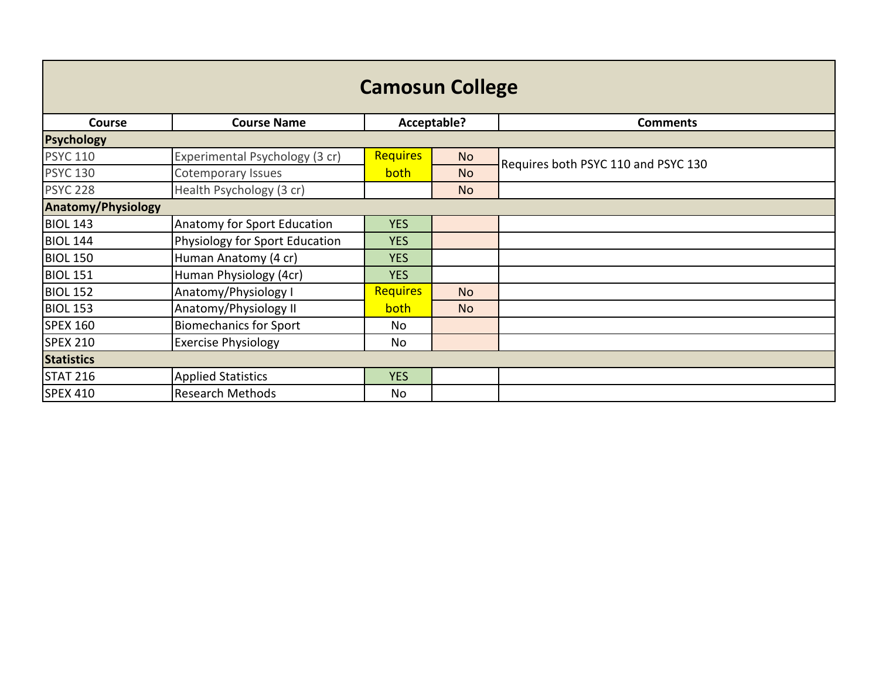| <b>Camosun College</b>    |                                |                 |             |                                     |  |  |
|---------------------------|--------------------------------|-----------------|-------------|-------------------------------------|--|--|
| <b>Course</b>             | <b>Course Name</b>             |                 | Acceptable? | <b>Comments</b>                     |  |  |
| <b>Psychology</b>         |                                |                 |             |                                     |  |  |
| <b>PSYC 110</b>           | Experimental Psychology (3 cr) | <b>Requires</b> | <b>No</b>   | Requires both PSYC 110 and PSYC 130 |  |  |
| <b>PSYC 130</b>           | Cotemporary Issues             | <b>both</b>     | <b>No</b>   |                                     |  |  |
| <b>PSYC 228</b>           | Health Psychology (3 cr)       |                 | <b>No</b>   |                                     |  |  |
| <b>Anatomy/Physiology</b> |                                |                 |             |                                     |  |  |
| <b>BIOL 143</b>           | Anatomy for Sport Education    | <b>YES</b>      |             |                                     |  |  |
| <b>BIOL 144</b>           | Physiology for Sport Education | <b>YES</b>      |             |                                     |  |  |
| <b>BIOL 150</b>           | Human Anatomy (4 cr)           | <b>YES</b>      |             |                                     |  |  |
| <b>BIOL 151</b>           | Human Physiology (4cr)         | <b>YES</b>      |             |                                     |  |  |
| <b>BIOL 152</b>           | Anatomy/Physiology I           | <b>Requires</b> | <b>No</b>   |                                     |  |  |
| <b>BIOL 153</b>           | Anatomy/Physiology II          | <b>both</b>     | <b>No</b>   |                                     |  |  |
| <b>SPEX 160</b>           | <b>Biomechanics for Sport</b>  | No              |             |                                     |  |  |
| <b>SPEX 210</b>           | <b>Exercise Physiology</b>     | No              |             |                                     |  |  |
| <b>Statistics</b>         |                                |                 |             |                                     |  |  |
| <b>STAT 216</b>           | <b>Applied Statistics</b>      | <b>YES</b>      |             |                                     |  |  |
| <b>SPEX 410</b>           | <b>Research Methods</b>        | No              |             |                                     |  |  |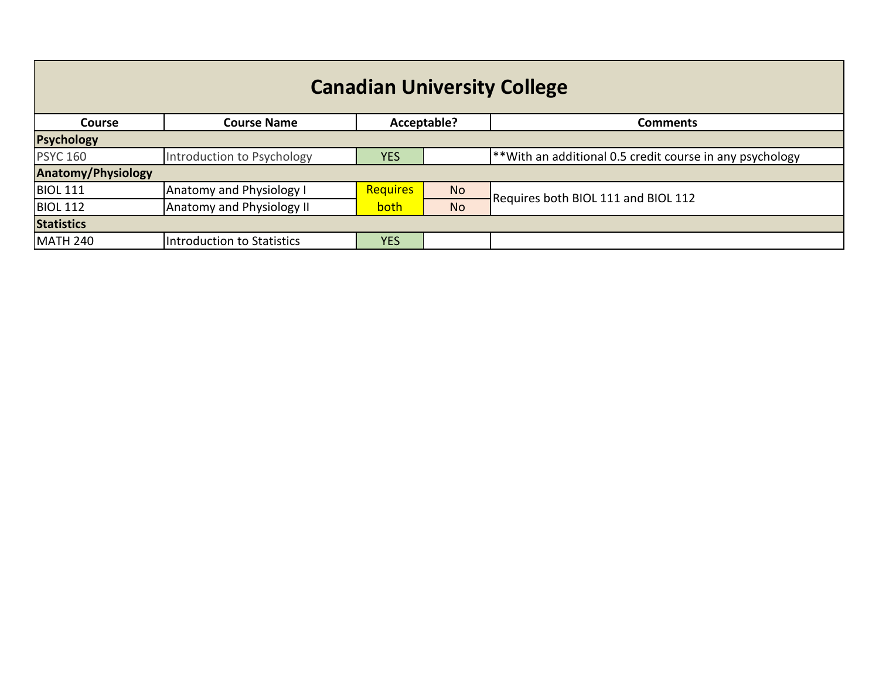| <b>Canadian University College</b> |                                  |                 |                         |                                                              |  |
|------------------------------------|----------------------------------|-----------------|-------------------------|--------------------------------------------------------------|--|
| <b>Course</b>                      | <b>Course Name</b>               |                 | Acceptable?<br>Comments |                                                              |  |
| <b>Psychology</b>                  |                                  |                 |                         |                                                              |  |
| <b>PSYC 160</b>                    | Introduction to Psychology       | <b>YES</b>      |                         | $ $ **With an additional 0.5 credit course in any psychology |  |
| <b>Anatomy/Physiology</b>          |                                  |                 |                         |                                                              |  |
| <b>BIOL 111</b>                    | <b>Anatomy and Physiology I</b>  | <b>Requires</b> | <b>No</b>               | Requires both BIOL 111 and BIOL 112                          |  |
| <b>BIOL 112</b>                    | <b>Anatomy and Physiology II</b> | both            | <b>No</b>               |                                                              |  |
| <b>Statistics</b>                  |                                  |                 |                         |                                                              |  |
| <b>MATH 240</b>                    | Introduction to Statistics       | <b>YES</b>      |                         |                                                              |  |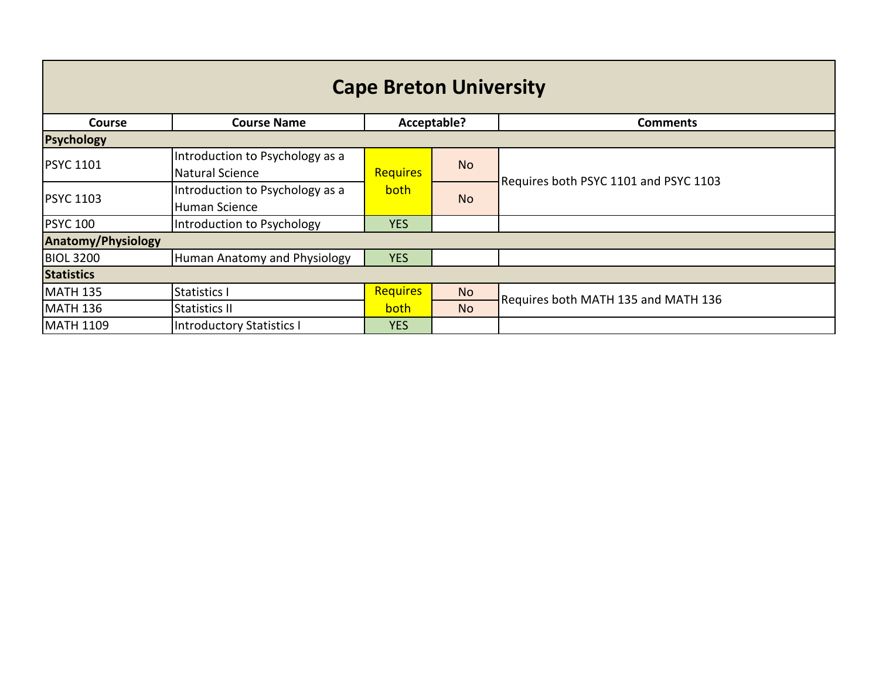| <b>Cape Breton University</b> |                                                           |                 |             |                                       |  |  |
|-------------------------------|-----------------------------------------------------------|-----------------|-------------|---------------------------------------|--|--|
| <b>Course</b>                 | <b>Course Name</b>                                        |                 | Acceptable? | <b>Comments</b>                       |  |  |
| <b>Psychology</b>             |                                                           |                 |             |                                       |  |  |
| <b>PSYC 1101</b>              | Introduction to Psychology as a<br><b>Natural Science</b> | <b>Requires</b> | <b>No</b>   |                                       |  |  |
| <b>PSYC 1103</b>              | Introduction to Psychology as a<br>Human Science          | <b>both</b>     | <b>No</b>   | Requires both PSYC 1101 and PSYC 1103 |  |  |
| <b>PSYC 100</b>               | Introduction to Psychology                                | <b>YES</b>      |             |                                       |  |  |
| <b>Anatomy/Physiology</b>     |                                                           |                 |             |                                       |  |  |
| <b>BIOL 3200</b>              | Human Anatomy and Physiology                              | <b>YES</b>      |             |                                       |  |  |
| <b>Statistics</b>             |                                                           |                 |             |                                       |  |  |
| <b>MATH 135</b>               | Statistics I                                              | <b>Requires</b> | <b>No</b>   |                                       |  |  |
| <b>MATH 136</b>               | Statistics II                                             | <b>both</b>     | <b>No</b>   | Requires both MATH 135 and MATH 136   |  |  |
| <b>MATH 1109</b>              | <b>Introductory Statistics I</b>                          | <b>YES</b>      |             |                                       |  |  |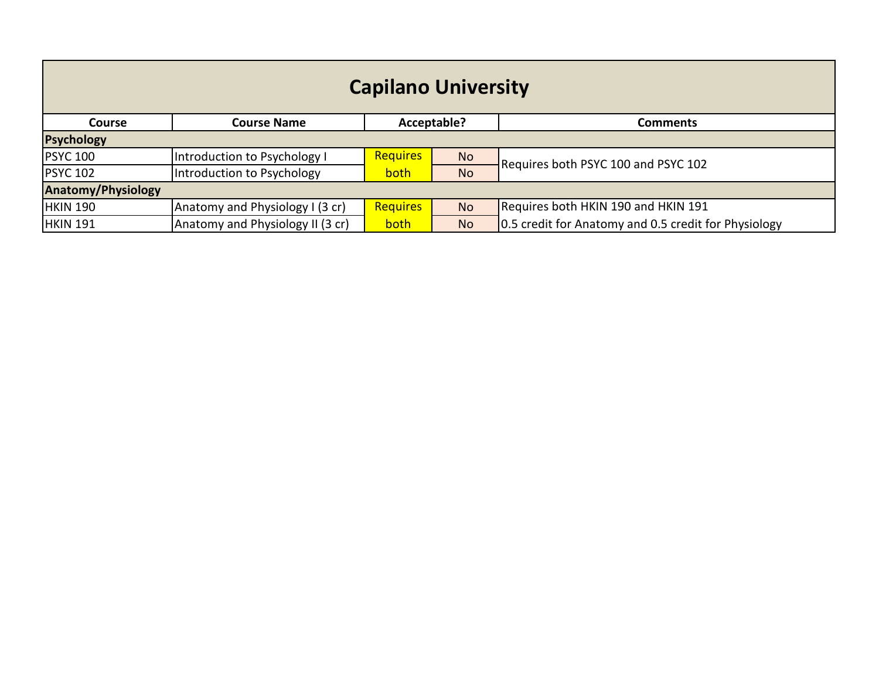| <b>Capilano University</b> |                                  |                 |                                |                                                      |  |
|----------------------------|----------------------------------|-----------------|--------------------------------|------------------------------------------------------|--|
| <b>Course</b>              | <b>Course Name</b>               |                 | Acceptable?<br><b>Comments</b> |                                                      |  |
| <b>Psychology</b>          |                                  |                 |                                |                                                      |  |
| <b>PSYC 100</b>            | Introduction to Psychology I     | <b>Requires</b> | <b>No</b>                      | Requires both PSYC 100 and PSYC 102                  |  |
| <b>PSYC 102</b>            | Introduction to Psychology       | <b>both</b>     | <b>No</b>                      |                                                      |  |
| <b>Anatomy/Physiology</b>  |                                  |                 |                                |                                                      |  |
| <b>HKIN 190</b>            | Anatomy and Physiology I (3 cr)  | <b>Requires</b> | <b>No</b>                      | Requires both HKIN 190 and HKIN 191                  |  |
| <b>HKIN 191</b>            | Anatomy and Physiology II (3 cr) | <b>both</b>     | <b>No</b>                      | 0.5 credit for Anatomy and 0.5 credit for Physiology |  |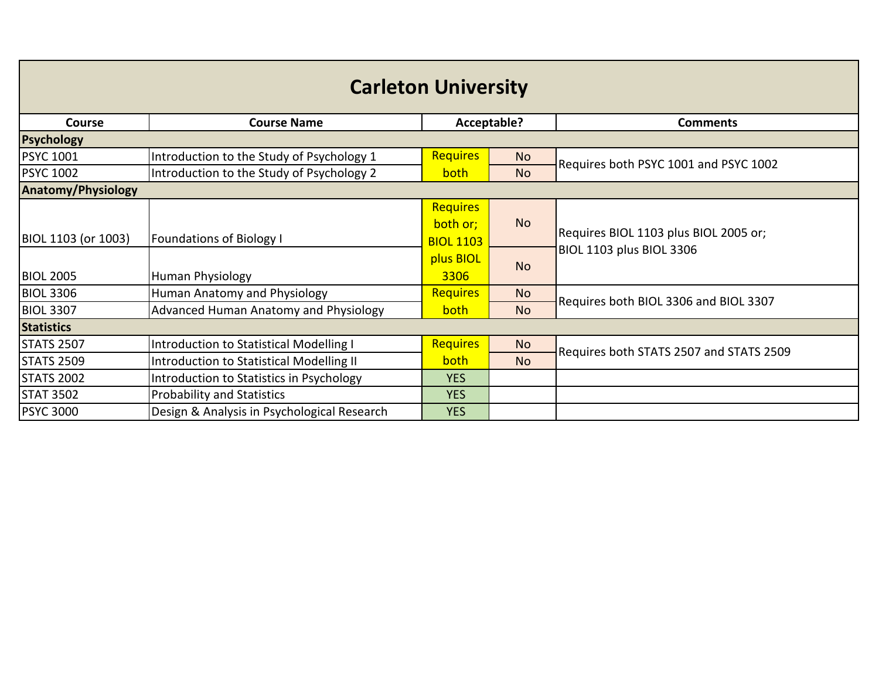| <b>Carleton University</b> |                                             |                                          |             |                                         |  |
|----------------------------|---------------------------------------------|------------------------------------------|-------------|-----------------------------------------|--|
| <b>Course</b>              | <b>Course Name</b>                          |                                          | Acceptable? | <b>Comments</b>                         |  |
| <b>Psychology</b>          |                                             |                                          |             |                                         |  |
| <b>PSYC 1001</b>           | Introduction to the Study of Psychology 1   | <b>Requires</b>                          | <b>No</b>   | Requires both PSYC 1001 and PSYC 1002   |  |
| <b>PSYC 1002</b>           | Introduction to the Study of Psychology 2   | <b>both</b>                              | <b>No</b>   |                                         |  |
| <b>Anatomy/Physiology</b>  |                                             |                                          |             |                                         |  |
| BIOL 1103 (or 1003)        | <b>Foundations of Biology I</b>             | Requires<br>both or;<br><b>BIOL 1103</b> | <b>No</b>   | Requires BIOL 1103 plus BIOL 2005 or;   |  |
| <b>BIOL 2005</b>           | Human Physiology                            | plus BIOL<br>3306                        | <b>No</b>   | <b>BIOL 1103 plus BIOL 3306</b>         |  |
| <b>BIOL 3306</b>           | Human Anatomy and Physiology                | <b>Requires</b>                          | <b>No</b>   | Requires both BIOL 3306 and BIOL 3307   |  |
| <b>BIOL 3307</b>           | Advanced Human Anatomy and Physiology       | <b>both</b>                              | <b>No</b>   |                                         |  |
| <b>Statistics</b>          |                                             |                                          |             |                                         |  |
| <b>STATS 2507</b>          | Introduction to Statistical Modelling I     | Requires                                 | <b>No</b>   | Requires both STATS 2507 and STATS 2509 |  |
| <b>STATS 2509</b>          | Introduction to Statistical Modelling II    | both                                     | <b>No</b>   |                                         |  |
| <b>STATS 2002</b>          | Introduction to Statistics in Psychology    | <b>YES</b>                               |             |                                         |  |
| <b>STAT 3502</b>           | <b>Probability and Statistics</b>           | <b>YES</b>                               |             |                                         |  |
| <b>PSYC 3000</b>           | Design & Analysis in Psychological Research | <b>YES</b>                               |             |                                         |  |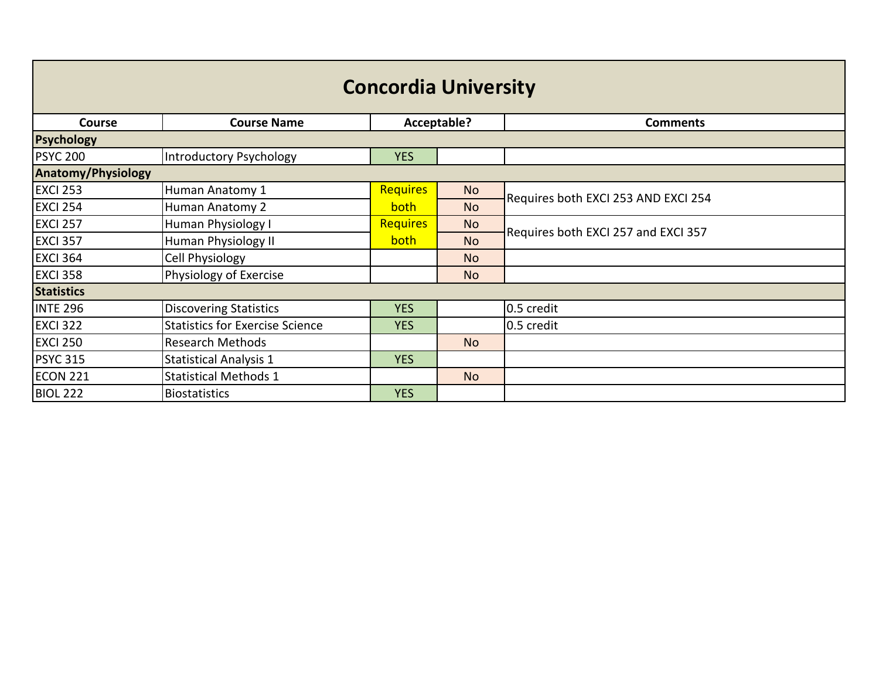| <b>Concordia University</b> |                                        |                 |                |                                     |  |
|-----------------------------|----------------------------------------|-----------------|----------------|-------------------------------------|--|
| Course                      | <b>Course Name</b>                     |                 | Acceptable?    | <b>Comments</b>                     |  |
| <b>Psychology</b>           |                                        |                 |                |                                     |  |
| <b>PSYC 200</b>             | Introductory Psychology                | <b>YES</b>      |                |                                     |  |
| <b>Anatomy/Physiology</b>   |                                        |                 |                |                                     |  |
| <b>EXCI 253</b>             | Human Anatomy 1                        | <b>Requires</b> | <b>No</b>      | Requires both EXCI 253 AND EXCI 254 |  |
| <b>EXCI 254</b>             | Human Anatomy 2                        | both            | N <sub>o</sub> |                                     |  |
| <b>EXCI 257</b>             | Human Physiology I                     | <b>Requires</b> | <b>No</b>      |                                     |  |
| <b>EXCI 357</b>             | Human Physiology II                    | both            | <b>No</b>      | Requires both EXCI 257 and EXCI 357 |  |
| <b>EXCI 364</b>             | Cell Physiology                        |                 | N <sub>o</sub> |                                     |  |
| <b>EXCI 358</b>             | Physiology of Exercise                 |                 | <b>No</b>      |                                     |  |
| <b>Statistics</b>           |                                        |                 |                |                                     |  |
| <b>INTE 296</b>             | <b>Discovering Statistics</b>          | <b>YES</b>      |                | 0.5 credit                          |  |
| <b>EXCI 322</b>             | <b>Statistics for Exercise Science</b> | <b>YES</b>      |                | 0.5 credit                          |  |
| <b>EXCI 250</b>             | <b>Research Methods</b>                |                 | <b>No</b>      |                                     |  |
| <b>PSYC 315</b>             | <b>Statistical Analysis 1</b>          | <b>YES</b>      |                |                                     |  |
| ECON 221                    | <b>Statistical Methods 1</b>           |                 | <b>No</b>      |                                     |  |
| <b>BIOL 222</b>             | <b>Biostatistics</b>                   | <b>YES</b>      |                |                                     |  |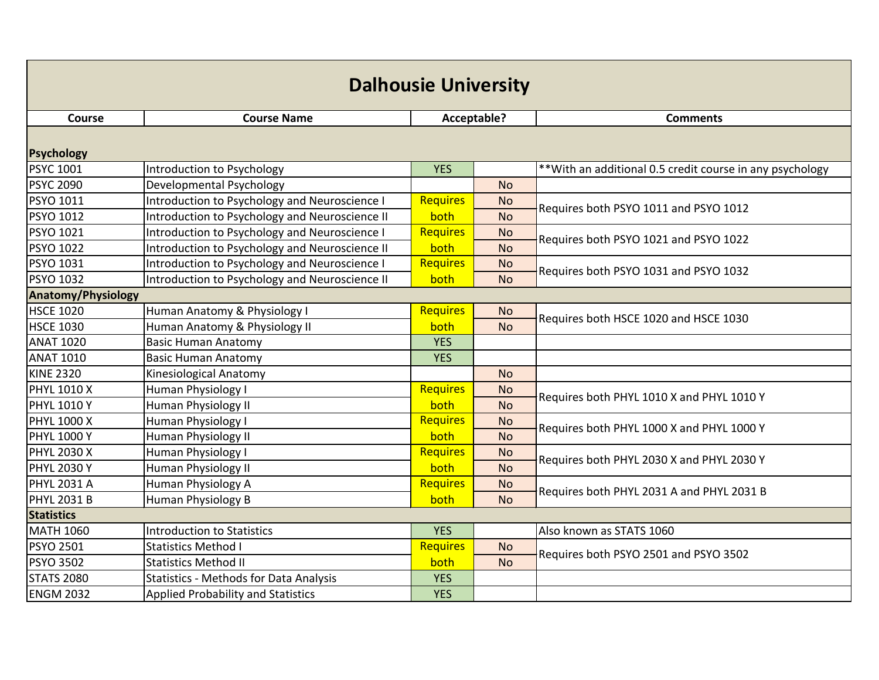| <b>Dalhousie University</b> |                                                |                 |             |                                                           |  |  |
|-----------------------------|------------------------------------------------|-----------------|-------------|-----------------------------------------------------------|--|--|
| <b>Course</b>               | <b>Course Name</b>                             |                 | Acceptable? | <b>Comments</b>                                           |  |  |
| <b>Psychology</b>           |                                                |                 |             |                                                           |  |  |
| <b>PSYC 1001</b>            | Introduction to Psychology                     | <b>YES</b>      |             | ** With an additional 0.5 credit course in any psychology |  |  |
| <b>PSYC 2090</b>            | Developmental Psychology                       |                 | <b>No</b>   |                                                           |  |  |
| PSYO 1011                   | Introduction to Psychology and Neuroscience I  | <b>Requires</b> | <b>No</b>   | Requires both PSYO 1011 and PSYO 1012                     |  |  |
| PSYO 1012                   | Introduction to Psychology and Neuroscience II | both            | <b>No</b>   |                                                           |  |  |
| PSYO 1021                   | Introduction to Psychology and Neuroscience I  | Requires        | <b>No</b>   | Requires both PSYO 1021 and PSYO 1022                     |  |  |
| PSYO 1022                   | Introduction to Psychology and Neuroscience II | both            | <b>No</b>   |                                                           |  |  |
| PSYO 1031                   | Introduction to Psychology and Neuroscience I  | <b>Requires</b> | <b>No</b>   |                                                           |  |  |
| PSYO 1032                   | Introduction to Psychology and Neuroscience II | both            | <b>No</b>   | Requires both PSYO 1031 and PSYO 1032                     |  |  |
| <b>Anatomy/Physiology</b>   |                                                |                 |             |                                                           |  |  |
| <b>HSCE 1020</b>            | Human Anatomy & Physiology I                   | <b>Requires</b> | <b>No</b>   | Requires both HSCE 1020 and HSCE 1030                     |  |  |
| <b>HSCE 1030</b>            | Human Anatomy & Physiology II                  | both            | <b>No</b>   |                                                           |  |  |
| <b>ANAT 1020</b>            | <b>Basic Human Anatomy</b>                     | <b>YES</b>      |             |                                                           |  |  |
| <b>ANAT 1010</b>            | <b>Basic Human Anatomy</b>                     | <b>YES</b>      |             |                                                           |  |  |
| <b>KINE 2320</b>            | Kinesiological Anatomy                         |                 | <b>No</b>   |                                                           |  |  |
| <b>PHYL 1010 X</b>          | Human Physiology I                             | Requires        | <b>No</b>   | Requires both PHYL 1010 X and PHYL 1010 Y                 |  |  |
| <b>PHYL 1010 Y</b>          | Human Physiology II                            | both            | <b>No</b>   |                                                           |  |  |
| PHYL 1000 X                 | Human Physiology I                             | <b>Requires</b> | <b>No</b>   | Requires both PHYL 1000 X and PHYL 1000 Y                 |  |  |
| <b>PHYL 1000 Y</b>          | Human Physiology II                            | both            | <b>No</b>   |                                                           |  |  |
| <b>PHYL 2030 X</b>          | Human Physiology I                             | <b>Requires</b> | <b>No</b>   | Requires both PHYL 2030 X and PHYL 2030 Y                 |  |  |
| <b>PHYL 2030 Y</b>          | Human Physiology II                            | both            | <b>No</b>   |                                                           |  |  |
| <b>PHYL 2031 A</b>          | Human Physiology A                             | <b>Requires</b> | <b>No</b>   | Requires both PHYL 2031 A and PHYL 2031 B                 |  |  |
| <b>PHYL 2031 B</b>          | Human Physiology B                             | both            | <b>No</b>   |                                                           |  |  |
| <b>Statistics</b>           |                                                |                 |             |                                                           |  |  |
| <b>MATH 1060</b>            | Introduction to Statistics                     | <b>YES</b>      |             | Also known as STATS 1060                                  |  |  |
| PSYO 2501                   | <b>Statistics Method I</b>                     | <b>Requires</b> | <b>No</b>   | Requires both PSYO 2501 and PSYO 3502                     |  |  |
| <b>PSYO 3502</b>            | <b>Statistics Method II</b>                    | both            | <b>No</b>   |                                                           |  |  |
| <b>STATS 2080</b>           | <b>Statistics - Methods for Data Analysis</b>  | <b>YES</b>      |             |                                                           |  |  |
| <b>ENGM 2032</b>            | <b>Applied Probability and Statistics</b>      | <b>YES</b>      |             |                                                           |  |  |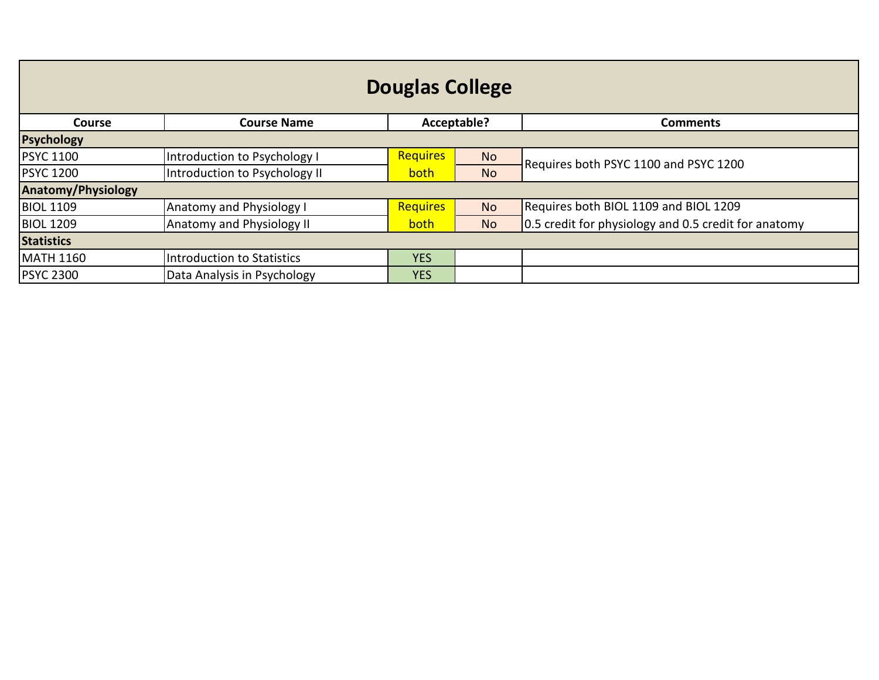| <b>Douglas College</b>    |                               |                 |             |                                                      |  |
|---------------------------|-------------------------------|-----------------|-------------|------------------------------------------------------|--|
| <b>Course</b>             | <b>Course Name</b>            |                 | Acceptable? | <b>Comments</b>                                      |  |
| <b>Psychology</b>         |                               |                 |             |                                                      |  |
| <b>PSYC 1100</b>          | Introduction to Psychology I  | <b>Requires</b> | <b>No</b>   | Requires both PSYC 1100 and PSYC 1200                |  |
| <b>PSYC 1200</b>          | Introduction to Psychology II | both            | <b>No</b>   |                                                      |  |
| <b>Anatomy/Physiology</b> |                               |                 |             |                                                      |  |
| <b>BIOL 1109</b>          | Anatomy and Physiology I      | Requires        | <b>No</b>   | Requires both BIOL 1109 and BIOL 1209                |  |
| <b>BIOL 1209</b>          | Anatomy and Physiology II     | both            | <b>No</b>   | 0.5 credit for physiology and 0.5 credit for anatomy |  |
| <b>Statistics</b>         |                               |                 |             |                                                      |  |
| <b>MATH 1160</b>          | Introduction to Statistics    | <b>YES</b>      |             |                                                      |  |
| <b>PSYC 2300</b>          | Data Analysis in Psychology   | <b>YES</b>      |             |                                                      |  |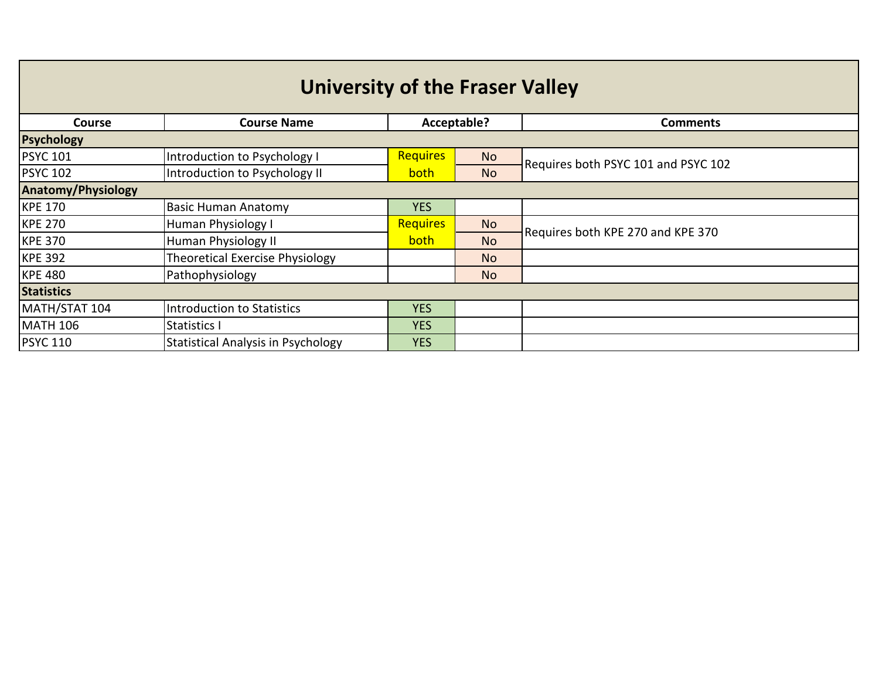| <b>University of the Fraser Valley</b> |                                           |                 |             |                                     |  |  |
|----------------------------------------|-------------------------------------------|-----------------|-------------|-------------------------------------|--|--|
| <b>Course</b>                          | <b>Course Name</b>                        |                 | Acceptable? | <b>Comments</b>                     |  |  |
| <b>Psychology</b>                      |                                           |                 |             |                                     |  |  |
| <b>PSYC 101</b>                        | Introduction to Psychology I              | <b>Requires</b> | <b>No</b>   | Requires both PSYC 101 and PSYC 102 |  |  |
| <b>PSYC 102</b>                        | Introduction to Psychology II             | <b>both</b>     | <b>No</b>   |                                     |  |  |
| <b>Anatomy/Physiology</b>              |                                           |                 |             |                                     |  |  |
| <b>KPE 170</b>                         | <b>Basic Human Anatomy</b>                | <b>YES</b>      |             |                                     |  |  |
| <b>KPE 270</b>                         | <b>Human Physiology I</b>                 | <b>Requires</b> | <b>No</b>   | Requires both KPE 270 and KPE 370   |  |  |
| <b>KPE 370</b>                         | Human Physiology II                       | <b>both</b>     | <b>No</b>   |                                     |  |  |
| <b>KPE 392</b>                         | Theoretical Exercise Physiology           |                 | <b>No</b>   |                                     |  |  |
| <b>KPE 480</b>                         | Pathophysiology                           |                 | <b>No</b>   |                                     |  |  |
| <b>Statistics</b>                      |                                           |                 |             |                                     |  |  |
| MATH/STAT 104                          | <b>Introduction to Statistics</b>         | <b>YES</b>      |             |                                     |  |  |
| <b>MATH 106</b>                        | Statistics I                              | <b>YES</b>      |             |                                     |  |  |
| <b>PSYC 110</b>                        | <b>Statistical Analysis in Psychology</b> | <b>YES</b>      |             |                                     |  |  |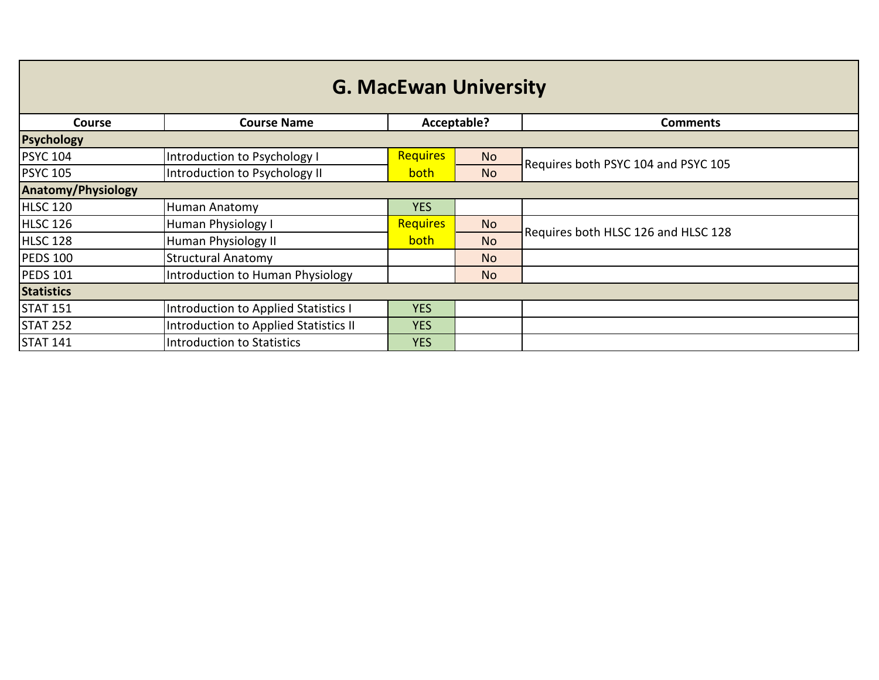| <b>G. MacEwan University</b> |                                       |                 |             |                                     |  |
|------------------------------|---------------------------------------|-----------------|-------------|-------------------------------------|--|
| <b>Course</b>                | <b>Course Name</b>                    |                 | Acceptable? | <b>Comments</b>                     |  |
| <b>Psychology</b>            |                                       |                 |             |                                     |  |
| <b>PSYC 104</b>              | Introduction to Psychology I          | <b>Requires</b> | <b>No</b>   | Requires both PSYC 104 and PSYC 105 |  |
| <b>PSYC 105</b>              | Introduction to Psychology II         | <b>both</b>     | <b>No</b>   |                                     |  |
| <b>Anatomy/Physiology</b>    |                                       |                 |             |                                     |  |
| <b>HLSC 120</b>              | Human Anatomy                         | <b>YES</b>      |             |                                     |  |
| HLSC 126                     | Human Physiology I                    | Requires        | <b>No</b>   | Requires both HLSC 126 and HLSC 128 |  |
| HLSC 128                     | Human Physiology II                   | both            | <b>No</b>   |                                     |  |
| <b>PEDS 100</b>              | <b>Structural Anatomy</b>             |                 | <b>No</b>   |                                     |  |
| <b>PEDS 101</b>              | Introduction to Human Physiology      |                 | <b>No</b>   |                                     |  |
| <b>Statistics</b>            |                                       |                 |             |                                     |  |
| <b>STAT 151</b>              | Introduction to Applied Statistics I  | <b>YES</b>      |             |                                     |  |
| <b>STAT 252</b>              | Introduction to Applied Statistics II | <b>YES</b>      |             |                                     |  |
| <b>STAT 141</b>              | Introduction to Statistics            | <b>YES</b>      |             |                                     |  |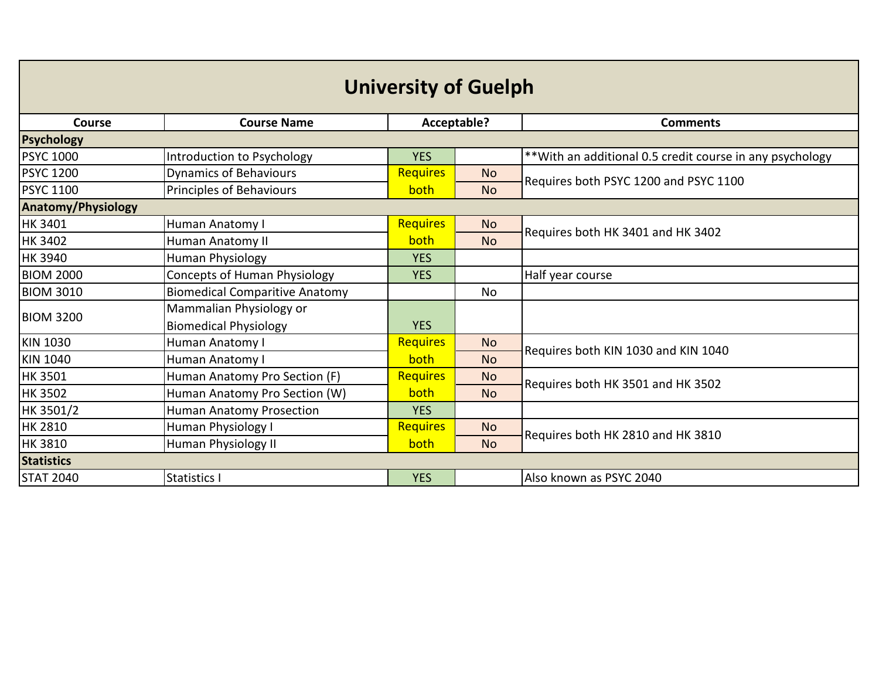| <b>University of Guelph</b> |                                       |                 |             |                                                           |
|-----------------------------|---------------------------------------|-----------------|-------------|-----------------------------------------------------------|
| <b>Course</b>               | <b>Course Name</b>                    |                 | Acceptable? | <b>Comments</b>                                           |
| <b>Psychology</b>           |                                       |                 |             |                                                           |
| <b>PSYC 1000</b>            | Introduction to Psychology            | <b>YES</b>      |             | ** With an additional 0.5 credit course in any psychology |
| <b>PSYC 1200</b>            | <b>Dynamics of Behaviours</b>         | <b>Requires</b> | <b>No</b>   | Requires both PSYC 1200 and PSYC 1100                     |
| <b>PSYC 1100</b>            | Principles of Behaviours              | both            | <b>No</b>   |                                                           |
| <b>Anatomy/Physiology</b>   |                                       |                 |             |                                                           |
| <b>HK 3401</b>              | Human Anatomy I                       | <b>Requires</b> | <b>No</b>   | Requires both HK 3401 and HK 3402                         |
| <b>HK 3402</b>              | Human Anatomy II                      | both            | <b>No</b>   |                                                           |
| <b>HK 3940</b>              | <b>Human Physiology</b>               | <b>YES</b>      |             |                                                           |
| <b>BIOM 2000</b>            | <b>Concepts of Human Physiology</b>   | <b>YES</b>      |             | Half year course                                          |
| <b>BIOM 3010</b>            | <b>Biomedical Comparitive Anatomy</b> |                 | <b>No</b>   |                                                           |
| <b>BIOM 3200</b>            | Mammalian Physiology or               |                 |             |                                                           |
|                             | <b>Biomedical Physiology</b>          | <b>YES</b>      |             |                                                           |
| <b>KIN 1030</b>             | Human Anatomy I                       | <b>Requires</b> | <b>No</b>   | Requires both KIN 1030 and KIN 1040                       |
| <b>KIN 1040</b>             | Human Anatomy I                       | both            | <b>No</b>   |                                                           |
| <b>HK 3501</b>              | Human Anatomy Pro Section (F)         | <b>Requires</b> | <b>No</b>   | Requires both HK 3501 and HK 3502                         |
| <b>HK 3502</b>              | Human Anatomy Pro Section (W)         | both            | <b>No</b>   |                                                           |
| HK 3501/2                   | Human Anatomy Prosection              | <b>YES</b>      |             |                                                           |
| <b>HK 2810</b>              | Human Physiology I                    | <b>Requires</b> | <b>No</b>   | Requires both HK 2810 and HK 3810                         |
| <b>HK 3810</b>              | Human Physiology II                   | both            | <b>No</b>   |                                                           |
| <b>Statistics</b>           |                                       |                 |             |                                                           |
| <b>STAT 2040</b>            | Statistics I                          | <b>YES</b>      |             | Also known as PSYC 2040                                   |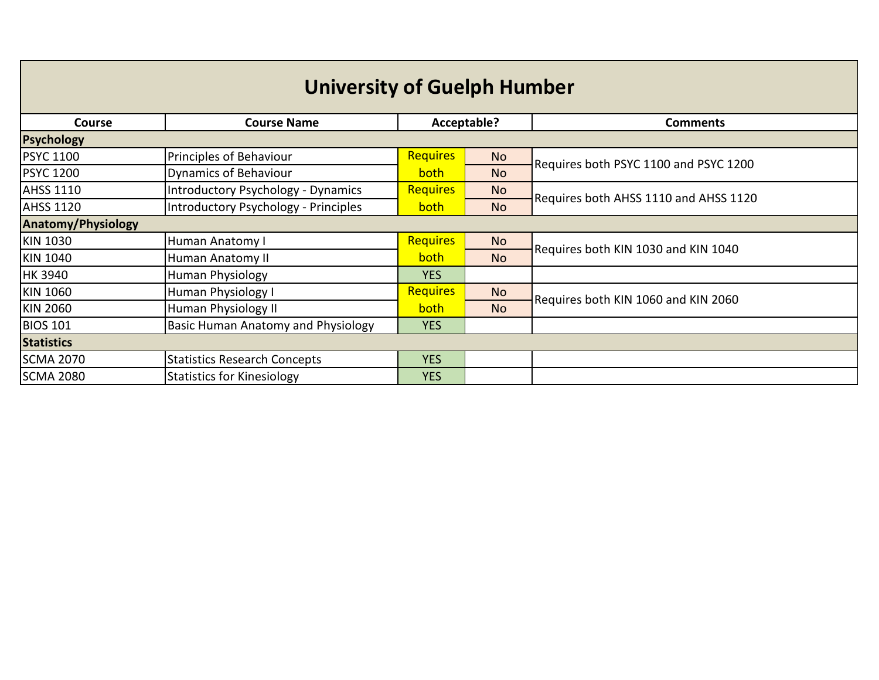| <b>University of Guelph Humber</b> |                                           |                 |           |                                       |  |
|------------------------------------|-------------------------------------------|-----------------|-----------|---------------------------------------|--|
| <b>Course</b>                      | <b>Course Name</b>                        | Acceptable?     |           | <b>Comments</b>                       |  |
| <b>Psychology</b>                  |                                           |                 |           |                                       |  |
| <b>PSYC 1100</b>                   | Principles of Behaviour                   | <b>Requires</b> | <b>No</b> | Requires both PSYC 1100 and PSYC 1200 |  |
| <b>PSYC 1200</b>                   | <b>Dynamics of Behaviour</b>              | <b>both</b>     | <b>No</b> |                                       |  |
| <b>AHSS 1110</b>                   | <b>Introductory Psychology - Dynamics</b> | Requires        | No.       | Requires both AHSS 1110 and AHSS 1120 |  |
| <b>AHSS 1120</b>                   | Introductory Psychology - Principles      | <b>both</b>     | <b>No</b> |                                       |  |
| <b>Anatomy/Physiology</b>          |                                           |                 |           |                                       |  |
| <b>KIN 1030</b>                    | Human Anatomy I                           | <b>Requires</b> | <b>No</b> | Requires both KIN 1030 and KIN 1040   |  |
| <b>KIN 1040</b>                    | Human Anatomy II                          | both            | <b>No</b> |                                       |  |
| <b>HK 3940</b>                     | <b>Human Physiology</b>                   | <b>YES</b>      |           |                                       |  |
| KIN 1060                           | Human Physiology I                        | Requires        | <b>No</b> | Requires both KIN 1060 and KIN 2060   |  |
| <b>KIN 2060</b>                    | Human Physiology II                       | both            | <b>No</b> |                                       |  |
| <b>BIOS 101</b>                    | Basic Human Anatomy and Physiology        | <b>YES</b>      |           |                                       |  |
| <b>Statistics</b>                  |                                           |                 |           |                                       |  |
| <b>SCMA 2070</b>                   | <b>Statistics Research Concepts</b>       | <b>YES</b>      |           |                                       |  |
| <b>SCMA 2080</b>                   | <b>Statistics for Kinesiology</b>         | <b>YES</b>      |           |                                       |  |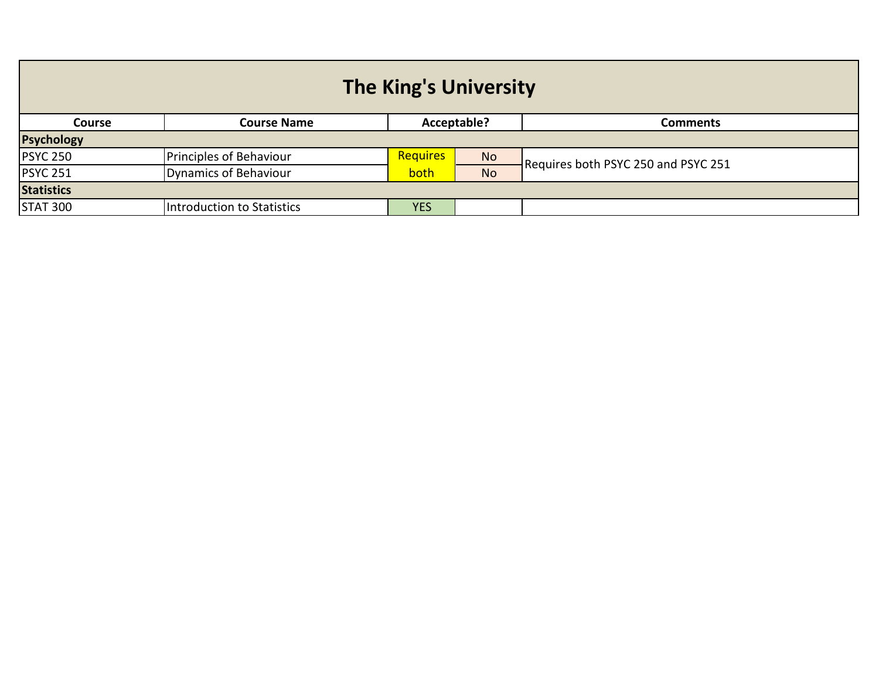| <b>The King's University</b> |                            |                 |             |                                     |
|------------------------------|----------------------------|-----------------|-------------|-------------------------------------|
| <b>Course</b>                | <b>Course Name</b>         |                 | Acceptable? | <b>Comments</b>                     |
| <b>Psychology</b>            |                            |                 |             |                                     |
| <b>PSYC 250</b>              | Principles of Behaviour    | <b>Requires</b> | <b>No</b>   | Requires both PSYC 250 and PSYC 251 |
| <b>PSYC 251</b>              | Dynamics of Behaviour      | both            | <b>No</b>   |                                     |
| <b>Statistics</b>            |                            |                 |             |                                     |
| <b>STAT 300</b>              | Introduction to Statistics | <b>YES</b>      |             |                                     |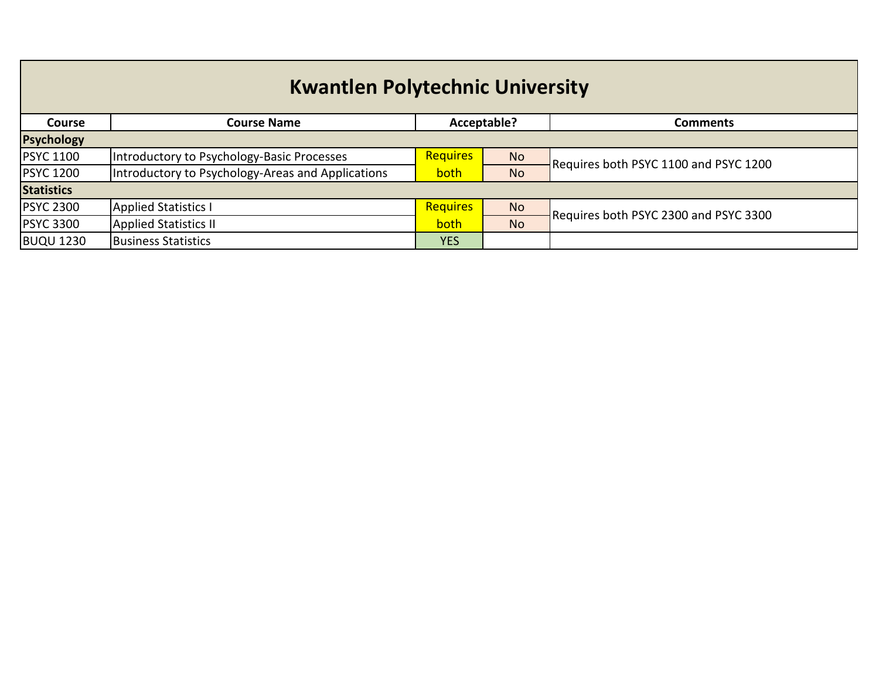## **Kwantlen Polytechnic University**

| <b>Course</b>     | <b>Course Name</b>                                |                 | Acceptable?    | Comments                              |  |
|-------------------|---------------------------------------------------|-----------------|----------------|---------------------------------------|--|
| <b>Psychology</b> |                                                   |                 |                |                                       |  |
| <b>PSYC 1100</b>  | Introductory to Psychology-Basic Processes        | <b>Requires</b> | <b>No</b>      | Requires both PSYC 1100 and PSYC 1200 |  |
| <b>PSYC 1200</b>  | Introductory to Psychology-Areas and Applications | both            | <b>No</b>      |                                       |  |
| <b>Statistics</b> |                                                   |                 |                |                                       |  |
| <b>PSYC 2300</b>  | <b>Applied Statistics I</b>                       | <b>Requires</b> | N <sub>o</sub> | Requires both PSYC 2300 and PSYC 3300 |  |
| <b>PSYC 3300</b>  | <b>Applied Statistics II</b>                      | both            | <b>No</b>      |                                       |  |
| <b>BUQU 1230</b>  | <b>Business Statistics</b>                        | <b>YES</b>      |                |                                       |  |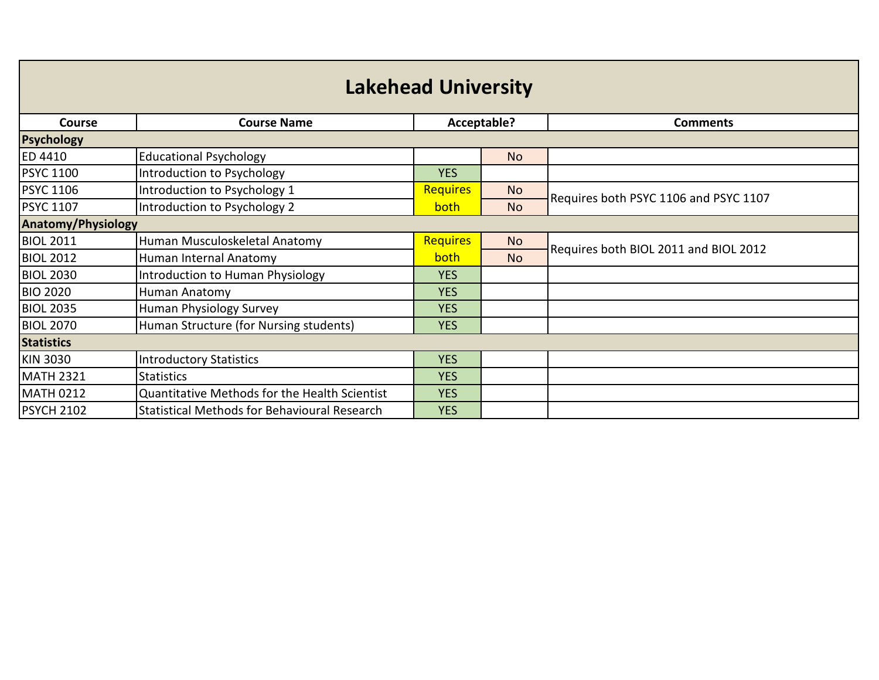| <b>Lakehead University</b> |                                               |                 |           |                                       |  |
|----------------------------|-----------------------------------------------|-----------------|-----------|---------------------------------------|--|
| <b>Course</b>              | <b>Course Name</b>                            | Acceptable?     |           | <b>Comments</b>                       |  |
| <b>Psychology</b>          |                                               |                 |           |                                       |  |
| <b>ED 4410</b>             | <b>Educational Psychology</b>                 |                 | No.       |                                       |  |
| <b>PSYC 1100</b>           | Introduction to Psychology                    | <b>YES</b>      |           |                                       |  |
| <b>PSYC 1106</b>           | Introduction to Psychology 1                  | <b>Requires</b> | <b>No</b> | Requires both PSYC 1106 and PSYC 1107 |  |
| <b>PSYC 1107</b>           | Introduction to Psychology 2                  | both            | <b>No</b> |                                       |  |
| <b>Anatomy/Physiology</b>  |                                               |                 |           |                                       |  |
| <b>BIOL 2011</b>           | Human Musculoskeletal Anatomy                 | <b>Requires</b> | <b>No</b> | Requires both BIOL 2011 and BIOL 2012 |  |
| <b>BIOL 2012</b>           | Human Internal Anatomy                        | <b>both</b>     | <b>No</b> |                                       |  |
| <b>BIOL 2030</b>           | Introduction to Human Physiology              | <b>YES</b>      |           |                                       |  |
| <b>BIO 2020</b>            | Human Anatomy                                 | <b>YES</b>      |           |                                       |  |
| <b>BIOL 2035</b>           | Human Physiology Survey                       | <b>YES</b>      |           |                                       |  |
| <b>BIOL 2070</b>           | Human Structure (for Nursing students)        | <b>YES</b>      |           |                                       |  |
| <b>Statistics</b>          |                                               |                 |           |                                       |  |
| <b>KIN 3030</b>            | Introductory Statistics                       | <b>YES</b>      |           |                                       |  |
| <b>MATH 2321</b>           | <b>Statistics</b>                             | <b>YES</b>      |           |                                       |  |
| <b>MATH 0212</b>           | Quantitative Methods for the Health Scientist | <b>YES</b>      |           |                                       |  |
| <b>PSYCH 2102</b>          | Statistical Methods for Behavioural Research  | <b>YES</b>      |           |                                       |  |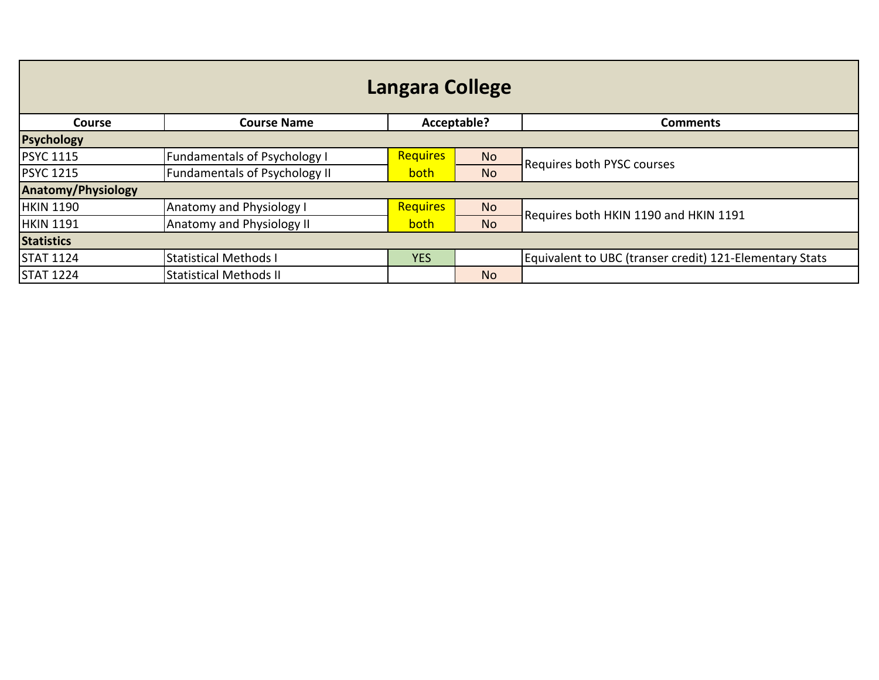| Langara College           |                                      |                 |           |                                                         |  |
|---------------------------|--------------------------------------|-----------------|-----------|---------------------------------------------------------|--|
| <b>Course</b>             | <b>Course Name</b>                   | Acceptable?     |           | <b>Comments</b>                                         |  |
| <b>Psychology</b>         |                                      |                 |           |                                                         |  |
| <b>PSYC 1115</b>          | <b>Fundamentals of Psychology I</b>  | <b>Requires</b> | <b>No</b> | <b>Requires both PYSC courses</b>                       |  |
| <b>PSYC 1215</b>          | <b>Fundamentals of Psychology II</b> | both            | <b>No</b> |                                                         |  |
| <b>Anatomy/Physiology</b> |                                      |                 |           |                                                         |  |
| <b>HKIN 1190</b>          | <b>Anatomy and Physiology I</b>      | <b>Requires</b> | <b>No</b> | Requires both HKIN 1190 and HKIN 1191                   |  |
| <b>HKIN 1191</b>          | <b>Anatomy and Physiology II</b>     | both            | <b>No</b> |                                                         |  |
| <b>Statistics</b>         |                                      |                 |           |                                                         |  |
| <b>STAT 1124</b>          | <b>Statistical Methods I</b>         | <b>YES</b>      |           | Equivalent to UBC (transer credit) 121-Elementary Stats |  |
| <b>STAT 1224</b>          | <b>Statistical Methods II</b>        |                 | <b>No</b> |                                                         |  |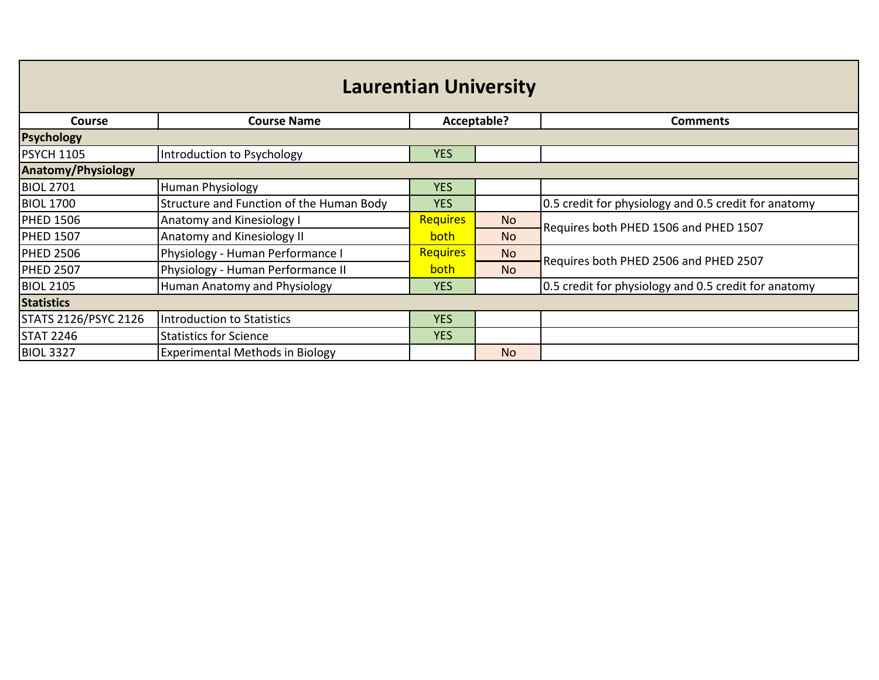| <b>Laurentian University</b> |                                          |                 |             |                                                      |  |
|------------------------------|------------------------------------------|-----------------|-------------|------------------------------------------------------|--|
| <b>Course</b>                | <b>Course Name</b>                       |                 | Acceptable? | <b>Comments</b>                                      |  |
| <b>Psychology</b>            |                                          |                 |             |                                                      |  |
| <b>PSYCH 1105</b>            | Introduction to Psychology               | <b>YES</b>      |             |                                                      |  |
| <b>Anatomy/Physiology</b>    |                                          |                 |             |                                                      |  |
| <b>BIOL 2701</b>             | <b>Human Physiology</b>                  | <b>YES</b>      |             |                                                      |  |
| <b>BIOL 1700</b>             | Structure and Function of the Human Body | <b>YES</b>      |             | 0.5 credit for physiology and 0.5 credit for anatomy |  |
| <b>PHED 1506</b>             | Anatomy and Kinesiology I                | <b>Requires</b> | <b>No</b>   | Requires both PHED 1506 and PHED 1507                |  |
| <b>PHED 1507</b>             | Anatomy and Kinesiology II               | both            | <b>No</b>   |                                                      |  |
| <b>PHED 2506</b>             | Physiology - Human Performance I         | <b>Requires</b> | <b>No</b>   | Requires both PHED 2506 and PHED 2507                |  |
| <b>PHED 2507</b>             | Physiology - Human Performance II        | <b>both</b>     | <b>No</b>   |                                                      |  |
| <b>BIOL 2105</b>             | Human Anatomy and Physiology             | <b>YES</b>      |             | 0.5 credit for physiology and 0.5 credit for anatomy |  |
| <b>Statistics</b>            |                                          |                 |             |                                                      |  |
| STATS 2126/PSYC 2126         | <b>Introduction to Statistics</b>        | <b>YES</b>      |             |                                                      |  |
| <b>STAT 2246</b>             | <b>Statistics for Science</b>            | <b>YES</b>      |             |                                                      |  |
| <b>BIOL 3327</b>             | <b>Experimental Methods in Biology</b>   |                 | <b>No</b>   |                                                      |  |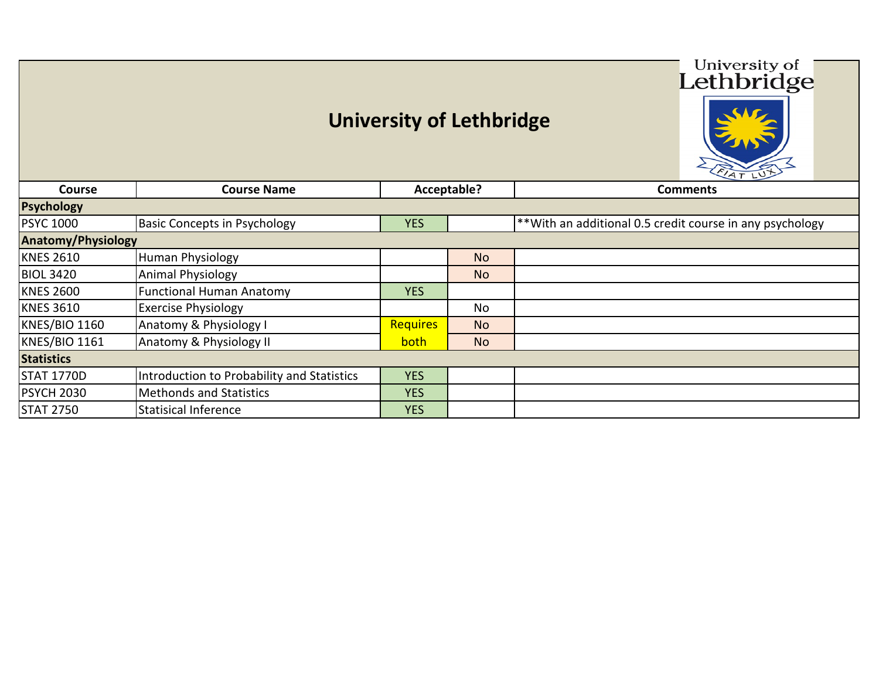## **University of Lethbridge**

University of Lethbridge

ī

|                           |                                            |                 |                | FIAT LUT                                                 |
|---------------------------|--------------------------------------------|-----------------|----------------|----------------------------------------------------------|
| <b>Course</b>             | <b>Course Name</b>                         |                 | Acceptable?    | <b>Comments</b>                                          |
| <b>Psychology</b>         |                                            |                 |                |                                                          |
| <b>PSYC 1000</b>          | <b>Basic Concepts in Psychology</b>        | <b>YES</b>      |                | **With an additional 0.5 credit course in any psychology |
| <b>Anatomy/Physiology</b> |                                            |                 |                |                                                          |
| <b>KNES 2610</b>          | <b>Human Physiology</b>                    |                 | N <sub>o</sub> |                                                          |
| <b>BIOL 3420</b>          | <b>Animal Physiology</b>                   |                 | N <sub>o</sub> |                                                          |
| <b>KNES 2600</b>          | <b>Functional Human Anatomy</b>            | <b>YES</b>      |                |                                                          |
| <b>KNES 3610</b>          | <b>Exercise Physiology</b>                 |                 | No             |                                                          |
| <b>KNES/BIO 1160</b>      | Anatomy & Physiology I                     | <b>Requires</b> | <b>No</b>      |                                                          |
| <b>KNES/BIO 1161</b>      | Anatomy & Physiology II                    | both            | N <sub>o</sub> |                                                          |
| <b>Statistics</b>         |                                            |                 |                |                                                          |
| <b>STAT 1770D</b>         | Introduction to Probability and Statistics | <b>YES</b>      |                |                                                          |
| <b>PSYCH 2030</b>         | <b>Methonds and Statistics</b>             | <b>YES</b>      |                |                                                          |
| <b>STAT 2750</b>          | <b>Statisical Inference</b>                | <b>YES</b>      |                |                                                          |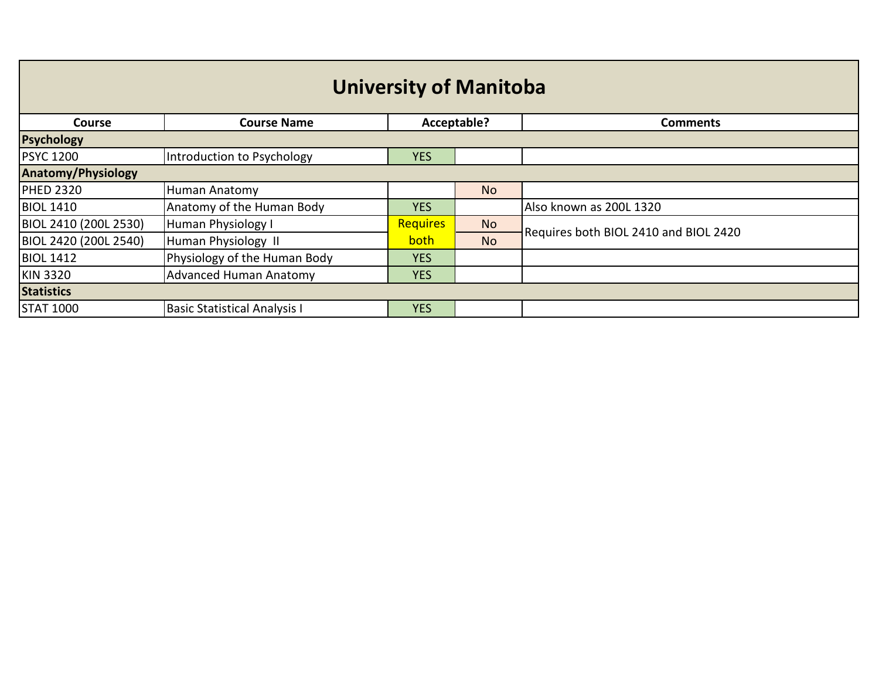| <b>University of Manitoba</b> |                                     |                 |             |                                       |  |
|-------------------------------|-------------------------------------|-----------------|-------------|---------------------------------------|--|
| <b>Course</b>                 | <b>Course Name</b>                  |                 | Acceptable? | <b>Comments</b>                       |  |
| <b>Psychology</b>             |                                     |                 |             |                                       |  |
| <b>PSYC 1200</b>              | Introduction to Psychology          | <b>YES</b>      |             |                                       |  |
| <b>Anatomy/Physiology</b>     |                                     |                 |             |                                       |  |
| <b>PHED 2320</b>              | Human Anatomy                       |                 | <b>No</b>   |                                       |  |
| <b>BIOL 1410</b>              | Anatomy of the Human Body           | <b>YES</b>      |             | Also known as 200L 1320               |  |
| BIOL 2410 (200L 2530)         | Human Physiology I                  | <b>Requires</b> | <b>No</b>   | Requires both BIOL 2410 and BIOL 2420 |  |
| BIOL 2420 (200L 2540)         | Human Physiology II                 | both            | <b>No</b>   |                                       |  |
| <b>BIOL 1412</b>              | Physiology of the Human Body        | <b>YES</b>      |             |                                       |  |
| <b>KIN 3320</b>               | <b>Advanced Human Anatomy</b>       | <b>YES</b>      |             |                                       |  |
| <b>Statistics</b>             |                                     |                 |             |                                       |  |
| <b>STAT 1000</b>              | <b>Basic Statistical Analysis I</b> | <b>YES</b>      |             |                                       |  |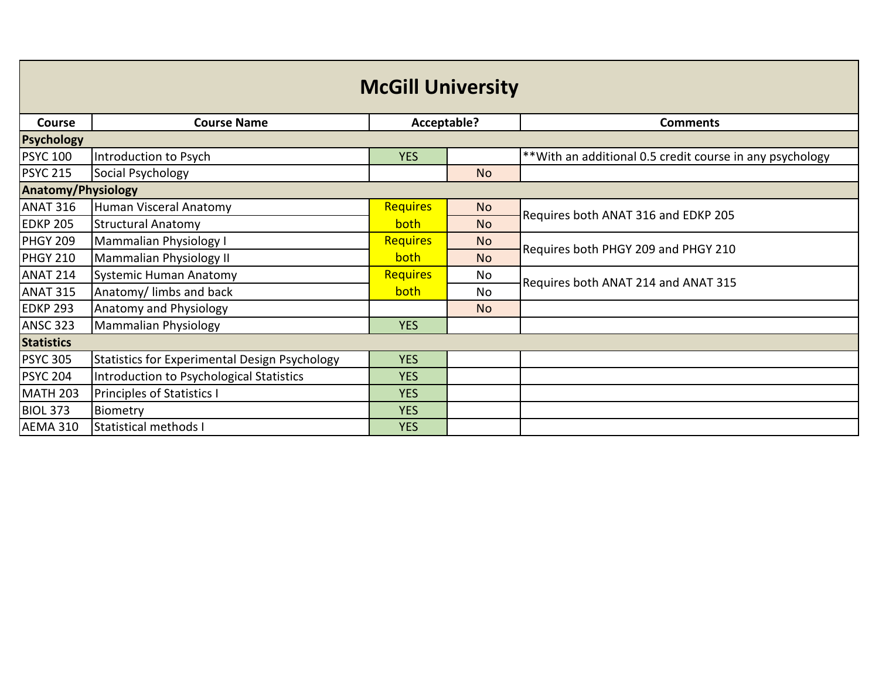| <b>McGill University</b>  |                                               |                 |           |                                                           |  |
|---------------------------|-----------------------------------------------|-----------------|-----------|-----------------------------------------------------------|--|
| Course                    | <b>Course Name</b>                            | Acceptable?     |           | <b>Comments</b>                                           |  |
| Psychology                |                                               |                 |           |                                                           |  |
| <b>PSYC 100</b>           | Introduction to Psych                         | <b>YES</b>      |           | ** With an additional 0.5 credit course in any psychology |  |
| <b>PSYC 215</b>           | Social Psychology                             |                 | <b>No</b> |                                                           |  |
| <b>Anatomy/Physiology</b> |                                               |                 |           |                                                           |  |
| <b>ANAT 316</b>           | Human Visceral Anatomy                        | <b>Requires</b> | <b>No</b> | Requires both ANAT 316 and EDKP 205                       |  |
| <b>EDKP 205</b>           | <b>Structural Anatomy</b>                     | both            | <b>No</b> |                                                           |  |
| <b>PHGY 209</b>           | Mammalian Physiology I                        | <b>Requires</b> | <b>No</b> | Requires both PHGY 209 and PHGY 210                       |  |
| <b>PHGY 210</b>           | Mammalian Physiology II                       | both            | <b>No</b> |                                                           |  |
| <b>ANAT 214</b>           | <b>Systemic Human Anatomy</b>                 | <b>Requires</b> | No        | Requires both ANAT 214 and ANAT 315                       |  |
| <b>ANAT 315</b>           | Anatomy/limbs and back                        | both            | <b>No</b> |                                                           |  |
| <b>EDKP 293</b>           | Anatomy and Physiology                        |                 | <b>No</b> |                                                           |  |
| <b>ANSC 323</b>           | Mammalian Physiology                          | <b>YES</b>      |           |                                                           |  |
| <b>Statistics</b>         |                                               |                 |           |                                                           |  |
| <b>PSYC 305</b>           | Statistics for Experimental Design Psychology | <b>YES</b>      |           |                                                           |  |
| <b>PSYC 204</b>           | Introduction to Psychological Statistics      | <b>YES</b>      |           |                                                           |  |
| <b>MATH 203</b>           | <b>Principles of Statistics I</b>             | <b>YES</b>      |           |                                                           |  |
| <b>BIOL 373</b>           | Biometry                                      | <b>YES</b>      |           |                                                           |  |
| AEMA 310                  | Statistical methods I                         | <b>YES</b>      |           |                                                           |  |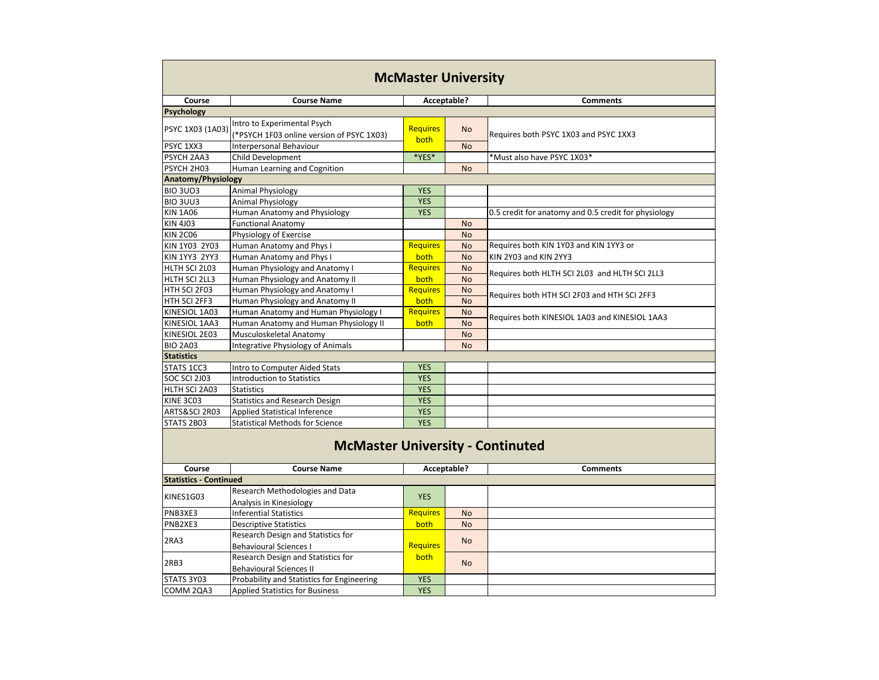| <b>McMaster University</b>                 |                                                                          |                 |           |                                                      |
|--------------------------------------------|--------------------------------------------------------------------------|-----------------|-----------|------------------------------------------------------|
| <b>Course</b>                              | <b>Course Name</b>                                                       | Acceptable?     |           | <b>Comments</b>                                      |
| <b>Psychology</b>                          |                                                                          |                 |           |                                                      |
| PSYC 1X03 (1A03)                           | Intro to Experimental Psych<br>(*PSYCH 1F03 online version of PSYC 1X03) | <b>Requires</b> | <b>No</b> | Requires both PSYC 1X03 and PSYC 1XX3                |
| PSYC 1XX3                                  | <b>Interpersonal Behaviour</b>                                           | both            | <b>No</b> |                                                      |
| PSYCH 2AA3                                 | Child Development                                                        | *YES*           |           | *Must also have PSYC 1X03*                           |
| PSYCH 2H03                                 | Human Learning and Cognition                                             |                 | <b>No</b> |                                                      |
| <b>Anatomy/Physiology</b>                  |                                                                          |                 |           |                                                      |
| <b>BIO 3UO3</b>                            | <b>Animal Physiology</b>                                                 | <b>YES</b>      |           |                                                      |
| BIO 3UU3                                   | <b>Animal Physiology</b>                                                 | <b>YES</b>      |           |                                                      |
| <b>KIN 1A06</b>                            | Human Anatomy and Physiology                                             | <b>YES</b>      |           | 0.5 credit for anatomy and 0.5 credit for physiology |
| <b>KIN 4J03</b>                            | <b>Functional Anatomy</b>                                                |                 | <b>No</b> |                                                      |
| <b>KIN 2C06</b>                            | Physiology of Exercise                                                   |                 | <b>No</b> |                                                      |
| KIN 1Y03 2Y03                              | Human Anatomy and Phys I                                                 | <b>Requires</b> | <b>No</b> | Requires both KIN 1Y03 and KIN 1YY3 or               |
| <b>KIN 1YY3 2YY3</b>                       | Human Anatomy and Phys I                                                 | both            | <b>No</b> | KIN 2Y03 and KIN 2YY3                                |
| HLTH SCI 2L03                              | Human Physiology and Anatomy I                                           | <b>Requires</b> | <b>No</b> | Requires both HLTH SCI 2L03 and HLTH SCI 2LL3        |
| HLTH SCI 2LL3                              | Human Physiology and Anatomy II                                          | both            | <b>No</b> |                                                      |
| HTH SCI 2F03                               | Human Physiology and Anatomy I                                           | <b>Requires</b> | <b>No</b> | Requires both HTH SCI 2F03 and HTH SCI 2FF3          |
| HTH SCI 2FF3                               | Human Physiology and Anatomy II                                          | both            | <b>No</b> |                                                      |
| KINESIOL 1A03                              | Human Anatomy and Human Physiology I                                     | <b>Requires</b> | <b>No</b> | Requires both KINESIOL 1A03 and KINESIOL 1AA3        |
| KINESIOL 1AA3                              | Human Anatomy and Human Physiology II                                    | both            | <b>No</b> |                                                      |
| KINESIOL 2E03                              | Musculoskeletal Anatomy                                                  |                 | <b>No</b> |                                                      |
| <b>BIO 2A03</b>                            | Integrative Physiology of Animals                                        |                 | <b>No</b> |                                                      |
| <b>Statistics</b>                          |                                                                          |                 |           |                                                      |
| STATS 1CC3                                 | Intro to Computer Aided Stats                                            | <b>YES</b>      |           |                                                      |
| <b>SOC SCI 2J03</b>                        | <b>Introduction to Statistics</b>                                        | <b>YES</b>      |           |                                                      |
| HLTH SCI 2A03                              | <b>Statistics</b>                                                        | <b>YES</b>      |           |                                                      |
| <b>KINE 3C03</b>                           | <b>Statistics and Research Design</b>                                    | <b>YES</b>      |           |                                                      |
| ARTS&SCI 2R03                              | <b>Applied Statistical Inference</b>                                     | <b>YES</b>      |           |                                                      |
| STATS 2B03                                 | <b>Statistical Methods for Science</b>                                   | <b>YES</b>      |           |                                                      |
| <b>McMaster University - Continuted</b>    |                                                                          |                 |           |                                                      |
| <b>Course</b>                              | <b>Course Name</b>                                                       | Acceptable?     |           | <b>Comments</b>                                      |
| <b>Statistics - Continued</b><br>KINES1G03 | Research Methodologies and Data                                          | <b>YES</b>      |           |                                                      |
| PNB3XE3                                    | Analysis in Kinesiology<br><b>Inferential Statistics</b>                 | <b>Requires</b> | <b>No</b> |                                                      |
|                                            |                                                                          |                 |           |                                                      |
| PNB2XE3                                    | <b>Descriptive Statistics</b><br>Research Design and Statistics for      | both            | <b>No</b> |                                                      |
| 2RA3                                       | <b>Behavioural Sciences I</b>                                            | <b>Requires</b> | <b>No</b> |                                                      |
|                                            | Research Design and Statistics for                                       | both            |           |                                                      |
| 2RB3                                       | <b>Behavioural Sciences II</b>                                           |                 | <b>No</b> |                                                      |
| STATS 3Y03                                 | Probability and Statistics for Engineering                               | <b>YES</b>      |           |                                                      |
| COMM 2QA3                                  | <b>Applied Statistics for Business</b>                                   | <b>YES</b>      |           |                                                      |
|                                            |                                                                          |                 |           |                                                      |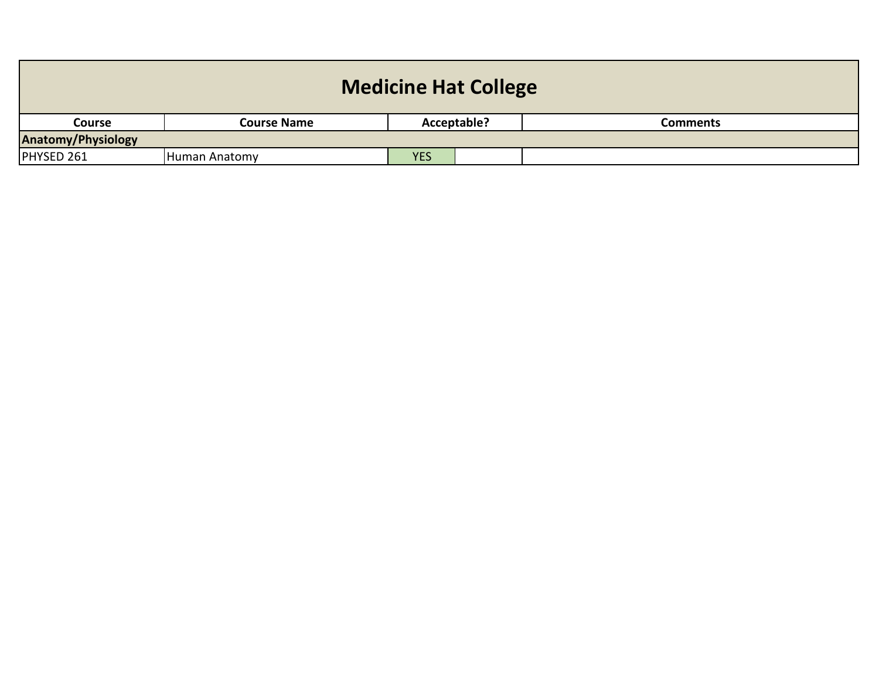| <b>Medicine Hat College</b> |                    |             |  |                 |  |  |  |
|-----------------------------|--------------------|-------------|--|-----------------|--|--|--|
| <b>Course</b>               | <b>Course Name</b> | Acceptable? |  | <b>Comments</b> |  |  |  |
| <b>Anatomy/Physiology</b>   |                    |             |  |                 |  |  |  |
| PHYSED 261                  | Human Anatomy      | <b>YES</b>  |  |                 |  |  |  |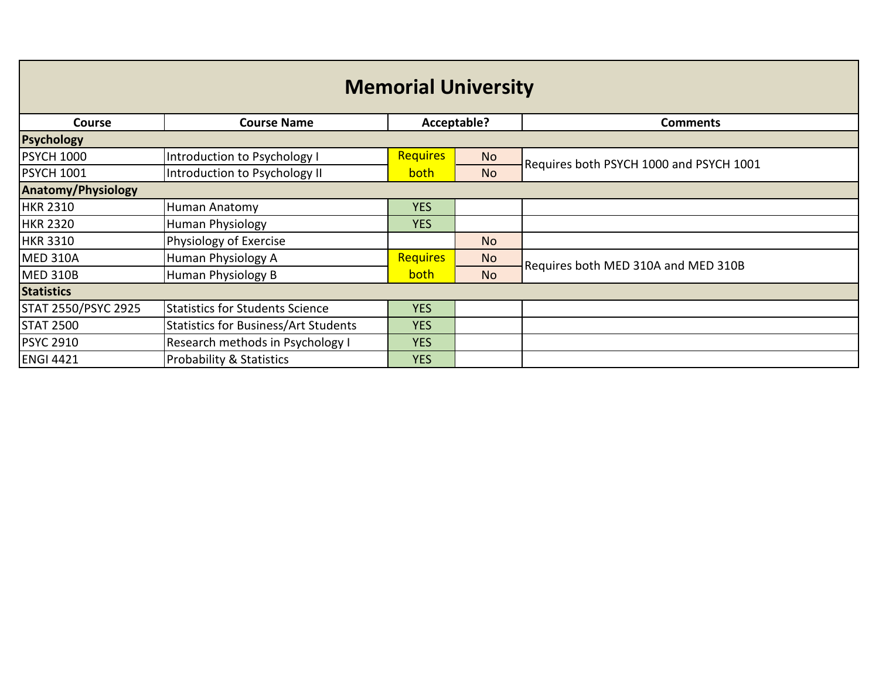| <b>Memorial University</b> |                                             |                 |           |                                         |  |  |  |
|----------------------------|---------------------------------------------|-----------------|-----------|-----------------------------------------|--|--|--|
| <b>Course</b>              | <b>Course Name</b>                          | Acceptable?     |           | <b>Comments</b>                         |  |  |  |
| <b>Psychology</b>          |                                             |                 |           |                                         |  |  |  |
| <b>PSYCH 1000</b>          | Introduction to Psychology I                | <b>Requires</b> | <b>No</b> | Requires both PSYCH 1000 and PSYCH 1001 |  |  |  |
| <b>PSYCH 1001</b>          | Introduction to Psychology II               | both            | <b>No</b> |                                         |  |  |  |
| <b>Anatomy/Physiology</b>  |                                             |                 |           |                                         |  |  |  |
| <b>HKR 2310</b>            | Human Anatomy                               | <b>YES</b>      |           |                                         |  |  |  |
| <b>HKR 2320</b>            | Human Physiology                            | <b>YES</b>      |           |                                         |  |  |  |
| <b>HKR 3310</b>            | Physiology of Exercise                      |                 | <b>No</b> |                                         |  |  |  |
| <b>MED 310A</b>            | Human Physiology A                          | <b>Requires</b> | <b>No</b> | Requires both MED 310A and MED 310B     |  |  |  |
| <b>MED 310B</b>            | Human Physiology B                          | both            | <b>No</b> |                                         |  |  |  |
| <b>Statistics</b>          |                                             |                 |           |                                         |  |  |  |
| STAT 2550/PSYC 2925        | <b>Statistics for Students Science</b>      | <b>YES</b>      |           |                                         |  |  |  |
| <b>STAT 2500</b>           | <b>Statistics for Business/Art Students</b> | <b>YES</b>      |           |                                         |  |  |  |
| <b>PSYC 2910</b>           | Research methods in Psychology I            | <b>YES</b>      |           |                                         |  |  |  |
| <b>ENGI 4421</b>           | <b>Probability &amp; Statistics</b>         | <b>YES</b>      |           |                                         |  |  |  |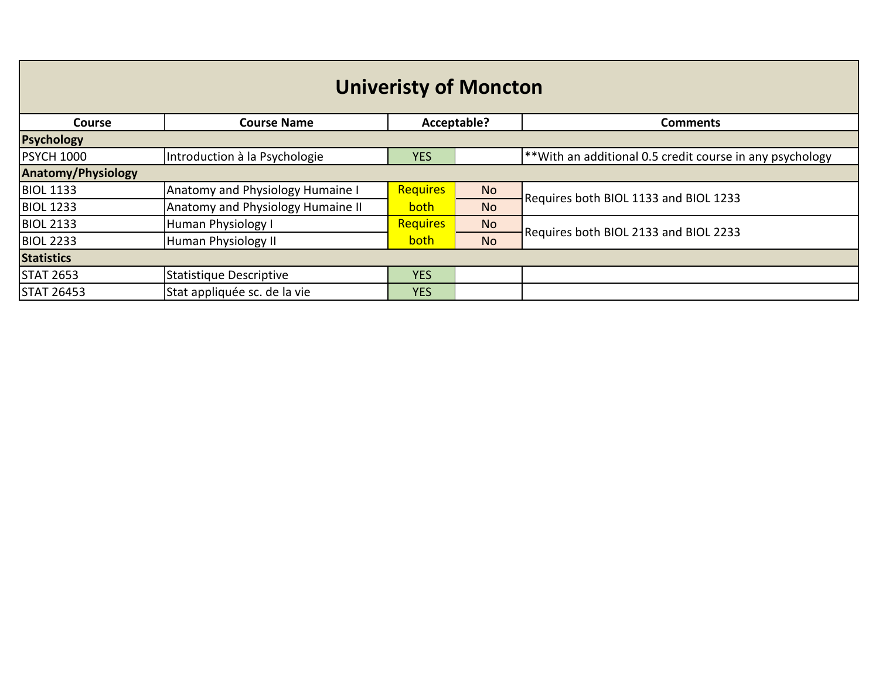| <b>Univeristy of Moncton</b> |                                   |                 |             |                                                            |  |
|------------------------------|-----------------------------------|-----------------|-------------|------------------------------------------------------------|--|
| <b>Course</b>                | <b>Course Name</b>                |                 | Acceptable? | <b>Comments</b>                                            |  |
| <b>Psychology</b>            |                                   |                 |             |                                                            |  |
| <b>PSYCH 1000</b>            | Introduction à la Psychologie     | <b>YES</b>      |             | $*$ With an additional 0.5 credit course in any psychology |  |
| <b>Anatomy/Physiology</b>    |                                   |                 |             |                                                            |  |
| <b>BIOL 1133</b>             | Anatomy and Physiology Humaine I  | <b>Requires</b> | <b>No</b>   | Requires both BIOL 1133 and BIOL 1233                      |  |
| <b>BIOL 1233</b>             | Anatomy and Physiology Humaine II | <b>both</b>     | <b>No</b>   |                                                            |  |
| <b>BIOL 2133</b>             | Human Physiology I                | <b>Requires</b> | <b>No</b>   | Requires both BIOL 2133 and BIOL 2233                      |  |
| <b>BIOL 2233</b>             | Human Physiology II               | both            | <b>No</b>   |                                                            |  |
| <b>Statistics</b>            |                                   |                 |             |                                                            |  |
| <b>STAT 2653</b>             | Statistique Descriptive           | <b>YES</b>      |             |                                                            |  |
| <b>STAT 26453</b>            | Stat appliquée sc. de la vie      | <b>YES</b>      |             |                                                            |  |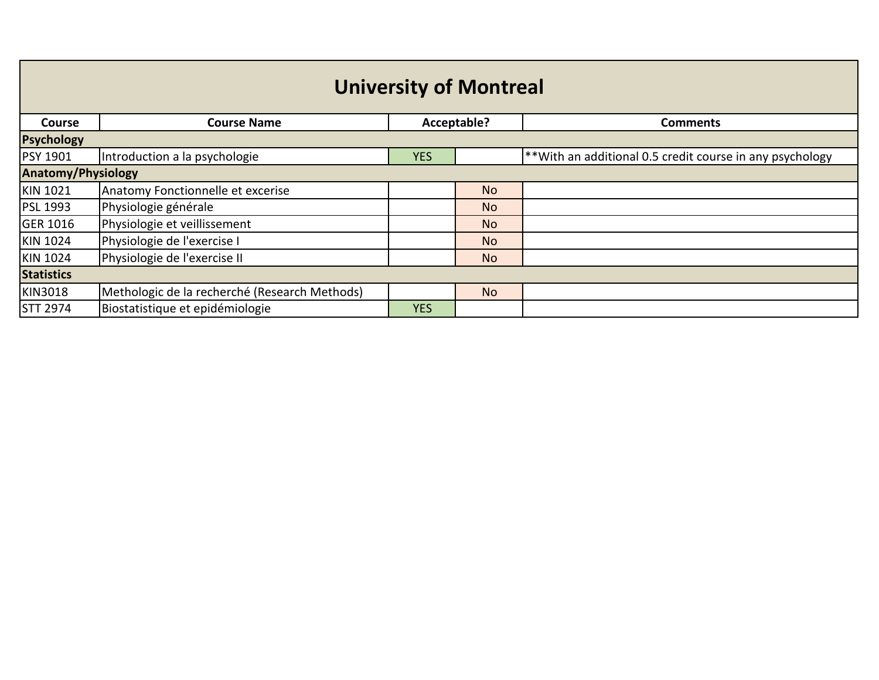| <b>University of Montreal</b> |                                               |             |           |                                                          |  |
|-------------------------------|-----------------------------------------------|-------------|-----------|----------------------------------------------------------|--|
| Course                        | <b>Course Name</b>                            | Acceptable? |           | <b>Comments</b>                                          |  |
| <b>Psychology</b>             |                                               |             |           |                                                          |  |
| <b>PSY 1901</b>               | Introduction a la psychologie                 | <b>YES</b>  |           | **With an additional 0.5 credit course in any psychology |  |
| Anatomy/Physiology            |                                               |             |           |                                                          |  |
| KIN 1021                      | Anatomy Fonctionnelle et excerise             |             | <b>No</b> |                                                          |  |
| PSL 1993                      | Physiologie générale                          |             | <b>No</b> |                                                          |  |
| <b>GER 1016</b>               | Physiologie et veillissement                  |             | <b>No</b> |                                                          |  |
| <b>KIN 1024</b>               | Physiologie de l'exercise I                   |             | <b>No</b> |                                                          |  |
| KIN 1024                      | Physiologie de l'exercise II                  |             | <b>No</b> |                                                          |  |
| <b>Statistics</b>             |                                               |             |           |                                                          |  |
| <b>KIN3018</b>                | Methologic de la recherché (Research Methods) |             | <b>No</b> |                                                          |  |
| <b>STT 2974</b>               | Biostatistique et epidémiologie               | <b>YES</b>  |           |                                                          |  |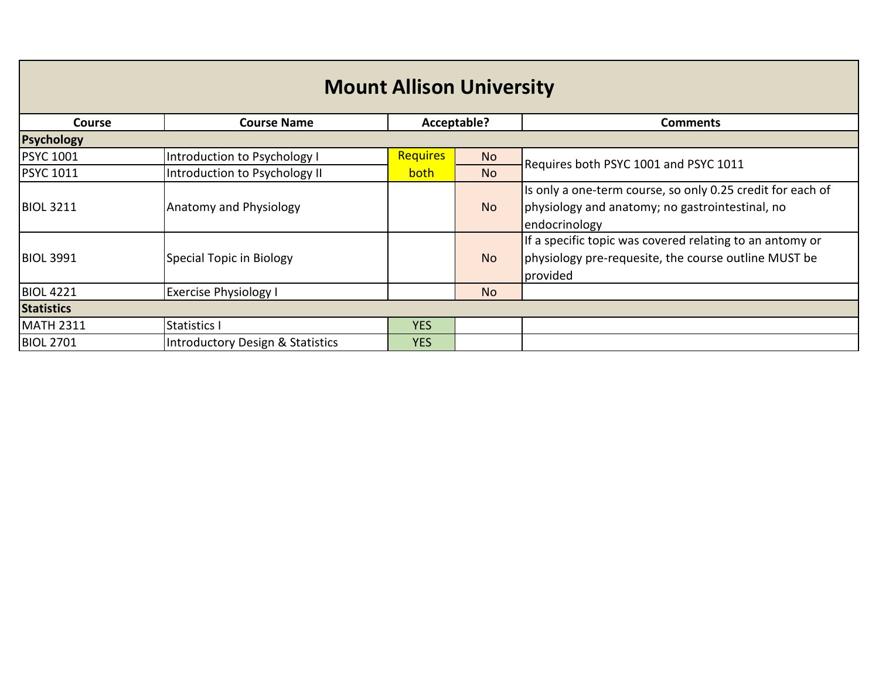| <b>Mount Allison University</b> |                                  |                 |             |                                                                                                                                |  |  |
|---------------------------------|----------------------------------|-----------------|-------------|--------------------------------------------------------------------------------------------------------------------------------|--|--|
| <b>Course</b>                   | <b>Course Name</b>               |                 | Acceptable? | <b>Comments</b>                                                                                                                |  |  |
| <b>Psychology</b>               |                                  |                 |             |                                                                                                                                |  |  |
| <b>PSYC 1001</b>                | Introduction to Psychology I     | <b>Requires</b> | <b>No</b>   | Requires both PSYC 1001 and PSYC 1011                                                                                          |  |  |
| <b>PSYC 1011</b>                | Introduction to Psychology II    | both            | <b>No</b>   |                                                                                                                                |  |  |
| <b>BIOL 3211</b>                | <b>Anatomy and Physiology</b>    |                 | <b>No</b>   | Is only a one-term course, so only 0.25 credit for each of<br>physiology and anatomy; no gastrointestinal, no<br>endocrinology |  |  |
| <b>BIOL 3991</b>                | Special Topic in Biology         |                 | <b>No</b>   | If a specific topic was covered relating to an antomy or<br>physiology pre-requesite, the course outline MUST be<br>provided   |  |  |
| <b>BIOL 4221</b>                | <b>Exercise Physiology I</b>     |                 | <b>No</b>   |                                                                                                                                |  |  |
| <b>Statistics</b>               |                                  |                 |             |                                                                                                                                |  |  |
| <b>MATH 2311</b>                | <b>Statistics I</b>              | <b>YES</b>      |             |                                                                                                                                |  |  |
| <b>BIOL 2701</b>                | Introductory Design & Statistics | <b>YES</b>      |             |                                                                                                                                |  |  |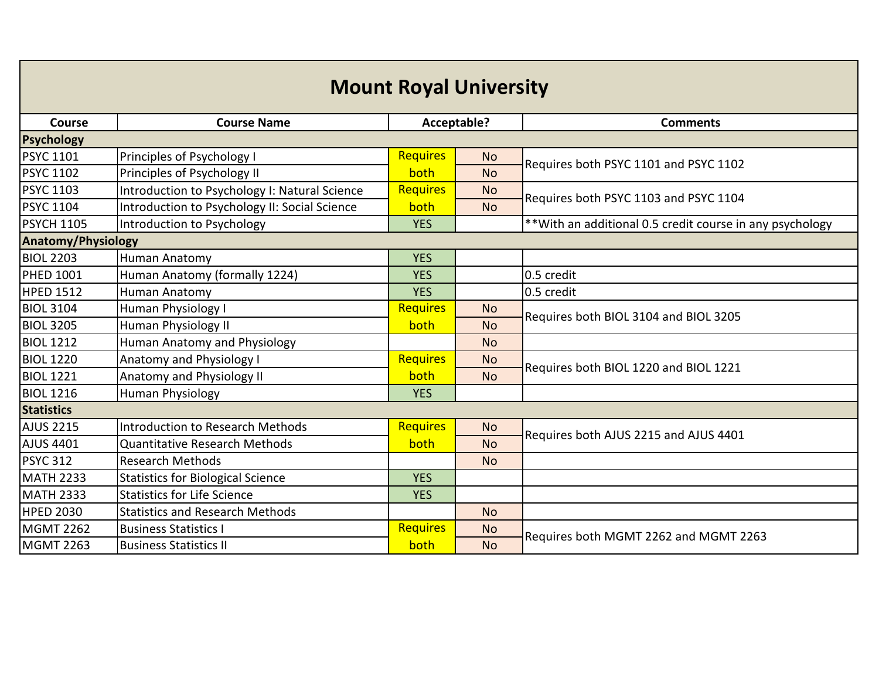| <b>Mount Royal University</b> |                                               |                 |           |                                                           |  |
|-------------------------------|-----------------------------------------------|-----------------|-----------|-----------------------------------------------------------|--|
| Course                        | <b>Course Name</b>                            | Acceptable?     |           | <b>Comments</b>                                           |  |
| <b>Psychology</b>             |                                               |                 |           |                                                           |  |
| PSYC 1101                     | Principles of Psychology I                    | <b>Requires</b> | <b>No</b> | Requires both PSYC 1101 and PSYC 1102                     |  |
| <b>PSYC 1102</b>              | Principles of Psychology II                   | both            | <b>No</b> |                                                           |  |
| <b>PSYC 1103</b>              | Introduction to Psychology I: Natural Science | <b>Requires</b> | <b>No</b> | Requires both PSYC 1103 and PSYC 1104                     |  |
| <b>PSYC 1104</b>              | Introduction to Psychology II: Social Science | both            | <b>No</b> |                                                           |  |
| <b>PSYCH 1105</b>             | Introduction to Psychology                    | <b>YES</b>      |           | ** With an additional 0.5 credit course in any psychology |  |
| <b>Anatomy/Physiology</b>     |                                               |                 |           |                                                           |  |
| <b>BIOL 2203</b>              | <b>Human Anatomy</b>                          | <b>YES</b>      |           |                                                           |  |
| PHED 1001                     | Human Anatomy (formally 1224)                 | <b>YES</b>      |           | 0.5 credit                                                |  |
| <b>HPED 1512</b>              | Human Anatomy                                 | <b>YES</b>      |           | 0.5 credit                                                |  |
| <b>BIOL 3104</b>              | Human Physiology I                            | <b>Requires</b> | <b>No</b> | Requires both BIOL 3104 and BIOL 3205                     |  |
| <b>BIOL 3205</b>              | Human Physiology II                           | both            | <b>No</b> |                                                           |  |
| <b>BIOL 1212</b>              | <b>Human Anatomy and Physiology</b>           |                 | <b>No</b> |                                                           |  |
| <b>BIOL 1220</b>              | <b>Anatomy and Physiology I</b>               | <b>Requires</b> | <b>No</b> | Requires both BIOL 1220 and BIOL 1221                     |  |
| <b>BIOL 1221</b>              | Anatomy and Physiology II                     | both            | <b>No</b> |                                                           |  |
| <b>BIOL 1216</b>              | <b>Human Physiology</b>                       | <b>YES</b>      |           |                                                           |  |
| <b>Statistics</b>             |                                               |                 |           |                                                           |  |
| <b>AJUS 2215</b>              | <b>Introduction to Research Methods</b>       | <b>Requires</b> | <b>No</b> | Requires both AJUS 2215 and AJUS 4401                     |  |
| AJUS 4401                     | <b>Quantitative Research Methods</b>          | both            | <b>No</b> |                                                           |  |
| <b>PSYC 312</b>               | <b>Research Methods</b>                       |                 | <b>No</b> |                                                           |  |
| <b>MATH 2233</b>              | <b>Statistics for Biological Science</b>      | <b>YES</b>      |           |                                                           |  |
| <b>MATH 2333</b>              | <b>Statistics for Life Science</b>            | <b>YES</b>      |           |                                                           |  |
| <b>HPED 2030</b>              | <b>Statistics and Research Methods</b>        |                 | <b>No</b> |                                                           |  |
| <b>MGMT 2262</b>              | <b>Business Statistics I</b>                  | <b>Requires</b> | <b>No</b> | Requires both MGMT 2262 and MGMT 2263                     |  |
| <b>MGMT 2263</b>              | <b>Business Statistics II</b>                 | both            | <b>No</b> |                                                           |  |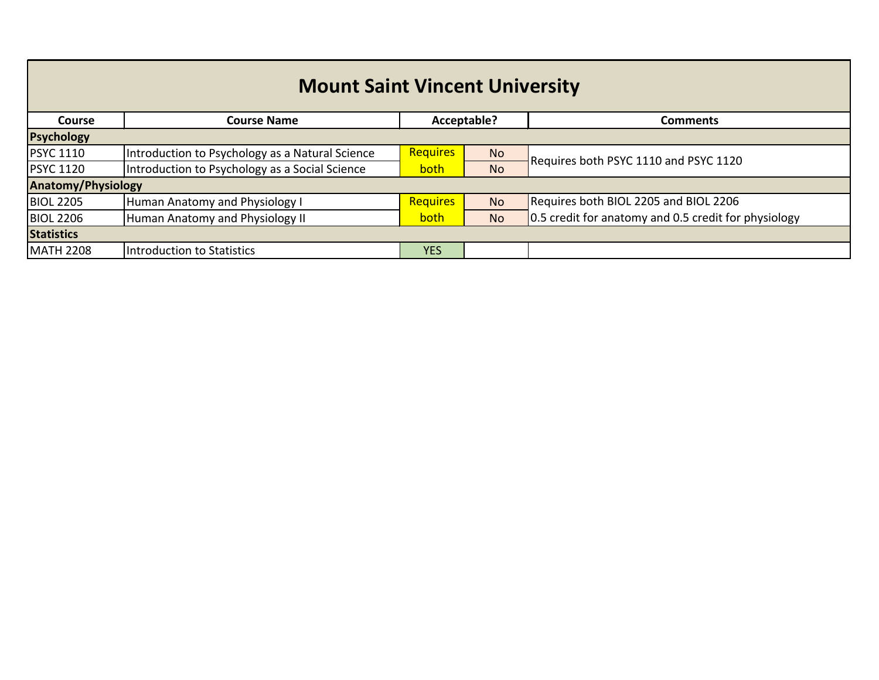| <b>Mount Saint Vincent University</b> |                                                 |                 |             |                                                      |  |  |
|---------------------------------------|-------------------------------------------------|-----------------|-------------|------------------------------------------------------|--|--|
| Course                                | <b>Course Name</b>                              |                 | Acceptable? | Comments                                             |  |  |
| <b>Psychology</b>                     |                                                 |                 |             |                                                      |  |  |
| <b>PSYC 1110</b>                      | Introduction to Psychology as a Natural Science | <b>Requires</b> | <b>No</b>   | Requires both PSYC 1110 and PSYC 1120                |  |  |
| <b>PSYC 1120</b>                      | Introduction to Psychology as a Social Science  | both            | <b>No</b>   |                                                      |  |  |
| <b>Anatomy/Physiology</b>             |                                                 |                 |             |                                                      |  |  |
| <b>BIOL 2205</b>                      | Human Anatomy and Physiology I                  | <b>Requires</b> | <b>No</b>   | Requires both BIOL 2205 and BIOL 2206                |  |  |
| <b>BIOL 2206</b>                      | Human Anatomy and Physiology II                 | both            | <b>No</b>   | 0.5 credit for anatomy and 0.5 credit for physiology |  |  |
| <b>Statistics</b>                     |                                                 |                 |             |                                                      |  |  |
| <b>MATH 2208</b>                      | Introduction to Statistics                      | <b>YES</b>      |             |                                                      |  |  |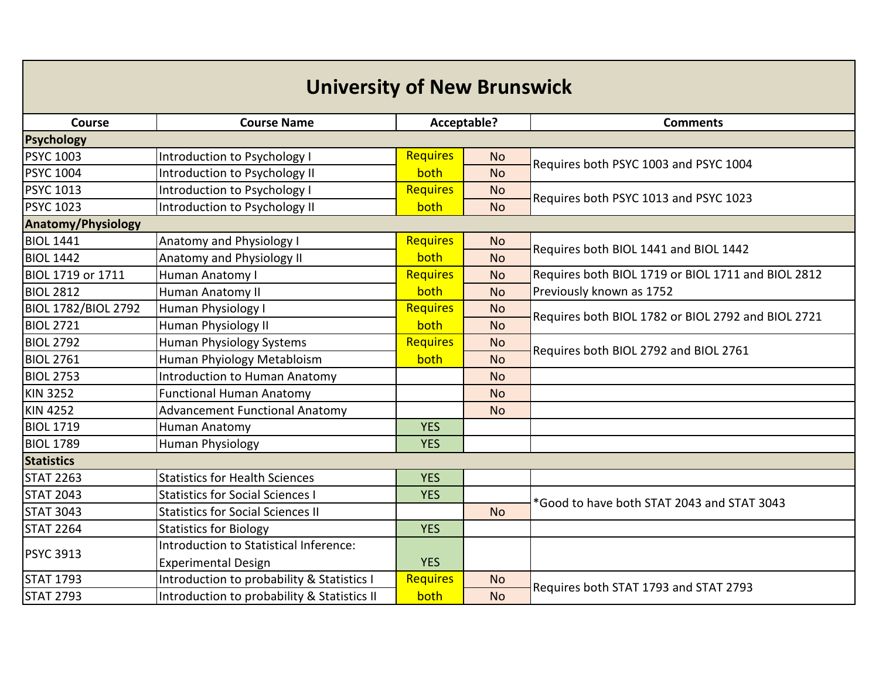| <b>University of New Brunswick</b> |                                             |                 |           |                                                    |  |
|------------------------------------|---------------------------------------------|-----------------|-----------|----------------------------------------------------|--|
| Course                             | <b>Course Name</b>                          | Acceptable?     |           | <b>Comments</b>                                    |  |
| <b>Psychology</b>                  |                                             |                 |           |                                                    |  |
| <b>PSYC 1003</b>                   | Introduction to Psychology I                | <b>Requires</b> | <b>No</b> | Requires both PSYC 1003 and PSYC 1004              |  |
| <b>PSYC 1004</b>                   | Introduction to Psychology II               | both            | <b>No</b> |                                                    |  |
| <b>PSYC 1013</b>                   | Introduction to Psychology I                | Requires        | <b>No</b> | Requires both PSYC 1013 and PSYC 1023              |  |
| <b>PSYC 1023</b>                   | Introduction to Psychology II               | both            | <b>No</b> |                                                    |  |
| <b>Anatomy/Physiology</b>          |                                             |                 |           |                                                    |  |
| <b>BIOL 1441</b>                   | Anatomy and Physiology I                    | <b>Requires</b> | <b>No</b> | Requires both BIOL 1441 and BIOL 1442              |  |
| <b>BIOL 1442</b>                   | Anatomy and Physiology II                   | both            | <b>No</b> |                                                    |  |
| <b>BIOL 1719 or 1711</b>           | Human Anatomy I                             | Requires        | <b>No</b> | Requires both BIOL 1719 or BIOL 1711 and BIOL 2812 |  |
| <b>BIOL 2812</b>                   | Human Anatomy II                            | both            | <b>No</b> | Previously known as 1752                           |  |
| <b>BIOL 1782/BIOL 2792</b>         | Human Physiology I                          | Requires        | <b>No</b> | Requires both BIOL 1782 or BIOL 2792 and BIOL 2721 |  |
| <b>BIOL 2721</b>                   | Human Physiology II                         | both            | <b>No</b> |                                                    |  |
| <b>BIOL 2792</b>                   | <b>Human Physiology Systems</b>             | <b>Requires</b> | <b>No</b> | Requires both BIOL 2792 and BIOL 2761              |  |
| <b>BIOL 2761</b>                   | Human Phyiology Metabloism                  | both            | <b>No</b> |                                                    |  |
| <b>BIOL 2753</b>                   | <b>Introduction to Human Anatomy</b>        |                 | <b>No</b> |                                                    |  |
| <b>KIN 3252</b>                    | <b>Functional Human Anatomy</b>             |                 | <b>No</b> |                                                    |  |
| <b>KIN 4252</b>                    | <b>Advancement Functional Anatomy</b>       |                 | <b>No</b> |                                                    |  |
| <b>BIOL 1719</b>                   | Human Anatomy                               | <b>YES</b>      |           |                                                    |  |
| <b>BIOL 1789</b>                   | Human Physiology                            | <b>YES</b>      |           |                                                    |  |
| <b>Statistics</b>                  |                                             |                 |           |                                                    |  |
| <b>STAT 2263</b>                   | <b>Statistics for Health Sciences</b>       | <b>YES</b>      |           |                                                    |  |
| <b>STAT 2043</b>                   | <b>Statistics for Social Sciences I</b>     | <b>YES</b>      |           | *Good to have both STAT 2043 and STAT 3043         |  |
| <b>STAT 3043</b>                   | <b>Statistics for Social Sciences II</b>    |                 | <b>No</b> |                                                    |  |
| <b>STAT 2264</b>                   | <b>Statistics for Biology</b>               | <b>YES</b>      |           |                                                    |  |
|                                    | Introduction to Statistical Inference:      |                 |           |                                                    |  |
| <b>PSYC 3913</b>                   | <b>Experimental Design</b>                  | <b>YES</b>      |           |                                                    |  |
| <b>STAT 1793</b>                   | Introduction to probability & Statistics I  | Requires        | <b>No</b> | Requires both STAT 1793 and STAT 2793              |  |
| <b>STAT 2793</b>                   | Introduction to probability & Statistics II | both            | <b>No</b> |                                                    |  |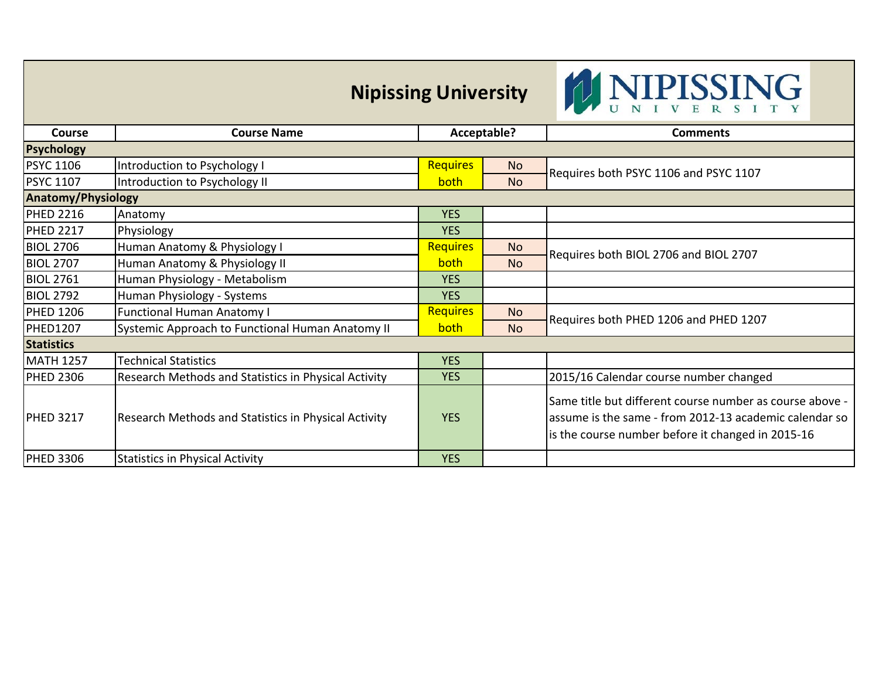| <b>Nipissing University</b> |
|-----------------------------|
|-----------------------------|



| <b>Course</b>             | <b>Course Name</b>                                   | Acceptable?     |           | <b>Comments</b>                                                                                                                                                         |  |
|---------------------------|------------------------------------------------------|-----------------|-----------|-------------------------------------------------------------------------------------------------------------------------------------------------------------------------|--|
| <b>Psychology</b>         |                                                      |                 |           |                                                                                                                                                                         |  |
| <b>PSYC 1106</b>          | Introduction to Psychology I                         | <b>Requires</b> | No.       |                                                                                                                                                                         |  |
| <b>PSYC 1107</b>          | Introduction to Psychology II                        | <b>both</b>     | <b>No</b> | Requires both PSYC 1106 and PSYC 1107                                                                                                                                   |  |
| <b>Anatomy/Physiology</b> |                                                      |                 |           |                                                                                                                                                                         |  |
| <b>PHED 2216</b>          | Anatomy                                              | <b>YES</b>      |           |                                                                                                                                                                         |  |
| <b>PHED 2217</b>          | Physiology                                           | <b>YES</b>      |           |                                                                                                                                                                         |  |
| <b>BIOL 2706</b>          | Human Anatomy & Physiology I                         | <b>Requires</b> | <b>No</b> |                                                                                                                                                                         |  |
| <b>BIOL 2707</b>          | Human Anatomy & Physiology II                        | both            | <b>No</b> | Requires both BIOL 2706 and BIOL 2707                                                                                                                                   |  |
| <b>BIOL 2761</b>          | Human Physiology - Metabolism                        | <b>YES</b>      |           |                                                                                                                                                                         |  |
| <b>BIOL 2792</b>          | Human Physiology - Systems                           | <b>YES</b>      |           |                                                                                                                                                                         |  |
| <b>PHED 1206</b>          | <b>Functional Human Anatomy I</b>                    | <b>Requires</b> | <b>No</b> |                                                                                                                                                                         |  |
| PHED1207                  | Systemic Approach to Functional Human Anatomy II     | both            | <b>No</b> | Requires both PHED 1206 and PHED 1207                                                                                                                                   |  |
| <b>Statistics</b>         |                                                      |                 |           |                                                                                                                                                                         |  |
| <b>MATH 1257</b>          | <b>Technical Statistics</b>                          | <b>YES</b>      |           |                                                                                                                                                                         |  |
| <b>PHED 2306</b>          | Research Methods and Statistics in Physical Activity | <b>YES</b>      |           | 2015/16 Calendar course number changed                                                                                                                                  |  |
| <b>PHED 3217</b>          | Research Methods and Statistics in Physical Activity | <b>YES</b>      |           | Same title but different course number as course above -<br>assume is the same - from 2012-13 academic calendar so<br>is the course number before it changed in 2015-16 |  |
| <b>PHED 3306</b>          | <b>Statistics in Physical Activity</b>               | <b>YES</b>      |           |                                                                                                                                                                         |  |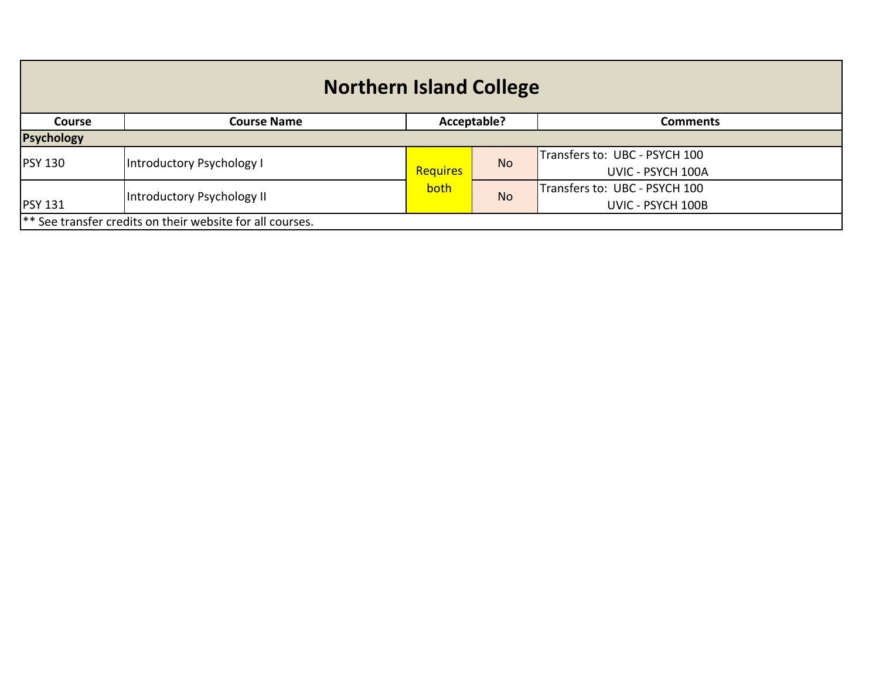| <b>Northern Island College</b> |                                                           |             |           |                               |  |
|--------------------------------|-----------------------------------------------------------|-------------|-----------|-------------------------------|--|
| <b>Course</b>                  | <b>Course Name</b>                                        | Acceptable? |           | <b>Comments</b>               |  |
| <b>Psychology</b>              |                                                           |             |           |                               |  |
| <b>PSY 130</b>                 | Introductory Psychology I                                 |             | <b>No</b> | Transfers to: UBC - PSYCH 100 |  |
|                                |                                                           | Requires    |           | UVIC - PSYCH 100A             |  |
|                                | both                                                      |             |           | Transfers to: UBC - PSYCH 100 |  |
| <b>PSY 131</b>                 | Introductory Psychology II                                |             | <b>No</b> | UVIC - PSYCH 100B             |  |
|                                | ** See transfer credits on their website for all courses. |             |           |                               |  |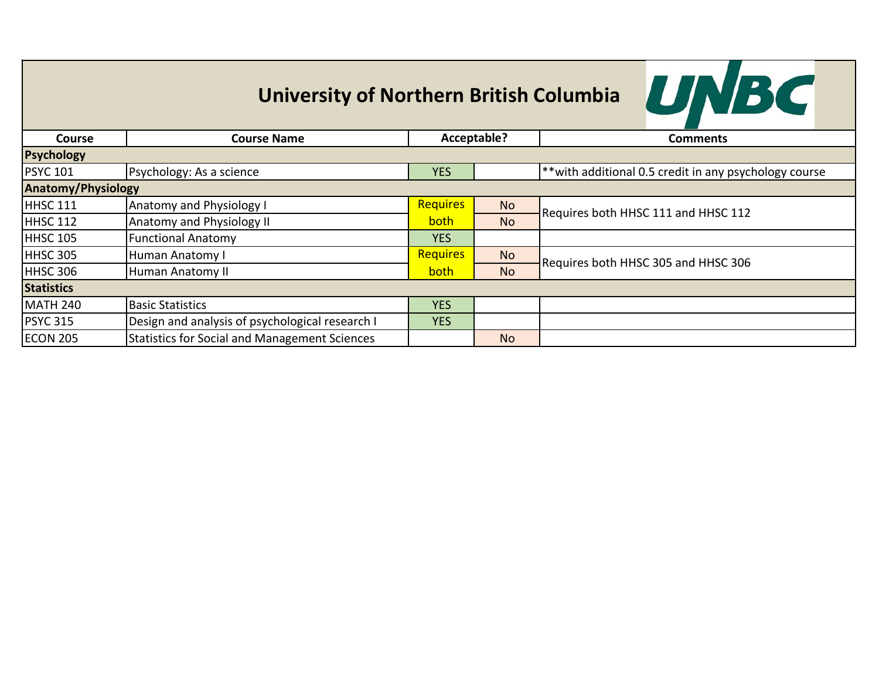

| <b>Course</b>             | <b>Course Name</b>                                   | Acceptable?     |           | <b>Comments</b>                                           |
|---------------------------|------------------------------------------------------|-----------------|-----------|-----------------------------------------------------------|
| Psychology                |                                                      |                 |           |                                                           |
| <b>PSYC 101</b>           | Psychology: As a science                             | <b>YES</b>      |           | $ $ **with additional 0.5 credit in any psychology course |
| <b>Anatomy/Physiology</b> |                                                      |                 |           |                                                           |
| HHSC 111                  | <b>Anatomy and Physiology I</b>                      | <b>Requires</b> | <b>No</b> | Requires both HHSC 111 and HHSC 112                       |
| <b>HHSC 112</b>           | Anatomy and Physiology II                            | <b>both</b>     | <b>No</b> |                                                           |
| HHSC 105                  | <b>Functional Anatomy</b>                            | <b>YES</b>      |           |                                                           |
| HHSC 305                  | <b>Human Anatomy I</b>                               | <b>Requires</b> | <b>No</b> | Requires both HHSC 305 and HHSC 306                       |
| HHSC 306                  | Human Anatomy II                                     | <b>both</b>     | <b>No</b> |                                                           |
| <b>Statistics</b>         |                                                      |                 |           |                                                           |
| <b>MATH 240</b>           | <b>Basic Statistics</b>                              | <b>YES</b>      |           |                                                           |
| <b>PSYC 315</b>           | Design and analysis of psychological research I      | <b>YES</b>      |           |                                                           |
| <b>ECON 205</b>           | <b>Statistics for Social and Management Sciences</b> |                 | <b>No</b> |                                                           |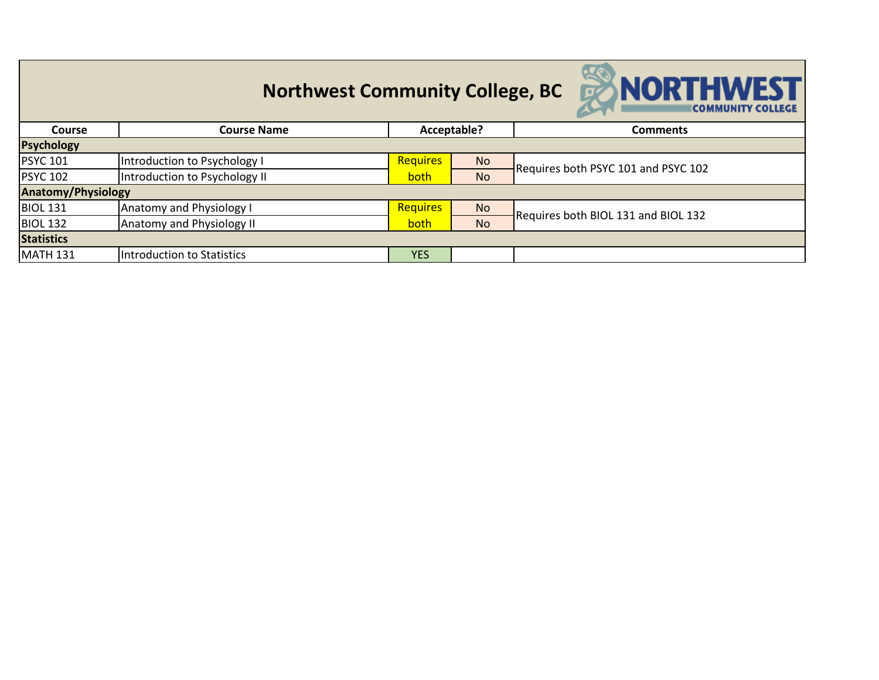|                           | <b>Northwest Community College, BC</b> |                 |             | <b>SNORTHWEST</b><br><b>COMMUNITY COLLEGE</b> |  |
|---------------------------|----------------------------------------|-----------------|-------------|-----------------------------------------------|--|
| <b>Course</b>             | <b>Course Name</b>                     |                 | Acceptable? | <b>Comments</b>                               |  |
| <b>Psychology</b>         |                                        |                 |             |                                               |  |
| <b>PSYC 101</b>           | Introduction to Psychology I           | <b>Requires</b> | <b>No</b>   | Requires both PSYC 101 and PSYC 102           |  |
| <b>PSYC 102</b>           | Introduction to Psychology II          | both            | <b>No</b>   |                                               |  |
| <b>Anatomy/Physiology</b> |                                        |                 |             |                                               |  |
| <b>BIOL 131</b>           | Anatomy and Physiology I               | <b>Requires</b> | <b>No</b>   | Requires both BIOL 131 and BIOL 132           |  |
| <b>BIOL 132</b>           | <b>Anatomy and Physiology II</b>       | both            | <b>No</b>   |                                               |  |
| <b>Statistics</b>         |                                        |                 |             |                                               |  |
| <b>MATH 131</b>           | Introduction to Statistics             | <b>YES</b>      |             |                                               |  |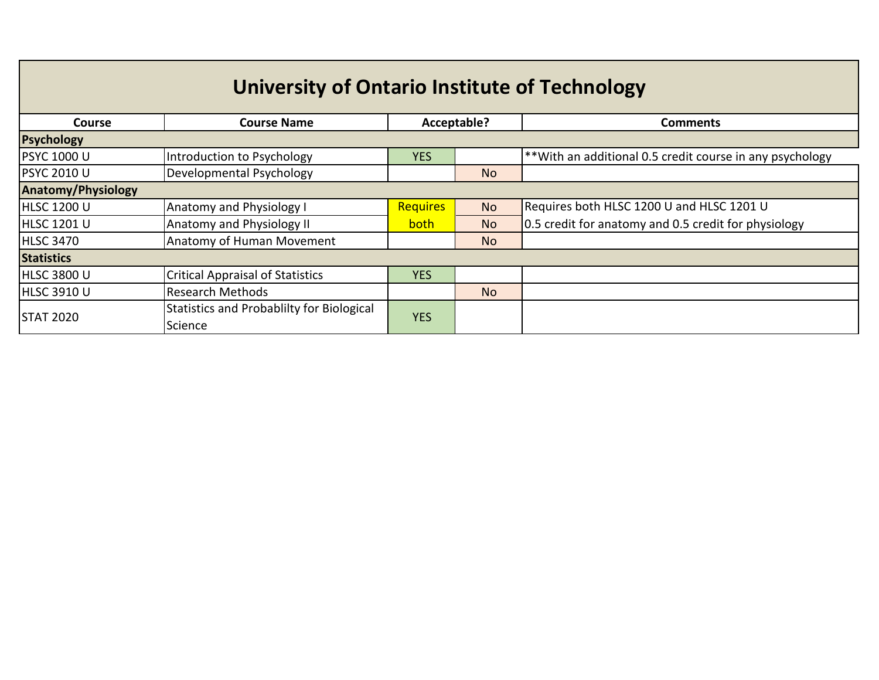| University of Ontario Institute of Technology |                                                      |             |                |                                                          |  |  |
|-----------------------------------------------|------------------------------------------------------|-------------|----------------|----------------------------------------------------------|--|--|
| <b>Course</b>                                 | <b>Course Name</b>                                   | Acceptable? |                | <b>Comments</b>                                          |  |  |
| <b>Psychology</b>                             |                                                      |             |                |                                                          |  |  |
| <b>PSYC 1000 U</b>                            | Introduction to Psychology                           | <b>YES</b>  |                | **With an additional 0.5 credit course in any psychology |  |  |
| <b>PSYC 2010 U</b>                            | Developmental Psychology                             |             | <b>No</b>      |                                                          |  |  |
| <b>Anatomy/Physiology</b>                     |                                                      |             |                |                                                          |  |  |
| <b>HLSC 1200 U</b>                            | <b>Anatomy and Physiology I</b>                      | Requires    | <b>No</b>      | Requires both HLSC 1200 U and HLSC 1201 U                |  |  |
| <b>HLSC 1201 U</b>                            | <b>Anatomy and Physiology II</b>                     | <b>both</b> | <b>No</b>      | 0.5 credit for anatomy and 0.5 credit for physiology     |  |  |
| <b>HLSC 3470</b>                              | Anatomy of Human Movement                            |             | N <sub>o</sub> |                                                          |  |  |
| <b>Statistics</b>                             |                                                      |             |                |                                                          |  |  |
| <b>HLSC 3800 U</b>                            | <b>Critical Appraisal of Statistics</b>              | <b>YES</b>  |                |                                                          |  |  |
| <b>HLSC 3910 U</b>                            | Research Methods                                     |             | <b>No</b>      |                                                          |  |  |
| <b>STAT 2020</b>                              | Statistics and Probablilty for Biological<br>Science | <b>YES</b>  |                |                                                          |  |  |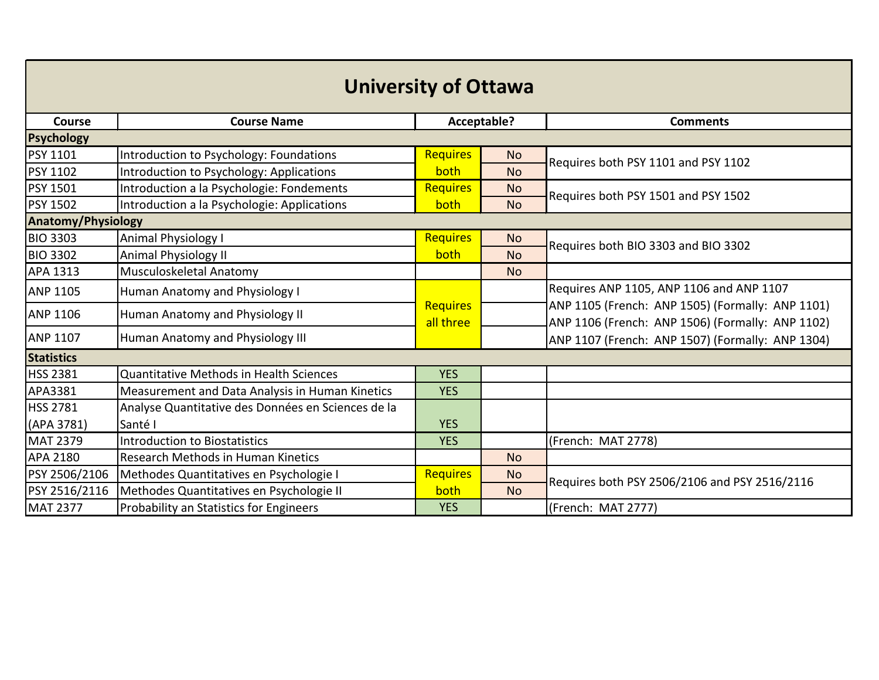| <b>University of Ottawa</b> |                                                    |                              |             |                                                                                                      |  |  |  |  |
|-----------------------------|----------------------------------------------------|------------------------------|-------------|------------------------------------------------------------------------------------------------------|--|--|--|--|
| Course                      | <b>Course Name</b>                                 |                              | Acceptable? | <b>Comments</b>                                                                                      |  |  |  |  |
| Psychology                  |                                                    |                              |             |                                                                                                      |  |  |  |  |
| <b>PSY 1101</b>             | Introduction to Psychology: Foundations            | <b>Requires</b>              | <b>No</b>   | Requires both PSY 1101 and PSY 1102                                                                  |  |  |  |  |
| <b>PSY 1102</b>             | Introduction to Psychology: Applications           | both                         | <b>No</b>   |                                                                                                      |  |  |  |  |
| <b>PSY 1501</b>             | Introduction a la Psychologie: Fondements          | <b>Requires</b>              | <b>No</b>   | Requires both PSY 1501 and PSY 1502                                                                  |  |  |  |  |
| <b>PSY 1502</b>             | Introduction a la Psychologie: Applications        | both                         | <b>No</b>   |                                                                                                      |  |  |  |  |
| <b>Anatomy/Physiology</b>   |                                                    |                              |             |                                                                                                      |  |  |  |  |
| <b>BIO 3303</b>             | <b>Animal Physiology I</b>                         | <b>Requires</b>              | <b>No</b>   | Requires both BIO 3303 and BIO 3302                                                                  |  |  |  |  |
| <b>BIO 3302</b>             | Animal Physiology II                               | both                         | <b>No</b>   |                                                                                                      |  |  |  |  |
| APA 1313                    | Musculoskeletal Anatomy                            |                              | <b>No</b>   |                                                                                                      |  |  |  |  |
| <b>ANP 1105</b>             | Human Anatomy and Physiology I                     |                              |             | Requires ANP 1105, ANP 1106 and ANP 1107                                                             |  |  |  |  |
| <b>ANP 1106</b>             | Human Anatomy and Physiology II                    | <b>Requires</b><br>all three |             | ANP 1105 (French: ANP 1505) (Formally: ANP 1101)<br>ANP 1106 (French: ANP 1506) (Formally: ANP 1102) |  |  |  |  |
| <b>ANP 1107</b>             | Human Anatomy and Physiology III                   |                              |             | ANP 1107 (French: ANP 1507) (Formally: ANP 1304)                                                     |  |  |  |  |
| <b>Statistics</b>           |                                                    |                              |             |                                                                                                      |  |  |  |  |
| <b>HSS 2381</b>             | Quantitative Methods in Health Sciences            | <b>YES</b>                   |             |                                                                                                      |  |  |  |  |
| APA3381                     | Measurement and Data Analysis in Human Kinetics    | <b>YES</b>                   |             |                                                                                                      |  |  |  |  |
| <b>HSS 2781</b>             | Analyse Quantitative des Données en Sciences de la |                              |             |                                                                                                      |  |  |  |  |
| (APA 3781)                  | Santé I                                            | <b>YES</b>                   |             |                                                                                                      |  |  |  |  |
| <b>MAT 2379</b>             | <b>Introduction to Biostatistics</b>               | <b>YES</b>                   |             | (French: MAT 2778)                                                                                   |  |  |  |  |
| <b>APA 2180</b>             | Research Methods in Human Kinetics                 |                              | <b>No</b>   |                                                                                                      |  |  |  |  |
| PSY 2506/2106               | Methodes Quantitatives en Psychologie I            | <b>Requires</b>              | <b>No</b>   | Requires both PSY 2506/2106 and PSY 2516/2116                                                        |  |  |  |  |
| PSY 2516/2116               | Methodes Quantitatives en Psychologie II           | both                         | <b>No</b>   |                                                                                                      |  |  |  |  |
| <b>MAT 2377</b>             | Probability an Statistics for Engineers            | <b>YES</b>                   |             | (French: MAT 2777)                                                                                   |  |  |  |  |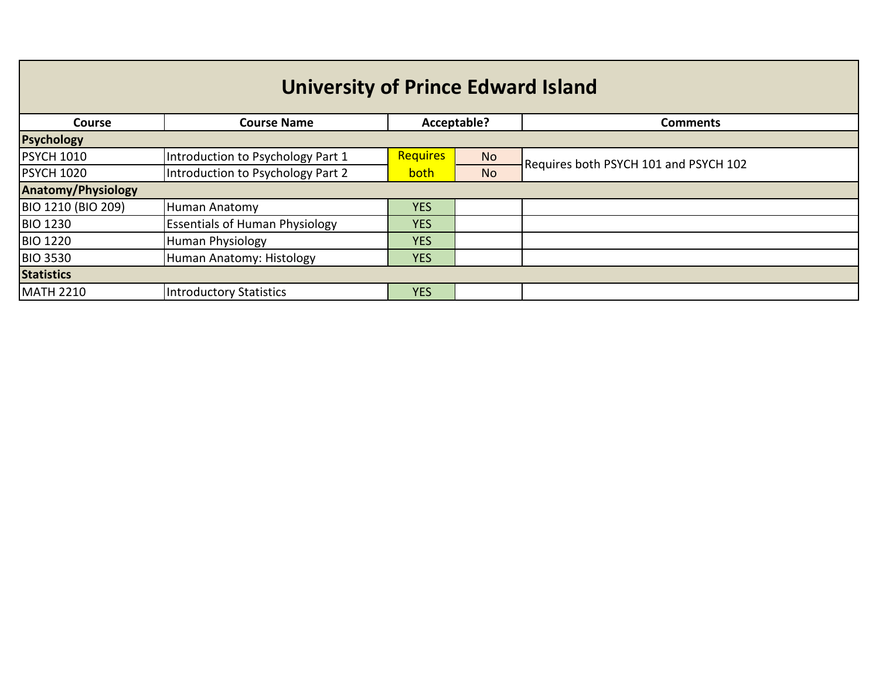## **University of Prince Edward Island**

| <b>Course</b>             | <b>Course Name</b>                    | Acceptable?     |           | <b>Comments</b>                       |  |  |
|---------------------------|---------------------------------------|-----------------|-----------|---------------------------------------|--|--|
| <b>Psychology</b>         |                                       |                 |           |                                       |  |  |
| <b>PSYCH 1010</b>         | Introduction to Psychology Part 1     | <b>Requires</b> | <b>No</b> | Requires both PSYCH 101 and PSYCH 102 |  |  |
| <b>PSYCH 1020</b>         | Introduction to Psychology Part 2     | both            | <b>No</b> |                                       |  |  |
| <b>Anatomy/Physiology</b> |                                       |                 |           |                                       |  |  |
| BIO 1210 (BIO 209)        | Human Anatomy                         | <b>YES</b>      |           |                                       |  |  |
| <b>BIO 1230</b>           | <b>Essentials of Human Physiology</b> | <b>YES</b>      |           |                                       |  |  |
| <b>BIO 1220</b>           | Human Physiology                      | <b>YES</b>      |           |                                       |  |  |
| <b>BIO 3530</b>           | Human Anatomy: Histology              | <b>YES</b>      |           |                                       |  |  |
| <b>Statistics</b>         |                                       |                 |           |                                       |  |  |
| <b>MATH 2210</b>          | Introductory Statistics               | <b>YES</b>      |           |                                       |  |  |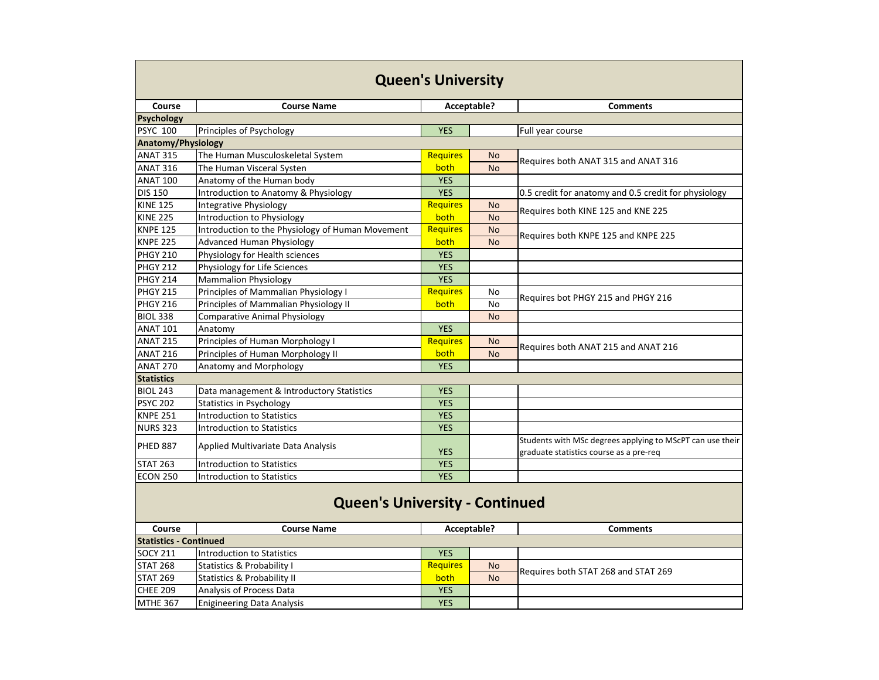| <b>Queen's University</b>             |                                                  |                 |             |                                                           |  |  |
|---------------------------------------|--------------------------------------------------|-----------------|-------------|-----------------------------------------------------------|--|--|
| <b>Course</b>                         | <b>Course Name</b>                               |                 | Acceptable? | <b>Comments</b>                                           |  |  |
| <b>Psychology</b>                     |                                                  |                 |             |                                                           |  |  |
| <b>PSYC 100</b>                       | Principles of Psychology                         | <b>YES</b>      |             | Full year course                                          |  |  |
| <b>Anatomy/Physiology</b>             |                                                  |                 |             |                                                           |  |  |
| <b>ANAT 315</b>                       | The Human Musculoskeletal System                 | <b>Requires</b> | <b>No</b>   | Requires both ANAT 315 and ANAT 316                       |  |  |
| <b>ANAT 316</b>                       | The Human Visceral Systen                        | both            | <b>No</b>   |                                                           |  |  |
| <b>ANAT 100</b>                       | Anatomy of the Human body                        | <b>YES</b>      |             |                                                           |  |  |
| <b>DIS 150</b>                        | Introduction to Anatomy & Physiology             | <b>YES</b>      |             | 0.5 credit for anatomy and 0.5 credit for physiology      |  |  |
| <b>KINE 125</b>                       | <b>Integrative Physiology</b>                    | Requires        | <b>No</b>   | Requires both KINE 125 and KNE 225                        |  |  |
| <b>KINE 225</b>                       | Introduction to Physiology                       | both            | <b>No</b>   |                                                           |  |  |
| <b>KNPE 125</b>                       | Introduction to the Physiology of Human Movement | <b>Requires</b> | <b>No</b>   | Requires both KNPE 125 and KNPE 225                       |  |  |
| <b>KNPE 225</b>                       | <b>Advanced Human Physiology</b>                 | both            | <b>No</b>   |                                                           |  |  |
| <b>PHGY 210</b>                       | Physiology for Health sciences                   | <b>YES</b>      |             |                                                           |  |  |
| <b>PHGY 212</b>                       | Physiology for Life Sciences                     | <b>YES</b>      |             |                                                           |  |  |
| PHGY 214                              | <b>Mammalion Physiology</b>                      | <b>YES</b>      |             |                                                           |  |  |
| PHGY 215                              | Principles of Mammalian Physiology I             | <b>Requires</b> | No          | Requires bot PHGY 215 and PHGY 216                        |  |  |
| <b>PHGY 216</b>                       | Principles of Mammalian Physiology II            | both            | No          |                                                           |  |  |
| <b>BIOL 338</b>                       | <b>Comparative Animal Physiology</b>             |                 | <b>No</b>   |                                                           |  |  |
| <b>ANAT 101</b>                       | Anatomy                                          | <b>YES</b>      |             |                                                           |  |  |
| <b>ANAT 215</b>                       | Principles of Human Morphology I                 | <b>Requires</b> | <b>No</b>   | Requires both ANAT 215 and ANAT 216                       |  |  |
| <b>ANAT 216</b>                       | Principles of Human Morphology II                | both            | <b>No</b>   |                                                           |  |  |
| <b>ANAT 270</b>                       | Anatomy and Morphology                           | <b>YES</b>      |             |                                                           |  |  |
| <b>Statistics</b>                     |                                                  |                 |             |                                                           |  |  |
| <b>BIOL 243</b>                       | Data management & Introductory Statistics        | <b>YES</b>      |             |                                                           |  |  |
| <b>PSYC 202</b>                       | <b>Statistics in Psychology</b>                  | <b>YES</b>      |             |                                                           |  |  |
| <b>KNPE 251</b>                       | <b>Introduction to Statistics</b>                | <b>YES</b>      |             |                                                           |  |  |
| <b>NURS 323</b>                       | Introduction to Statistics                       | <b>YES</b>      |             |                                                           |  |  |
| <b>PHED 887</b>                       | Applied Multivariate Data Analysis               |                 |             | Students with MSc degrees applying to MScPT can use their |  |  |
|                                       |                                                  | <b>YES</b>      |             | graduate statistics course as a pre-req                   |  |  |
| <b>STAT 263</b>                       | <b>Introduction to Statistics</b>                | <b>YES</b>      |             |                                                           |  |  |
| <b>ECON 250</b>                       | Introduction to Statistics                       | <b>YES</b>      |             |                                                           |  |  |
| <b>Queen's University - Continued</b> |                                                  |                 |             |                                                           |  |  |
| <b>Course</b>                         | <b>Course Name</b>                               |                 | Acceptable? | <b>Comments</b>                                           |  |  |
| <b>Statistics - Continued</b>         |                                                  |                 |             |                                                           |  |  |
| <b>SOCY 211</b>                       | Introduction to Statistics                       | <b>YES</b>      |             |                                                           |  |  |
| <b>STAT 268</b>                       | <b>Statistics &amp; Probability I</b>            | <b>Requires</b> | <b>No</b>   | Requires both STAT 268 and STAT 269                       |  |  |
| <b>STAT 269</b>                       | <b>Statistics &amp; Probability II</b>           | both            | <b>No</b>   |                                                           |  |  |
| <b>CHEE 209</b>                       | Analysis of Process Data                         | <b>YES</b>      |             |                                                           |  |  |
| <b>MTHE 367</b>                       | <b>Enigineering Data Analysis</b>                | <b>YES</b>      |             |                                                           |  |  |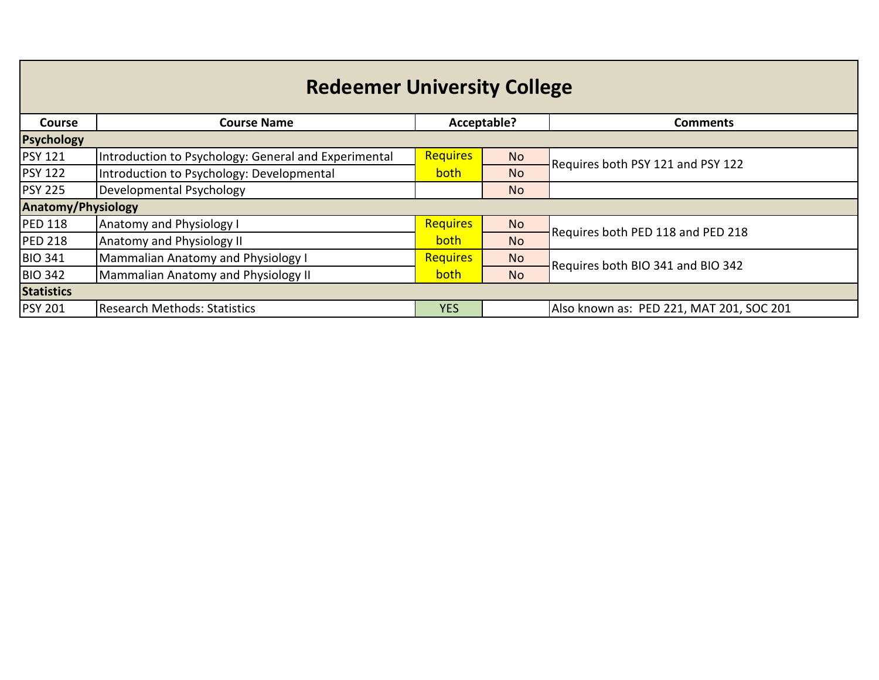| <b>Redeemer University College</b> |                                                      |                 |             |                                          |  |  |  |  |
|------------------------------------|------------------------------------------------------|-----------------|-------------|------------------------------------------|--|--|--|--|
| Course                             | <b>Course Name</b>                                   |                 | Acceptable? | <b>Comments</b>                          |  |  |  |  |
| <b>Psychology</b>                  |                                                      |                 |             |                                          |  |  |  |  |
| <b>PSY 121</b>                     | Introduction to Psychology: General and Experimental | <b>Requires</b> | <b>No</b>   | Requires both PSY 121 and PSY 122        |  |  |  |  |
| <b>PSY 122</b>                     | Introduction to Psychology: Developmental            | both            | <b>No</b>   |                                          |  |  |  |  |
| <b>PSY 225</b>                     | Developmental Psychology                             |                 | <b>No</b>   |                                          |  |  |  |  |
| <b>Anatomy/Physiology</b>          |                                                      |                 |             |                                          |  |  |  |  |
| <b>PED 118</b>                     | <b>Anatomy and Physiology I</b>                      | <b>Requires</b> | <b>No</b>   | Requires both PED 118 and PED 218        |  |  |  |  |
| <b>PED 218</b>                     | Anatomy and Physiology II                            | both            | <b>No</b>   |                                          |  |  |  |  |
| <b>BIO 341</b>                     | Mammalian Anatomy and Physiology I                   | Requires        | <b>No</b>   | Requires both BIO 341 and BIO 342        |  |  |  |  |
| <b>BIO 342</b>                     | Mammalian Anatomy and Physiology II                  | both            | <b>No</b>   |                                          |  |  |  |  |
| <b>Statistics</b>                  |                                                      |                 |             |                                          |  |  |  |  |
| <b>PSY 201</b>                     | Research Methods: Statistics                         | <b>YES</b>      |             | Also known as: PED 221, MAT 201, SOC 201 |  |  |  |  |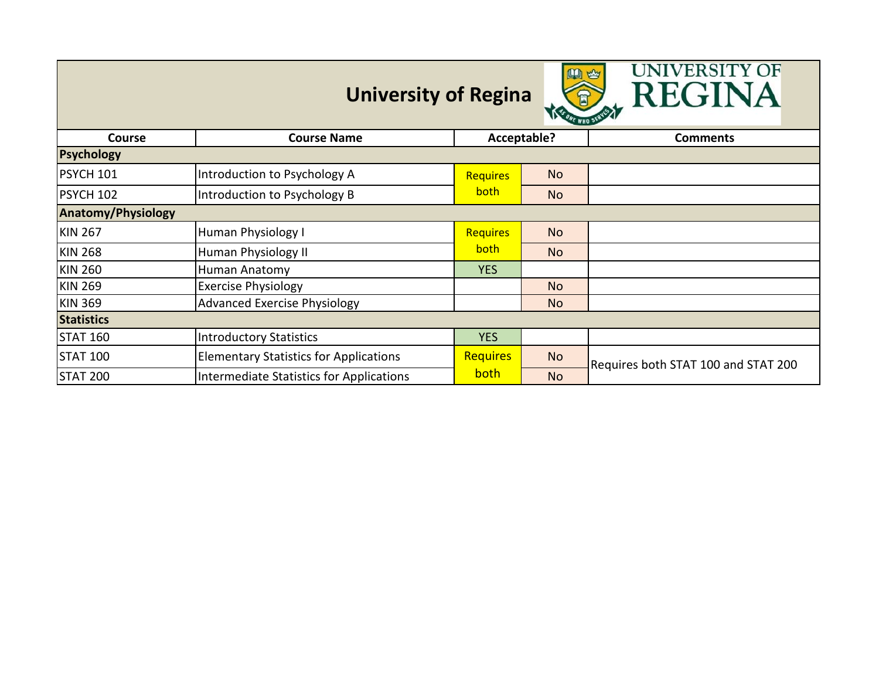|                           | <b>University of Regina</b>                   |                 | 四些          | UNIVERSITY OF<br>REGINA             |  |  |
|---------------------------|-----------------------------------------------|-----------------|-------------|-------------------------------------|--|--|
| Course                    | <b>Course Name</b>                            |                 | Acceptable? | <b>Comments</b>                     |  |  |
| <b>Psychology</b>         |                                               |                 |             |                                     |  |  |
| PSYCH 101                 | Introduction to Psychology A                  | <b>Requires</b> | <b>No</b>   |                                     |  |  |
| PSYCH 102                 | Introduction to Psychology B                  | both            | No          |                                     |  |  |
| <b>Anatomy/Physiology</b> |                                               |                 |             |                                     |  |  |
| <b>KIN 267</b>            | Human Physiology I                            | <b>Requires</b> | <b>No</b>   |                                     |  |  |
| <b>KIN 268</b>            | Human Physiology II                           | both            | <b>No</b>   |                                     |  |  |
| <b>KIN 260</b>            | Human Anatomy                                 | <b>YES</b>      |             |                                     |  |  |
| <b>KIN 269</b>            | <b>Exercise Physiology</b>                    |                 | <b>No</b>   |                                     |  |  |
| <b>KIN 369</b>            | <b>Advanced Exercise Physiology</b>           |                 | <b>No</b>   |                                     |  |  |
| <b>Statistics</b>         |                                               |                 |             |                                     |  |  |
| <b>STAT 160</b>           | <b>Introductory Statistics</b>                | <b>YES</b>      |             |                                     |  |  |
| <b>STAT 100</b>           | <b>Elementary Statistics for Applications</b> | <b>Requires</b> | <b>No</b>   | Requires both STAT 100 and STAT 200 |  |  |
| <b>STAT 200</b>           | Intermediate Statistics for Applications      | <b>both</b>     | <b>No</b>   |                                     |  |  |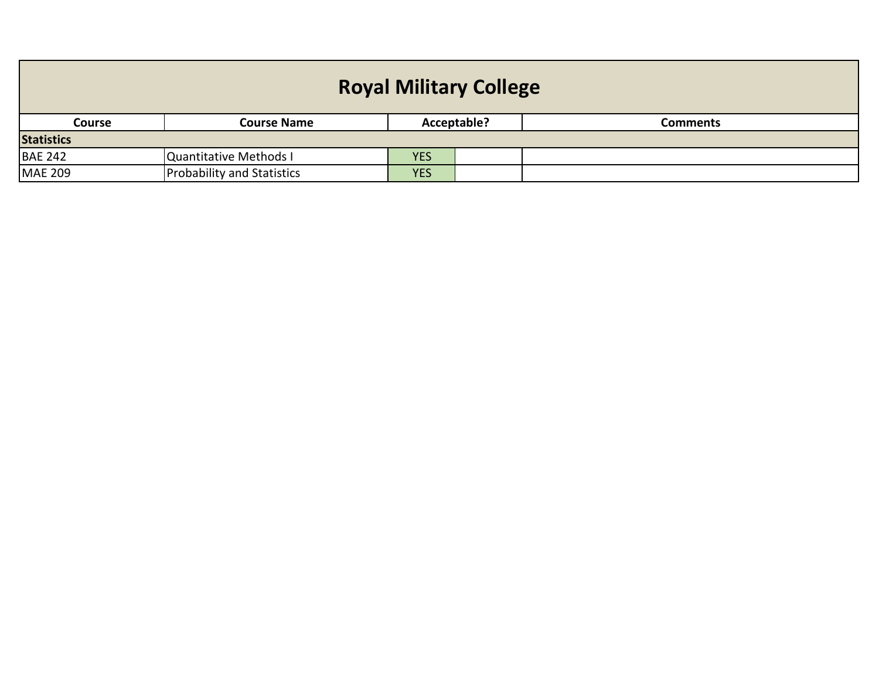| <b>Royal Military College</b>                                  |                                   |            |  |  |  |  |
|----------------------------------------------------------------|-----------------------------------|------------|--|--|--|--|
| Acceptable?<br><b>Course Name</b><br><b>Course</b><br>Comments |                                   |            |  |  |  |  |
| <b>Statistics</b>                                              |                                   |            |  |  |  |  |
| <b>BAE 242</b>                                                 | Quantitative Methods I            | <b>YES</b> |  |  |  |  |
| <b>MAE 209</b>                                                 | <b>Probability and Statistics</b> | <b>YES</b> |  |  |  |  |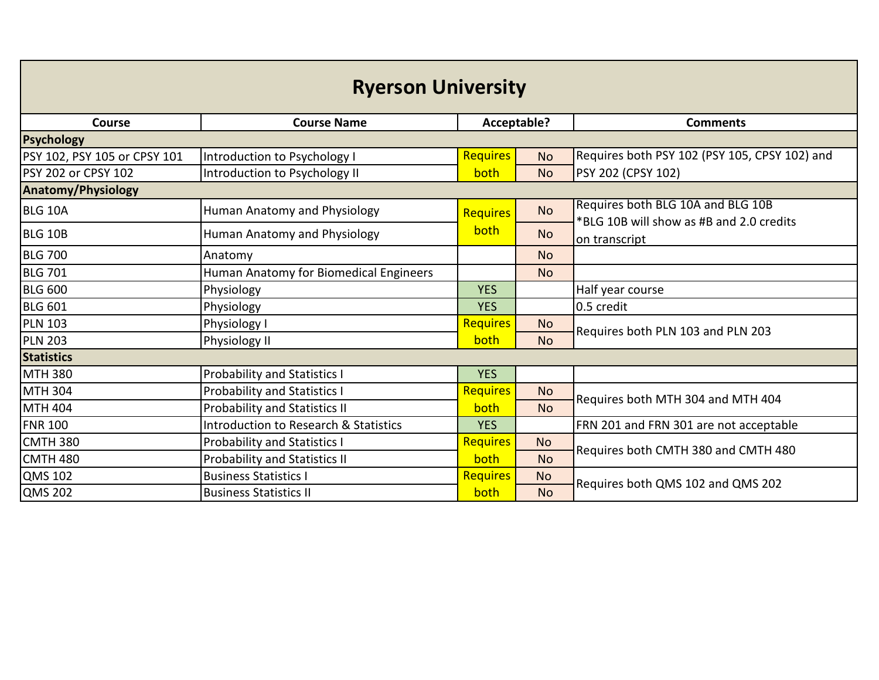| <b>Ryerson University</b>    |                                        |                 |           |                                                                               |  |  |
|------------------------------|----------------------------------------|-----------------|-----------|-------------------------------------------------------------------------------|--|--|
| <b>Course</b>                | <b>Course Name</b>                     | Acceptable?     |           | <b>Comments</b>                                                               |  |  |
| <b>Psychology</b>            |                                        |                 |           |                                                                               |  |  |
| PSY 102, PSY 105 or CPSY 101 | Introduction to Psychology I           | <b>Requires</b> | <b>No</b> | Requires both PSY 102 (PSY 105, CPSY 102) and                                 |  |  |
| PSY 202 or CPSY 102          | Introduction to Psychology II          | both            | <b>No</b> | PSY 202 (CPSY 102)                                                            |  |  |
| <b>Anatomy/Physiology</b>    |                                        |                 |           |                                                                               |  |  |
| <b>BLG 10A</b>               | Human Anatomy and Physiology           | <b>Requires</b> | <b>No</b> | Requires both BLG 10A and BLG 10B<br>*BLG 10B will show as #B and 2.0 credits |  |  |
| <b>BLG 10B</b>               | Human Anatomy and Physiology           | both            | <b>No</b> | on transcript                                                                 |  |  |
| <b>BLG 700</b>               | Anatomy                                |                 | <b>No</b> |                                                                               |  |  |
| <b>BLG 701</b>               | Human Anatomy for Biomedical Engineers |                 | <b>No</b> |                                                                               |  |  |
| <b>BLG 600</b>               | Physiology                             | <b>YES</b>      |           | Half year course                                                              |  |  |
| <b>BLG 601</b>               | Physiology                             | <b>YES</b>      |           | 0.5 credit                                                                    |  |  |
| <b>PLN 103</b>               | Physiology I                           | <b>Requires</b> | <b>No</b> | Requires both PLN 103 and PLN 203                                             |  |  |
| <b>PLN 203</b>               | Physiology II                          | both            | <b>No</b> |                                                                               |  |  |
| <b>Statistics</b>            |                                        |                 |           |                                                                               |  |  |
| <b>MTH 380</b>               | Probability and Statistics I           | <b>YES</b>      |           |                                                                               |  |  |
| <b>MTH 304</b>               | <b>Probability and Statistics I</b>    | <b>Requires</b> | <b>No</b> | Requires both MTH 304 and MTH 404                                             |  |  |
| <b>MTH 404</b>               | Probability and Statistics II          | both            | <b>No</b> |                                                                               |  |  |
| <b>FNR 100</b>               | Introduction to Research & Statistics  | <b>YES</b>      |           | FRN 201 and FRN 301 are not acceptable                                        |  |  |
| <b>CMTH 380</b>              | <b>Probability and Statistics I</b>    | <b>Requires</b> | <b>No</b> | Requires both CMTH 380 and CMTH 480                                           |  |  |
| <b>CMTH 480</b>              | <b>Probability and Statistics II</b>   | both            | <b>No</b> |                                                                               |  |  |
| <b>QMS 102</b>               | <b>Business Statistics I</b>           | Requires        | <b>No</b> | Requires both QMS 102 and QMS 202                                             |  |  |
| <b>QMS 202</b>               | <b>Business Statistics II</b>          | both            | <b>No</b> |                                                                               |  |  |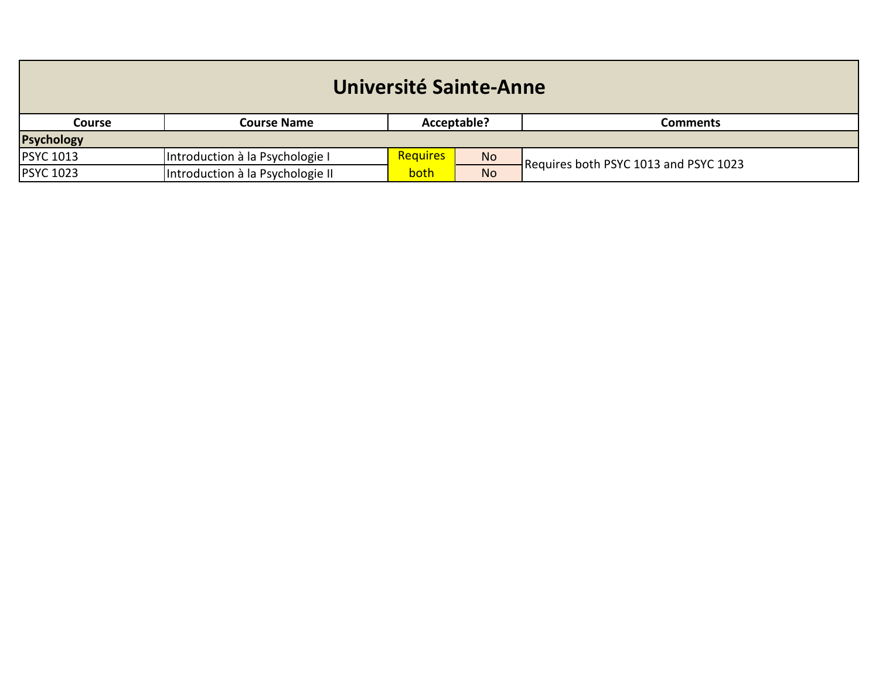| Université Sainte-Anne |                                  |                                |           |                                       |  |  |
|------------------------|----------------------------------|--------------------------------|-----------|---------------------------------------|--|--|
| <b>Course</b>          | <b>Course Name</b>               | Acceptable?<br><b>Comments</b> |           |                                       |  |  |
| <b>Psychology</b>      |                                  |                                |           |                                       |  |  |
| <b>PSYC 1013</b>       | Introduction à la Psychologie I  | <b>Requires</b>                | <b>No</b> | Requires both PSYC 1013 and PSYC 1023 |  |  |
| <b>PSYC 1023</b>       | Introduction à la Psychologie II | both                           | <b>No</b> |                                       |  |  |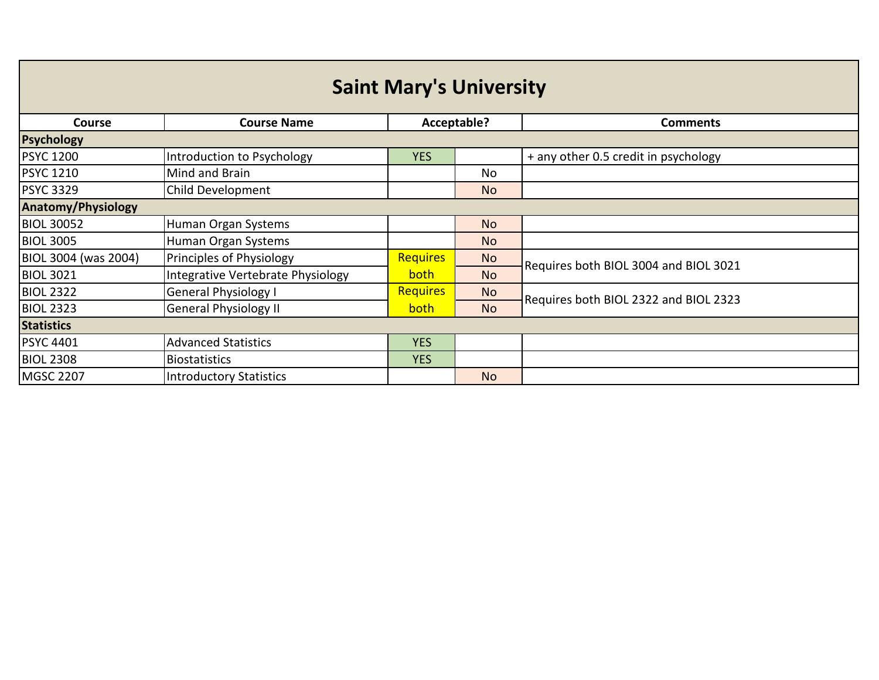| <b>Saint Mary's University</b> |                                   |                 |                |                                       |  |  |  |
|--------------------------------|-----------------------------------|-----------------|----------------|---------------------------------------|--|--|--|
| <b>Course</b>                  | <b>Course Name</b>                |                 | Acceptable?    | <b>Comments</b>                       |  |  |  |
| <b>Psychology</b>              |                                   |                 |                |                                       |  |  |  |
| <b>PSYC 1200</b>               | Introduction to Psychology        | <b>YES</b>      |                | + any other 0.5 credit in psychology  |  |  |  |
| <b>PSYC 1210</b>               | Mind and Brain                    |                 | No.            |                                       |  |  |  |
| <b>PSYC 3329</b>               | Child Development                 |                 | <b>No</b>      |                                       |  |  |  |
| <b>Anatomy/Physiology</b>      |                                   |                 |                |                                       |  |  |  |
| <b>BIOL 30052</b>              | Human Organ Systems               |                 | <b>No</b>      |                                       |  |  |  |
| <b>BIOL 3005</b>               | Human Organ Systems               |                 | N <sub>o</sub> |                                       |  |  |  |
| BIOL 3004 (was 2004)           | Principles of Physiology          | <b>Requires</b> | <b>No</b>      | Requires both BIOL 3004 and BIOL 3021 |  |  |  |
| <b>BIOL 3021</b>               | Integrative Vertebrate Physiology | both            | <b>No</b>      |                                       |  |  |  |
| <b>BIOL 2322</b>               | <b>General Physiology I</b>       | Requires        | <b>No</b>      | Requires both BIOL 2322 and BIOL 2323 |  |  |  |
| <b>BIOL 2323</b>               | <b>General Physiology II</b>      | both            | <b>No</b>      |                                       |  |  |  |
| <b>Statistics</b>              |                                   |                 |                |                                       |  |  |  |
| <b>PSYC 4401</b>               | <b>Advanced Statistics</b>        | <b>YES</b>      |                |                                       |  |  |  |
| <b>BIOL 2308</b>               | <b>Biostatistics</b>              | <b>YES</b>      |                |                                       |  |  |  |
| <b>MGSC 2207</b>               | <b>Introductory Statistics</b>    |                 | <b>No</b>      |                                       |  |  |  |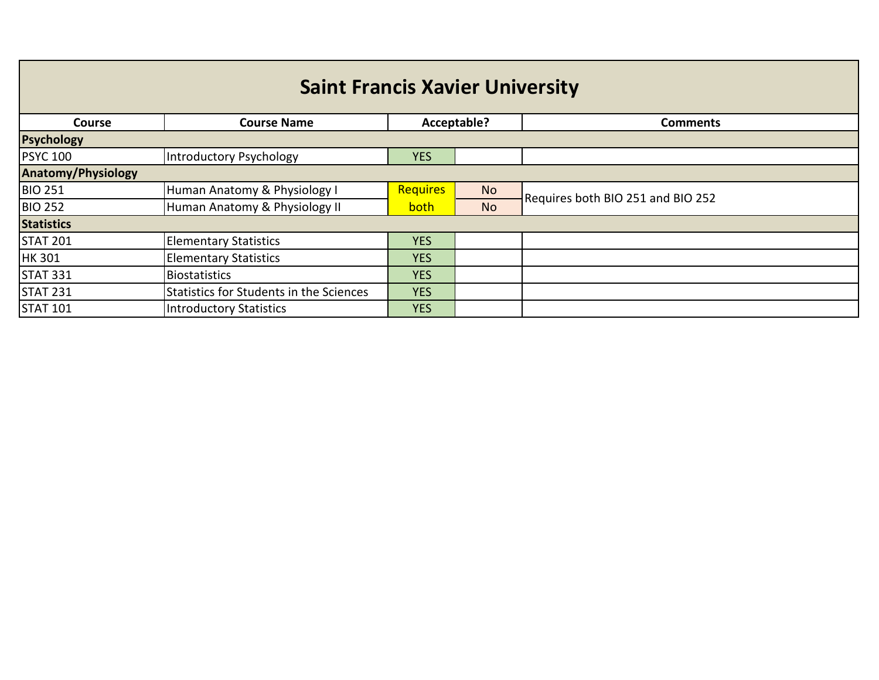| <b>Course</b>             | <b>Course Name</b>                      | Acceptable?     |           | <b>Comments</b>                   |  |  |  |
|---------------------------|-----------------------------------------|-----------------|-----------|-----------------------------------|--|--|--|
| <b>Psychology</b>         |                                         |                 |           |                                   |  |  |  |
| <b>PSYC 100</b>           | Introductory Psychology                 | <b>YES</b>      |           |                                   |  |  |  |
| <b>Anatomy/Physiology</b> |                                         |                 |           |                                   |  |  |  |
| <b>BIO 251</b>            | Human Anatomy & Physiology I            | <b>Requires</b> | <b>No</b> | Requires both BIO 251 and BIO 252 |  |  |  |
| <b>BIO 252</b>            | Human Anatomy & Physiology II           | <b>both</b>     | <b>No</b> |                                   |  |  |  |
| <b>Statistics</b>         |                                         |                 |           |                                   |  |  |  |
| <b>STAT 201</b>           | <b>Elementary Statistics</b>            | <b>YES</b>      |           |                                   |  |  |  |
| <b>HK 301</b>             | <b>Elementary Statistics</b>            | <b>YES</b>      |           |                                   |  |  |  |
| <b>STAT 331</b>           | <b>Biostatistics</b>                    | <b>YES</b>      |           |                                   |  |  |  |
| <b>STAT 231</b>           | Statistics for Students in the Sciences | <b>YES</b>      |           |                                   |  |  |  |
| <b>STAT 101</b>           | <b>Introductory Statistics</b>          | <b>YES</b>      |           |                                   |  |  |  |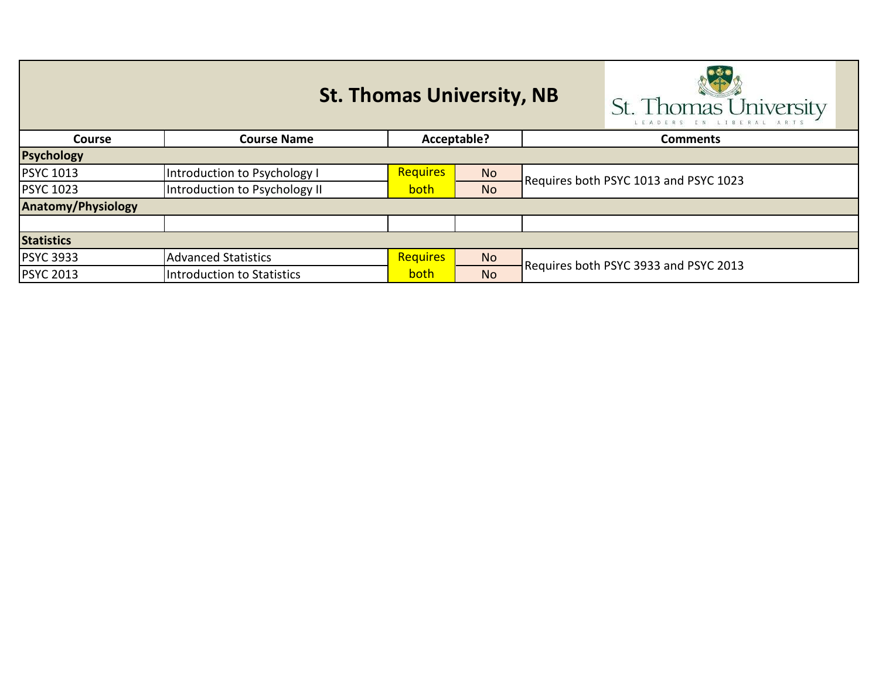|                           | <b>St. Thomas University, NB</b>  | St. Thomas University |           |                                       |  |  |
|---------------------------|-----------------------------------|-----------------------|-----------|---------------------------------------|--|--|
| <b>Course</b>             | Acceptable?<br><b>Course Name</b> |                       |           | <b>Comments</b>                       |  |  |
| <b>Psychology</b>         |                                   |                       |           |                                       |  |  |
| <b>PSYC 1013</b>          | Introduction to Psychology I      | <b>Requires</b>       | <b>No</b> | Requires both PSYC 1013 and PSYC 1023 |  |  |
| <b>PSYC 1023</b>          | Introduction to Psychology II     | <b>both</b>           | <b>No</b> |                                       |  |  |
| <b>Anatomy/Physiology</b> |                                   |                       |           |                                       |  |  |
|                           |                                   |                       |           |                                       |  |  |
| <b>Statistics</b>         |                                   |                       |           |                                       |  |  |
| <b>PSYC 3933</b>          | <b>Advanced Statistics</b>        | <b>Requires</b>       | <b>No</b> |                                       |  |  |
| <b>PSYC 2013</b>          | Introduction to Statistics        | both                  | <b>No</b> | Requires both PSYC 3933 and PSYC 2013 |  |  |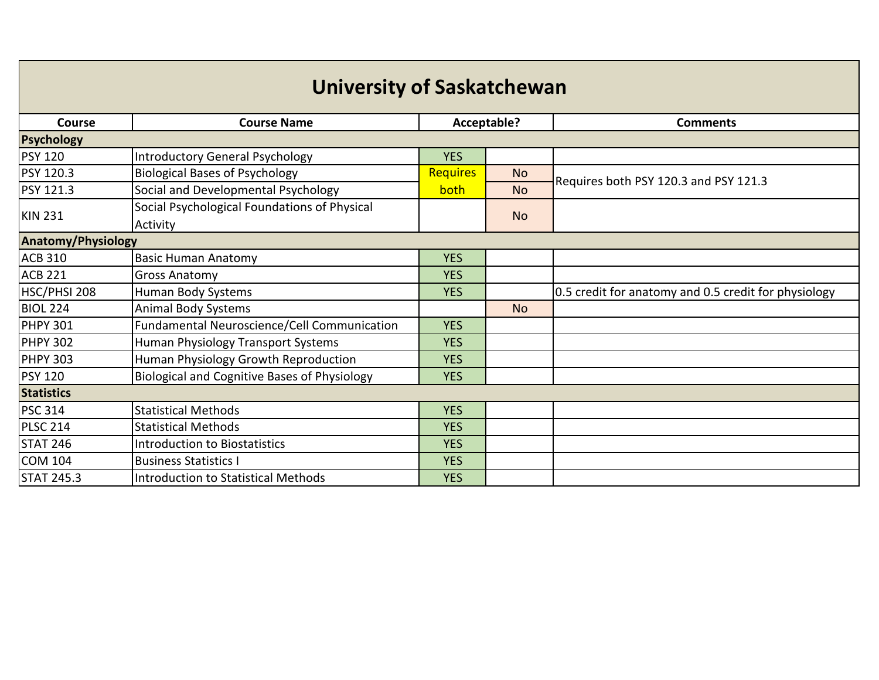| <b>University of Saskatchewan</b> |                                                          |                 |           |                                                      |  |  |
|-----------------------------------|----------------------------------------------------------|-----------------|-----------|------------------------------------------------------|--|--|
| Course                            | <b>Course Name</b>                                       | Acceptable?     |           | <b>Comments</b>                                      |  |  |
| Psychology                        |                                                          |                 |           |                                                      |  |  |
| <b>PSY 120</b>                    | <b>Introductory General Psychology</b>                   | <b>YES</b>      |           |                                                      |  |  |
| PSY 120.3                         | <b>Biological Bases of Psychology</b>                    | <b>Requires</b> | <b>No</b> | Requires both PSY 120.3 and PSY 121.3                |  |  |
| PSY 121.3                         | Social and Developmental Psychology                      | both            | <b>No</b> |                                                      |  |  |
| <b>KIN 231</b>                    | Social Psychological Foundations of Physical<br>Activity |                 | <b>No</b> |                                                      |  |  |
| <b>Anatomy/Physiology</b>         |                                                          |                 |           |                                                      |  |  |
| <b>ACB 310</b>                    | <b>Basic Human Anatomy</b>                               | <b>YES</b>      |           |                                                      |  |  |
| <b>ACB 221</b>                    | <b>Gross Anatomy</b>                                     | <b>YES</b>      |           |                                                      |  |  |
| HSC/PHSI 208                      | Human Body Systems                                       | <b>YES</b>      |           | 0.5 credit for anatomy and 0.5 credit for physiology |  |  |
| <b>BIOL 224</b>                   | <b>Animal Body Systems</b>                               |                 | <b>No</b> |                                                      |  |  |
| <b>PHPY 301</b>                   | Fundamental Neuroscience/Cell Communication              | <b>YES</b>      |           |                                                      |  |  |
| <b>PHPY 302</b>                   | Human Physiology Transport Systems                       | <b>YES</b>      |           |                                                      |  |  |
| <b>PHPY 303</b>                   | Human Physiology Growth Reproduction                     | <b>YES</b>      |           |                                                      |  |  |
| <b>PSY 120</b>                    | Biological and Cognitive Bases of Physiology             | <b>YES</b>      |           |                                                      |  |  |
| <b>Statistics</b>                 |                                                          |                 |           |                                                      |  |  |
| <b>PSC 314</b>                    | <b>Statistical Methods</b>                               | <b>YES</b>      |           |                                                      |  |  |
| <b>PLSC 214</b>                   | <b>Statistical Methods</b>                               | <b>YES</b>      |           |                                                      |  |  |
| <b>STAT 246</b>                   | <b>Introduction to Biostatistics</b>                     | <b>YES</b>      |           |                                                      |  |  |
| <b>COM 104</b>                    | <b>Business Statistics I</b>                             | <b>YES</b>      |           |                                                      |  |  |
| <b>STAT 245.3</b>                 | <b>Introduction to Statistical Methods</b>               | <b>YES</b>      |           |                                                      |  |  |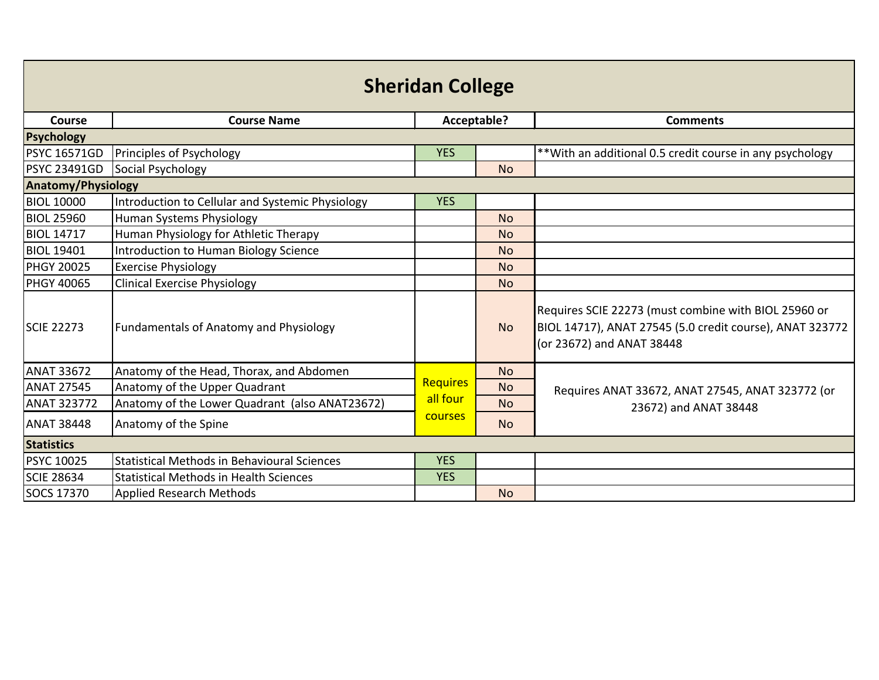| <b>Sheridan College</b>   |                                                    |                 |           |                                                                                                                                               |  |
|---------------------------|----------------------------------------------------|-----------------|-----------|-----------------------------------------------------------------------------------------------------------------------------------------------|--|
| Course                    | <b>Course Name</b>                                 | Acceptable?     |           | <b>Comments</b>                                                                                                                               |  |
| <b>Psychology</b>         |                                                    |                 |           |                                                                                                                                               |  |
| <b>PSYC 16571GD</b>       | Principles of Psychology                           | <b>YES</b>      |           | ** With an additional 0.5 credit course in any psychology                                                                                     |  |
| <b>PSYC 23491GD</b>       | Social Psychology                                  |                 | <b>No</b> |                                                                                                                                               |  |
| <b>Anatomy/Physiology</b> |                                                    |                 |           |                                                                                                                                               |  |
| <b>BIOL 10000</b>         | Introduction to Cellular and Systemic Physiology   | <b>YES</b>      |           |                                                                                                                                               |  |
| <b>BIOL 25960</b>         | Human Systems Physiology                           |                 | <b>No</b> |                                                                                                                                               |  |
| <b>BIOL 14717</b>         | Human Physiology for Athletic Therapy              |                 | <b>No</b> |                                                                                                                                               |  |
| <b>BIOL 19401</b>         | Introduction to Human Biology Science              |                 | <b>No</b> |                                                                                                                                               |  |
| <b>PHGY 20025</b>         | <b>Exercise Physiology</b>                         |                 | <b>No</b> |                                                                                                                                               |  |
| PHGY 40065                | <b>Clinical Exercise Physiology</b>                |                 | <b>No</b> |                                                                                                                                               |  |
| <b>SCIE 22273</b>         | <b>Fundamentals of Anatomy and Physiology</b>      |                 | <b>No</b> | Requires SCIE 22273 (must combine with BIOL 25960 or<br>BIOL 14717), ANAT 27545 (5.0 credit course), ANAT 323772<br>(or 23672) and ANAT 38448 |  |
| <b>ANAT 33672</b>         | Anatomy of the Head, Thorax, and Abdomen           |                 | <b>No</b> |                                                                                                                                               |  |
| <b>ANAT 27545</b>         | Anatomy of the Upper Quadrant                      | <b>Requires</b> | <b>No</b> | Requires ANAT 33672, ANAT 27545, ANAT 323772 (or                                                                                              |  |
| <b>ANAT 323772</b>        | Anatomy of the Lower Quadrant (also ANAT23672)     | all four        | <b>No</b> | 23672) and ANAT 38448                                                                                                                         |  |
| <b>ANAT 38448</b>         | Anatomy of the Spine                               | courses         | <b>No</b> |                                                                                                                                               |  |
| <b>Statistics</b>         |                                                    |                 |           |                                                                                                                                               |  |
| PSYC 10025                | <b>Statistical Methods in Behavioural Sciences</b> | <b>YES</b>      |           |                                                                                                                                               |  |
| <b>SCIE 28634</b>         | <b>Statistical Methods in Health Sciences</b>      | <b>YES</b>      |           |                                                                                                                                               |  |
| SOCS 17370                | <b>Applied Research Methods</b>                    |                 | <b>No</b> |                                                                                                                                               |  |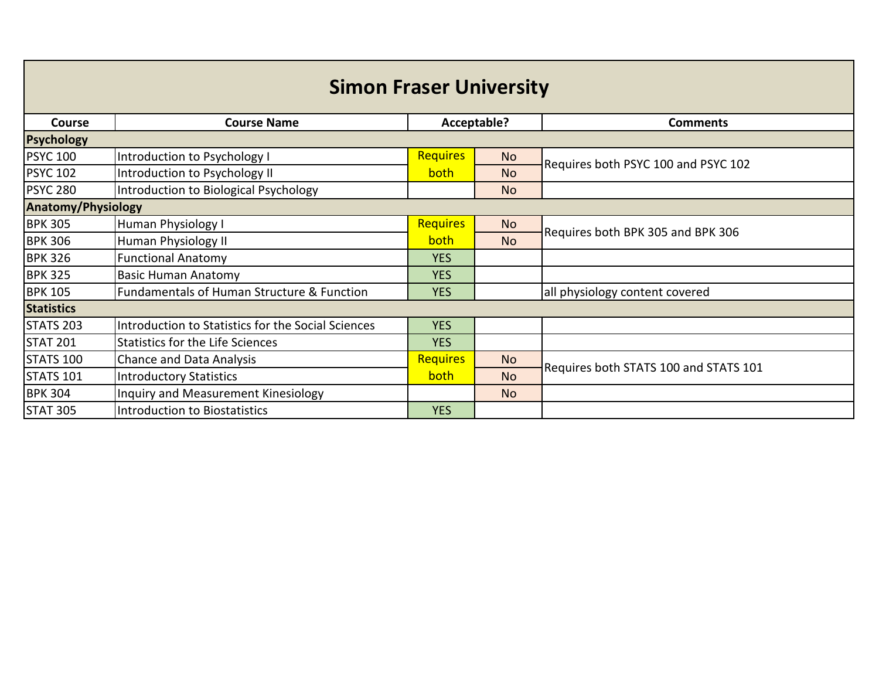| <b>Simon Fraser University</b> |                                                       |                 |             |                                       |  |  |
|--------------------------------|-------------------------------------------------------|-----------------|-------------|---------------------------------------|--|--|
| <b>Course</b>                  | <b>Course Name</b>                                    |                 | Acceptable? | <b>Comments</b>                       |  |  |
| <b>Psychology</b>              |                                                       |                 |             |                                       |  |  |
| <b>PSYC 100</b>                | Introduction to Psychology I                          | <b>Requires</b> | <b>No</b>   | Requires both PSYC 100 and PSYC 102   |  |  |
| <b>PSYC 102</b>                | Introduction to Psychology II                         | <b>both</b>     | <b>No</b>   |                                       |  |  |
| <b>PSYC 280</b>                | Introduction to Biological Psychology                 |                 | <b>No</b>   |                                       |  |  |
| <b>Anatomy/Physiology</b>      |                                                       |                 |             |                                       |  |  |
| <b>BPK 305</b>                 | Human Physiology I                                    | <b>Requires</b> | <b>No</b>   | Requires both BPK 305 and BPK 306     |  |  |
| <b>BPK 306</b>                 | <b>Human Physiology II</b>                            | both            | <b>No</b>   |                                       |  |  |
| <b>BPK 326</b>                 | <b>Functional Anatomy</b>                             | <b>YES</b>      |             |                                       |  |  |
| <b>BPK 325</b>                 | <b>Basic Human Anatomy</b>                            | <b>YES</b>      |             |                                       |  |  |
| <b>BPK 105</b>                 | <b>Fundamentals of Human Structure &amp; Function</b> | <b>YES</b>      |             | all physiology content covered        |  |  |
| <b>Statistics</b>              |                                                       |                 |             |                                       |  |  |
| <b>STATS 203</b>               | Introduction to Statistics for the Social Sciences    | <b>YES</b>      |             |                                       |  |  |
| <b>STAT 201</b>                | <b>Statistics for the Life Sciences</b>               | <b>YES</b>      |             |                                       |  |  |
| STATS 100                      | <b>Chance and Data Analysis</b>                       | <b>Requires</b> | <b>No</b>   | Requires both STATS 100 and STATS 101 |  |  |
| <b>STATS 101</b>               | <b>Introductory Statistics</b>                        | <b>both</b>     | <b>No</b>   |                                       |  |  |
| <b>BPK 304</b>                 | Inquiry and Measurement Kinesiology                   |                 | <b>No</b>   |                                       |  |  |
| <b>STAT 305</b>                | <b>Introduction to Biostatistics</b>                  | <b>YES</b>      |             |                                       |  |  |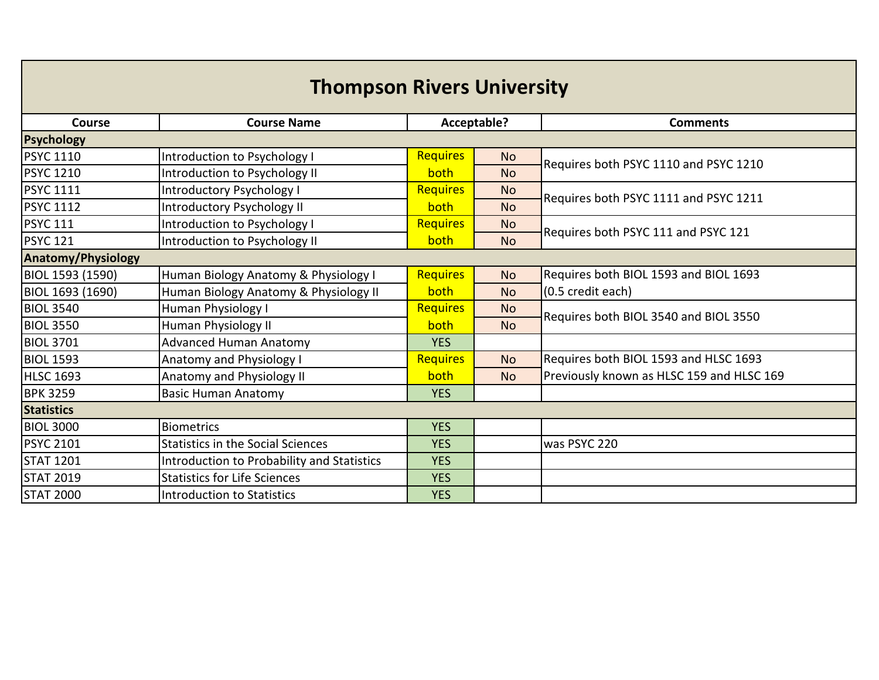| <b>Thompson Rivers University</b> |                                            |                 |             |                                           |  |  |  |
|-----------------------------------|--------------------------------------------|-----------------|-------------|-------------------------------------------|--|--|--|
| Course                            | <b>Course Name</b>                         |                 | Acceptable? | <b>Comments</b>                           |  |  |  |
| <b>Psychology</b>                 |                                            |                 |             |                                           |  |  |  |
| <b>PSYC 1110</b>                  | Introduction to Psychology I               | <b>Requires</b> | <b>No</b>   | Requires both PSYC 1110 and PSYC 1210     |  |  |  |
| <b>PSYC 1210</b>                  | Introduction to Psychology II              | both            | <b>No</b>   |                                           |  |  |  |
| <b>PSYC 1111</b>                  | Introductory Psychology I                  | <b>Requires</b> | <b>No</b>   | Requires both PSYC 1111 and PSYC 1211     |  |  |  |
| <b>PSYC 1112</b>                  | Introductory Psychology II                 | both            | <b>No</b>   |                                           |  |  |  |
| <b>PSYC 111</b>                   | Introduction to Psychology I               | <b>Requires</b> | <b>No</b>   | Requires both PSYC 111 and PSYC 121       |  |  |  |
| <b>PSYC 121</b>                   | Introduction to Psychology II              | both            | <b>No</b>   |                                           |  |  |  |
| <b>Anatomy/Physiology</b>         |                                            |                 |             |                                           |  |  |  |
| BIOL 1593 (1590)                  | Human Biology Anatomy & Physiology I       | <b>Requires</b> | <b>No</b>   | Requires both BIOL 1593 and BIOL 1693     |  |  |  |
| BIOL 1693 (1690)                  | Human Biology Anatomy & Physiology II      | both            | <b>No</b>   | (0.5 credit each)                         |  |  |  |
| <b>BIOL 3540</b>                  | Human Physiology I                         | <b>Requires</b> | <b>No</b>   | Requires both BIOL 3540 and BIOL 3550     |  |  |  |
| <b>BIOL 3550</b>                  | Human Physiology II                        | both            | <b>No</b>   |                                           |  |  |  |
| <b>BIOL 3701</b>                  | <b>Advanced Human Anatomy</b>              | <b>YES</b>      |             |                                           |  |  |  |
| <b>BIOL 1593</b>                  | <b>Anatomy and Physiology I</b>            | <b>Requires</b> | <b>No</b>   | Requires both BIOL 1593 and HLSC 1693     |  |  |  |
| <b>HLSC 1693</b>                  | Anatomy and Physiology II                  | both            | <b>No</b>   | Previously known as HLSC 159 and HLSC 169 |  |  |  |
| <b>BPK 3259</b>                   | <b>Basic Human Anatomy</b>                 | <b>YES</b>      |             |                                           |  |  |  |
| <b>Statistics</b>                 |                                            |                 |             |                                           |  |  |  |
| <b>BIOL 3000</b>                  | <b>Biometrics</b>                          | <b>YES</b>      |             |                                           |  |  |  |
| <b>PSYC 2101</b>                  | <b>Statistics in the Social Sciences</b>   | <b>YES</b>      |             | was PSYC 220                              |  |  |  |
| <b>STAT 1201</b>                  | Introduction to Probability and Statistics | <b>YES</b>      |             |                                           |  |  |  |
| <b>STAT 2019</b>                  | <b>Statistics for Life Sciences</b>        | <b>YES</b>      |             |                                           |  |  |  |
| <b>STAT 2000</b>                  | Introduction to Statistics                 | <b>YES</b>      |             |                                           |  |  |  |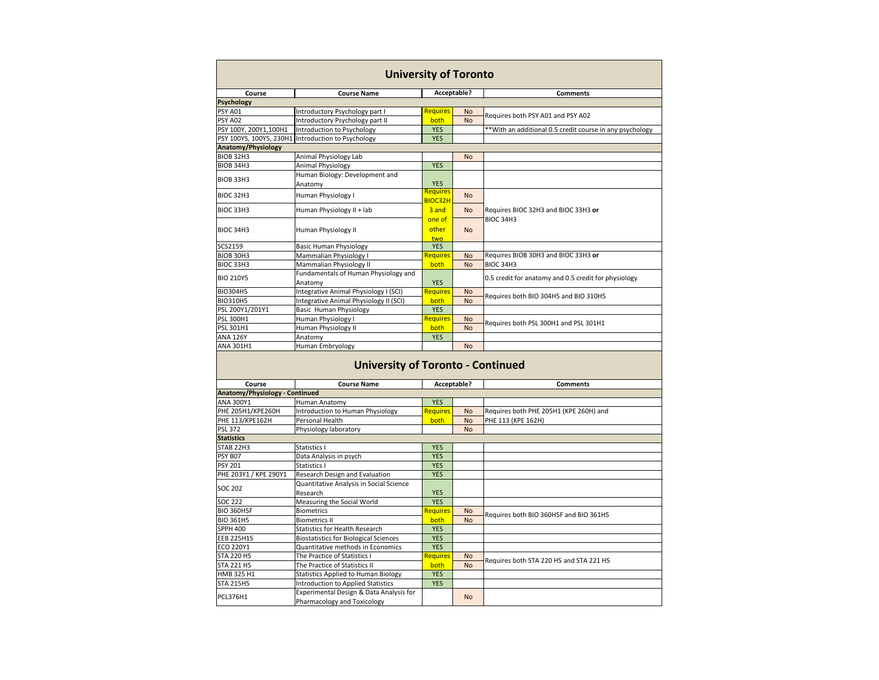| <b>University of Toronto</b> |                                        |                 |             |                       |  |  |
|------------------------------|----------------------------------------|-----------------|-------------|-----------------------|--|--|
| <b>Course</b>                | <b>Course Name</b>                     |                 | Acceptable? |                       |  |  |
| <b>Psychology</b>            |                                        |                 |             |                       |  |  |
| <b>PSY A01</b>               | Introductory Psychology part I         | <b>Requires</b> | <b>No</b>   | Requires both PSY A   |  |  |
| PSY A02                      | <b>Introductory Psychology part II</b> | both            | <b>No</b>   |                       |  |  |
| PSY 100Y, 200Y1,100H1        | Introduction to Psychology             | <b>YES</b>      |             | **With an additional  |  |  |
| PSY 100YS, 100Y5, 230H1      | Introduction to Psychology             | <b>YES</b>      |             |                       |  |  |
| Anatomy/Physiology           |                                        |                 |             |                       |  |  |
| <b>BIOB 32H3</b>             | Animal Physiology Lab                  |                 | <b>No</b>   |                       |  |  |
| <b>BIOB 34H3</b>             | <b>Animal Physiology</b>               | <b>YES</b>      |             |                       |  |  |
|                              | Human Biology: Development and         |                 |             |                       |  |  |
| <b>BIOB 33H3</b>             | Anatomy                                | <b>YES</b>      |             |                       |  |  |
| <b>BIOC 32H3</b>             | Human Physiology I                     | <b>Requires</b> | <b>No</b>   |                       |  |  |
|                              |                                        | BIOC32H         |             |                       |  |  |
| <b>BIOC 33H3</b>             | Human Physiology II + lab              | 3 and           | <b>No</b>   | Requires BIOC 32H3    |  |  |
|                              |                                        | one of          |             | <b>BIOC 34H3</b>      |  |  |
| <b>BIOC 34H3</b>             | Human Physiology II                    | other           | <b>No</b>   |                       |  |  |
|                              |                                        | two             |             |                       |  |  |
| SCS2159                      | <b>Basic Human Physiology</b>          | <b>YES</b>      |             |                       |  |  |
| <b>BIOB 30H3</b>             | Mammalian Physiology I                 | Requires        | <b>No</b>   | Requires BIOB 30H3    |  |  |
| BIOC 33H3                    | <b>Mammalian Physiology II</b>         | both            | <b>No</b>   | BIOC 34H3             |  |  |
| <b>BIO 210Y5</b>             | Fundamentals of Human Physiology and   |                 |             | 0.5 credit for anatom |  |  |
|                              | Anatomy                                | <b>YES</b>      |             |                       |  |  |
| <b>BIO304H5</b>              | Integrative Animal Physiology I (SCI)  | Requires        | <b>No</b>   | Requires both BIO 30  |  |  |
| <b>BIO310H5</b>              | Integrative Animal Physiology II (SCI) | both            | <b>No</b>   |                       |  |  |
| PSL 200Y1/201Y1              | <b>Basic Human Physiology</b>          | <b>YES</b>      |             |                       |  |  |
| <b>PSL 300H1</b>             | Human Physiology I                     | <b>Requires</b> | <b>No</b>   | Requires both PSL 30  |  |  |
| PSL 301H1                    | Human Physiology II                    | both            | <b>No</b>   |                       |  |  |
| <b>ANA 126Y</b>              | Anatomy                                | <b>YES</b>      |             |                       |  |  |
| ANA 301H1                    | <b>Human Embryology</b>                |                 | <b>No</b>   |                       |  |  |

| <b>Course Name</b><br><b>Course</b>   |                                              |                 | Acceptable? |                      |
|---------------------------------------|----------------------------------------------|-----------------|-------------|----------------------|
| <b>Anatomy/Physiology - Continued</b> |                                              |                 |             |                      |
| <b>ANA 300Y1</b>                      | Human Anatomy                                | <b>YES</b>      |             |                      |
| <b>PHE 205H1/KPE260H</b>              | Introduction to Human Physiology             | <b>Requires</b> | <b>No</b>   | Requires both PHE 2  |
| <b>PHE 113/KPE162H</b>                | <b>Personal Health</b>                       | both            | <b>No</b>   | PHE 113 (KPE 162H)   |
| <b>PSL 372</b>                        | Physiology laboratory                        |                 | <b>No</b>   |                      |
| <b>Statistics</b>                     |                                              |                 |             |                      |
| STAB <sub>22H3</sub>                  | <b>Statistics I</b>                          | <b>YES</b>      |             |                      |
| PSY B07                               | Data Analysis in psych                       | <b>YES</b>      |             |                      |
| <b>PSY 201</b>                        | Statistics I                                 | <b>YES</b>      |             |                      |
| PHE 203Y1 / KPE 290Y1                 | Research Design and Evaluation               | <b>YES</b>      |             |                      |
| <b>SOC 202</b>                        | Quantitative Analysis in Social Science      |                 |             |                      |
|                                       | Research                                     | <b>YES</b>      |             |                      |
| <b>SOC 222</b>                        | Measuring the Social World                   | <b>YES</b>      |             |                      |
| BIO 360H5F                            | <b>Biometrics</b>                            | <b>Requires</b> | <b>No</b>   |                      |
| <b>BIO 361H5</b>                      | <b>Biometrics II</b>                         | both            | <b>No</b>   | Requires both BIO 36 |
| <b>SPPH 400</b>                       | <b>Statistics for Health Research</b>        | <b>YES</b>      |             |                      |
| EEB 225H1S                            | <b>Biostatistics for Biological Sciences</b> | <b>YES</b>      |             |                      |
| <b>ECO 220Y1</b>                      | Quantitative methods in Economics            | <b>YES</b>      |             |                      |
| <b>STA 220 H5</b>                     | The Practice of Statistics I                 | <b>Requires</b> | <b>No</b>   |                      |
| <b>STA 221 H5</b>                     | The Practice of Statistics II                | both            | <b>No</b>   | Requires both STA 22 |
| HMB 325 H1                            | <b>Statistics Applied to Human Biology</b>   | <b>YES</b>      |             |                      |
| <b>STA 215H5</b>                      | <b>Introduction to Applied Statistics</b>    | <b>YES</b>      |             |                      |
| PCL376H1                              | Experimental Design & Data Analysis for      |                 |             |                      |
|                                       | Pharmacology and Toxicology                  |                 | <b>No</b>   |                      |

#### **Comments**

Requires A02

al 0.5 credit course in any psychology

Beard BIOC 33H3 or

B and BIOC 33H3 or

my and 0.5 credit for physiology

804H5 and BIO 310H5

00H1 and PSL 301H1

 $Comments$ 

 $205H1$  (KPE 260H) and

60H5F and BIO 361H5

220 H5 and STA 221 H5

# **University of Toronto - Continued**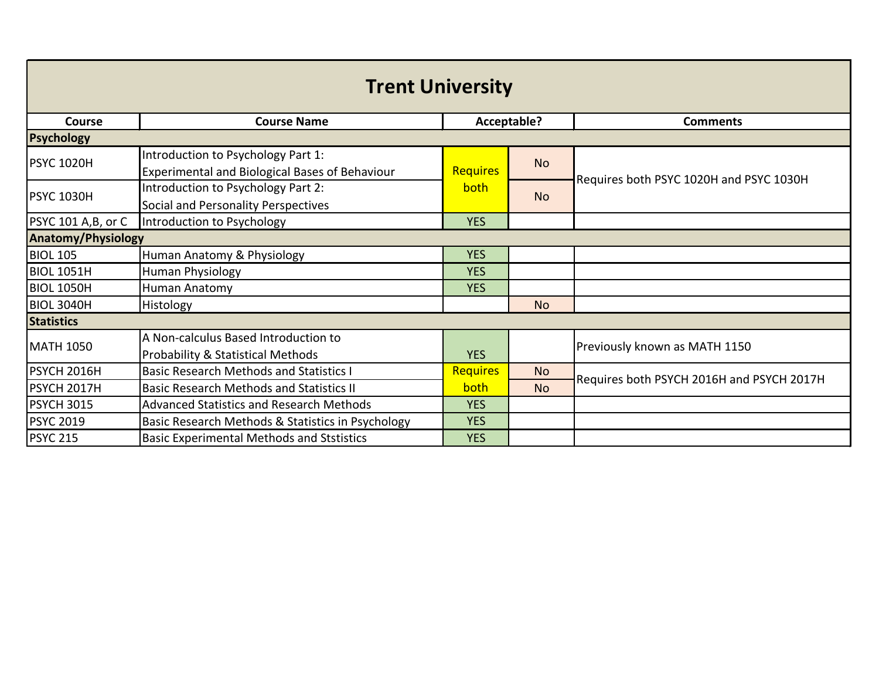| <b>Trent University</b>   |                                                                                      |                 |           |                                           |  |
|---------------------------|--------------------------------------------------------------------------------------|-----------------|-----------|-------------------------------------------|--|
| Course                    | <b>Course Name</b><br>Acceptable?                                                    |                 |           | <b>Comments</b>                           |  |
| <b>Psychology</b>         |                                                                                      |                 |           |                                           |  |
| <b>PSYC 1020H</b>         | Introduction to Psychology Part 1:<br>Experimental and Biological Bases of Behaviour | <b>Requires</b> | <b>No</b> |                                           |  |
| <b>PSYC 1030H</b>         | Introduction to Psychology Part 2:<br>Social and Personality Perspectives            | both            | <b>No</b> | Requires both PSYC 1020H and PSYC 1030H   |  |
| PSYC 101 A,B, or C        | Introduction to Psychology                                                           | <b>YES</b>      |           |                                           |  |
| <b>Anatomy/Physiology</b> |                                                                                      |                 |           |                                           |  |
| <b>BIOL 105</b>           | Human Anatomy & Physiology                                                           | <b>YES</b>      |           |                                           |  |
| <b>BIOL 1051H</b>         | <b>Human Physiology</b>                                                              | <b>YES</b>      |           |                                           |  |
| <b>BIOL 1050H</b>         | Human Anatomy                                                                        | <b>YES</b>      |           |                                           |  |
| <b>BIOL 3040H</b>         | Histology                                                                            |                 | <b>No</b> |                                           |  |
| <b>Statistics</b>         |                                                                                      |                 |           |                                           |  |
| <b>MATH 1050</b>          | A Non-calculus Based Introduction to<br><b>Probability &amp; Statistical Methods</b> | <b>YES</b>      |           | Previously known as MATH 1150             |  |
| PSYCH 2016H               | <b>Basic Research Methods and Statistics I</b>                                       | <b>Requires</b> | <b>No</b> | Requires both PSYCH 2016H and PSYCH 2017H |  |
| PSYCH 2017H               | <b>Basic Research Methods and Statistics II</b>                                      | both            | <b>No</b> |                                           |  |
| <b>PSYCH 3015</b>         | <b>Advanced Statistics and Research Methods</b>                                      | <b>YES</b>      |           |                                           |  |
| <b>PSYC 2019</b>          | Basic Research Methods & Statistics in Psychology                                    | <b>YES</b>      |           |                                           |  |
| <b>PSYC 215</b>           | <b>Basic Experimental Methods and Ststistics</b>                                     | <b>YES</b>      |           |                                           |  |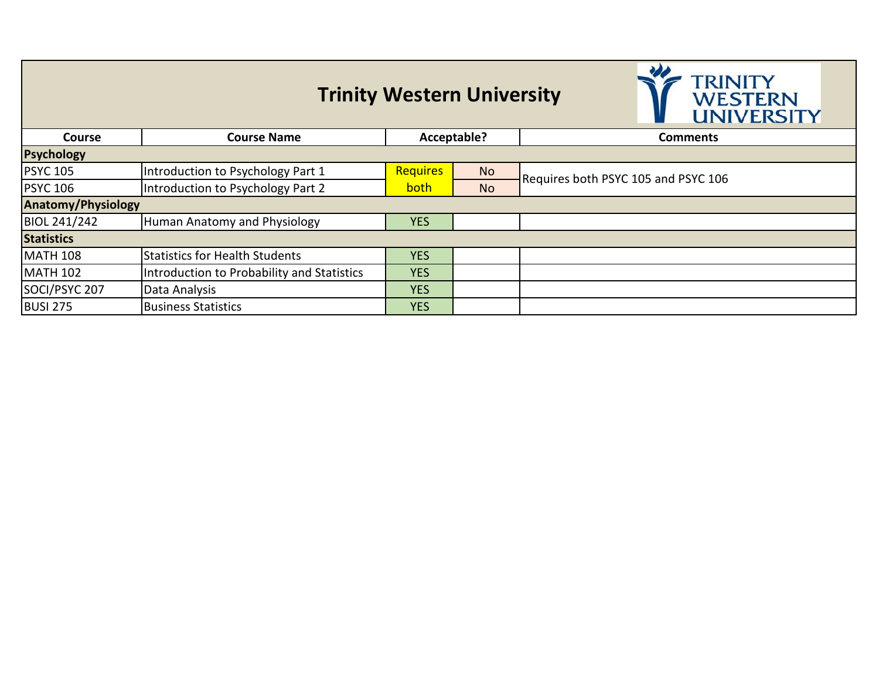### **Trinity Western University**



| <b>Course</b>             | <b>Course Name</b>                         | Acceptable?     |           | Comments                            |  |
|---------------------------|--------------------------------------------|-----------------|-----------|-------------------------------------|--|
| Psychology                |                                            |                 |           |                                     |  |
| <b>PSYC 105</b>           | Introduction to Psychology Part 1          | <b>Requires</b> | <b>No</b> | Requires both PSYC 105 and PSYC 106 |  |
| <b>PSYC 106</b>           | Introduction to Psychology Part 2          | both            | <b>No</b> |                                     |  |
| <b>Anatomy/Physiology</b> |                                            |                 |           |                                     |  |
| <b>BIOL 241/242</b>       | Human Anatomy and Physiology               | <b>YES</b>      |           |                                     |  |
| <b>Statistics</b>         |                                            |                 |           |                                     |  |
| <b>MATH 108</b>           | Statistics for Health Students             | <b>YES</b>      |           |                                     |  |
| <b>MATH 102</b>           | Introduction to Probability and Statistics | <b>YES</b>      |           |                                     |  |
| SOCI/PSYC 207             | Data Analysis                              | <b>YES</b>      |           |                                     |  |
| <b>BUSI 275</b>           | <b>Business Statistics</b>                 | <b>YES</b>      |           |                                     |  |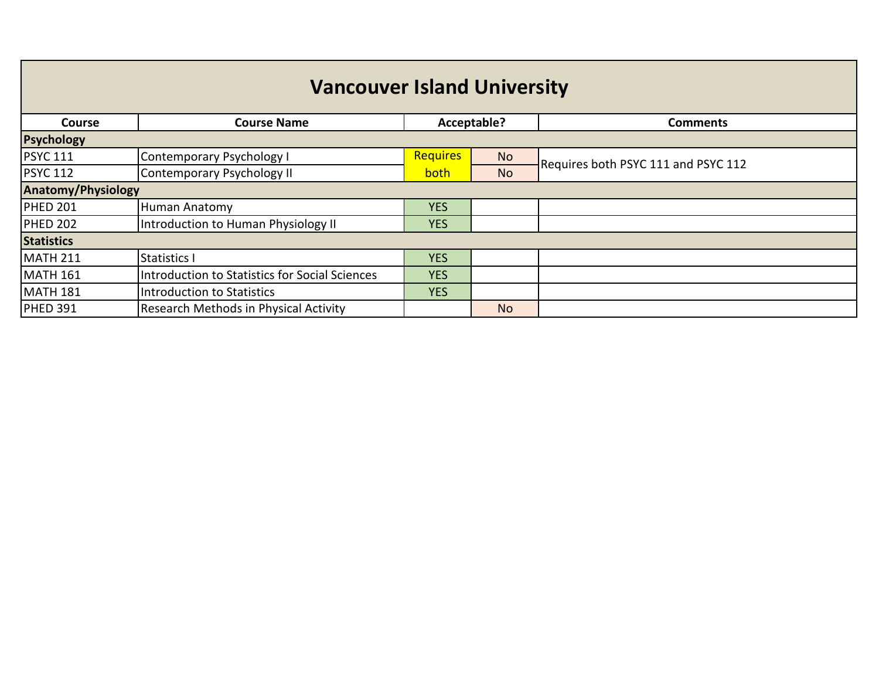| <b>Vancouver Island University</b> |                                                |                 |           |                                     |  |
|------------------------------------|------------------------------------------------|-----------------|-----------|-------------------------------------|--|
| <b>Course</b>                      | <b>Course Name</b>                             | Acceptable?     |           | <b>Comments</b>                     |  |
| <b>Psychology</b>                  |                                                |                 |           |                                     |  |
| <b>PSYC 111</b>                    | Contemporary Psychology I                      | <b>Requires</b> | <b>No</b> | Requires both PSYC 111 and PSYC 112 |  |
| <b>PSYC 112</b>                    | Contemporary Psychology II                     | <b>both</b>     | <b>No</b> |                                     |  |
| <b>Anatomy/Physiology</b>          |                                                |                 |           |                                     |  |
| <b>PHED 201</b>                    | <b>Human Anatomy</b>                           | <b>YES</b>      |           |                                     |  |
| <b>PHED 202</b>                    | Introduction to Human Physiology II            | <b>YES</b>      |           |                                     |  |
| <b>Statistics</b>                  |                                                |                 |           |                                     |  |
| <b>MATH 211</b>                    | <b>Statistics I</b>                            | <b>YES</b>      |           |                                     |  |
| <b>MATH 161</b>                    | Introduction to Statistics for Social Sciences | <b>YES</b>      |           |                                     |  |
| <b>MATH 181</b>                    | Introduction to Statistics                     | <b>YES</b>      |           |                                     |  |
| <b>PHED 391</b>                    | Research Methods in Physical Activity          |                 | <b>No</b> |                                     |  |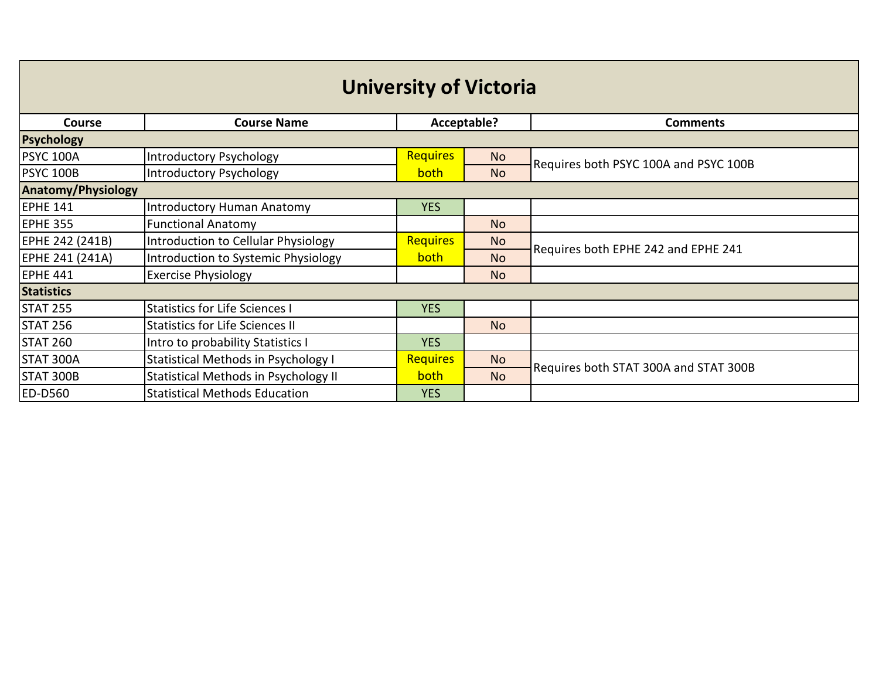| <b>University of Victoria</b> |                                            |                 |                |                                       |  |  |
|-------------------------------|--------------------------------------------|-----------------|----------------|---------------------------------------|--|--|
| <b>Course</b>                 | <b>Course Name</b>                         | Acceptable?     |                | <b>Comments</b>                       |  |  |
| <b>Psychology</b>             |                                            |                 |                |                                       |  |  |
| <b>PSYC 100A</b>              | Introductory Psychology                    | <b>Requires</b> | <b>No</b>      | Requires both PSYC 100A and PSYC 100B |  |  |
| <b>PSYC 100B</b>              | Introductory Psychology                    | both            | <b>No</b>      |                                       |  |  |
| <b>Anatomy/Physiology</b>     |                                            |                 |                |                                       |  |  |
| <b>EPHE 141</b>               | Introductory Human Anatomy                 | <b>YES</b>      |                |                                       |  |  |
| <b>EPHE 355</b>               | <b>Functional Anatomy</b>                  |                 | <b>No</b>      |                                       |  |  |
| EPHE 242 (241B)               | Introduction to Cellular Physiology        | <b>Requires</b> | No.            | Requires both EPHE 242 and EPHE 241   |  |  |
| EPHE 241 (241A)               | Introduction to Systemic Physiology        | both            | N <sub>o</sub> |                                       |  |  |
| <b>EPHE 441</b>               | <b>Exercise Physiology</b>                 |                 | <b>No</b>      |                                       |  |  |
| <b>Statistics</b>             |                                            |                 |                |                                       |  |  |
| <b>STAT 255</b>               | <b>Statistics for Life Sciences I</b>      | <b>YES</b>      |                |                                       |  |  |
| <b>STAT 256</b>               | <b>Statistics for Life Sciences II</b>     |                 | <b>No</b>      |                                       |  |  |
| <b>STAT 260</b>               | Intro to probability Statistics I          | <b>YES</b>      |                |                                       |  |  |
| STAT 300A                     | <b>Statistical Methods in Psychology I</b> | <b>Requires</b> | N <sub>o</sub> |                                       |  |  |
| STAT 300B                     | Statistical Methods in Psychology II       | both            | <b>No</b>      | Requires both STAT 300A and STAT 300B |  |  |
| <b>ED-D560</b>                | <b>Statistical Methods Education</b>       | <b>YES</b>      |                |                                       |  |  |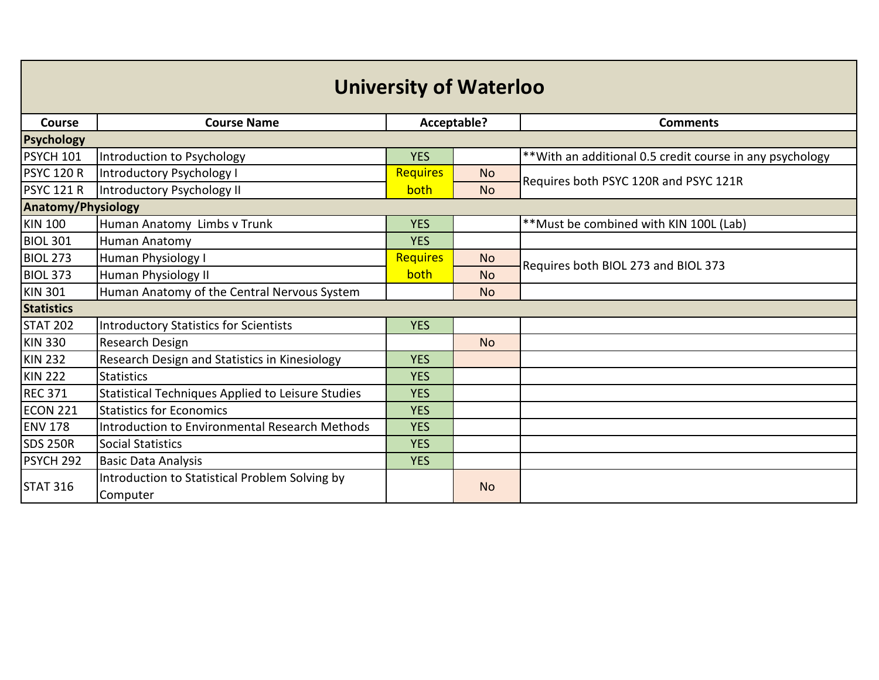| <b>University of Waterloo</b> |                                                            |                 |             |                                                           |  |  |
|-------------------------------|------------------------------------------------------------|-----------------|-------------|-----------------------------------------------------------|--|--|
| <b>Course</b>                 | <b>Course Name</b>                                         |                 | Acceptable? | <b>Comments</b>                                           |  |  |
| <b>Psychology</b>             |                                                            |                 |             |                                                           |  |  |
| PSYCH 101                     | Introduction to Psychology                                 | <b>YES</b>      |             | ** With an additional 0.5 credit course in any psychology |  |  |
| <b>PSYC 120 R</b>             | Introductory Psychology I                                  | <b>Requires</b> | <b>No</b>   | Requires both PSYC 120R and PSYC 121R                     |  |  |
| <b>PSYC 121 R</b>             | Introductory Psychology II                                 | both            | <b>No</b>   |                                                           |  |  |
| <b>Anatomy/Physiology</b>     |                                                            |                 |             |                                                           |  |  |
| <b>KIN 100</b>                | Human Anatomy Limbs v Trunk                                | <b>YES</b>      |             | **Must be combined with KIN 100L (Lab)                    |  |  |
| <b>BIOL 301</b>               | <b>Human Anatomy</b>                                       | <b>YES</b>      |             |                                                           |  |  |
| <b>BIOL 273</b>               | Human Physiology I                                         | <b>Requires</b> | <b>No</b>   | Requires both BIOL 273 and BIOL 373                       |  |  |
| <b>BIOL 373</b>               | Human Physiology II                                        | both            | <b>No</b>   |                                                           |  |  |
| <b>KIN 301</b>                | Human Anatomy of the Central Nervous System                |                 | <b>No</b>   |                                                           |  |  |
| <b>Statistics</b>             |                                                            |                 |             |                                                           |  |  |
| <b>STAT 202</b>               | <b>Introductory Statistics for Scientists</b>              | <b>YES</b>      |             |                                                           |  |  |
| <b>KIN 330</b>                | Research Design                                            |                 | <b>No</b>   |                                                           |  |  |
| <b>KIN 232</b>                | Research Design and Statistics in Kinesiology              | <b>YES</b>      |             |                                                           |  |  |
| <b>KIN 222</b>                | <b>Statistics</b>                                          | <b>YES</b>      |             |                                                           |  |  |
| <b>REC 371</b>                | Statistical Techniques Applied to Leisure Studies          | <b>YES</b>      |             |                                                           |  |  |
| <b>ECON 221</b>               | <b>Statistics for Economics</b>                            | <b>YES</b>      |             |                                                           |  |  |
| <b>ENV 178</b>                | Introduction to Environmental Research Methods             | <b>YES</b>      |             |                                                           |  |  |
| <b>SDS 250R</b>               | <b>Social Statistics</b>                                   | <b>YES</b>      |             |                                                           |  |  |
| PSYCH 292                     | <b>Basic Data Analysis</b>                                 | <b>YES</b>      |             |                                                           |  |  |
| <b>STAT 316</b>               | Introduction to Statistical Problem Solving by<br>Computer |                 | <b>No</b>   |                                                           |  |  |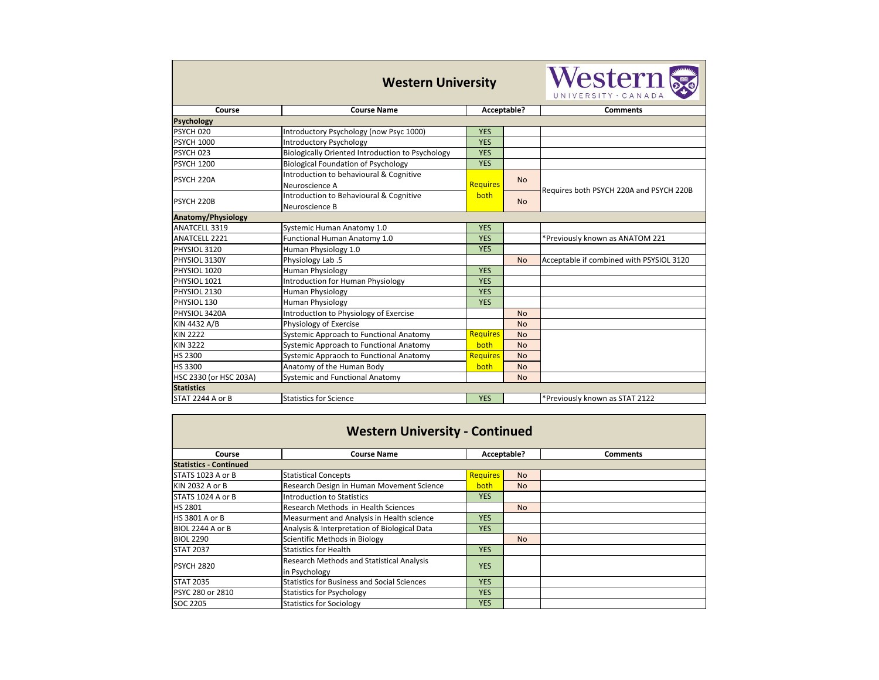| <b>Western University</b> |                                                         |                 |           | Western &<br>UNIVERSITY · CANADA         |  |
|---------------------------|---------------------------------------------------------|-----------------|-----------|------------------------------------------|--|
| Course                    | <b>Course Name</b>                                      | Acceptable?     |           | <b>Comments</b>                          |  |
| <b>Psychology</b>         |                                                         |                 |           |                                          |  |
| PSYCH 020                 | Introductory Psychology (now Psyc 1000)                 | <b>YES</b>      |           |                                          |  |
| <b>PSYCH 1000</b>         | <b>Introductory Psychology</b>                          | <b>YES</b>      |           |                                          |  |
| PSYCH 023                 | <b>Biologically Oriented Introduction to Psychology</b> | <b>YES</b>      |           |                                          |  |
| <b>PSYCH 1200</b>         | <b>Biological Foundation of Psychology</b>              | <b>YES</b>      |           |                                          |  |
|                           | Introduction to behavioural & Cognitive                 |                 |           |                                          |  |
| PSYCH 220A                | Neuroscience A                                          | <b>Requires</b> | <b>No</b> |                                          |  |
|                           | Introduction to Behavioural & Cognitive                 | both            |           | Requires both PSYCH 220A and PSYCH 220B  |  |
| PSYCH 220B                | Neuroscience B                                          |                 | <b>No</b> |                                          |  |
| <b>Anatomy/Physiology</b> |                                                         |                 |           |                                          |  |
| ANATCELL 3319             | Systemic Human Anatomy 1.0                              | <b>YES</b>      |           |                                          |  |
| <b>ANATCELL 2221</b>      | Functional Human Anatomy 1.0                            | <b>YES</b>      |           | *Previously known as ANATOM 221          |  |
| PHYSIOL 3120              | Human Physiology 1.0                                    | <b>YES</b>      |           |                                          |  |
| PHYSIOL 3130Y             | Physiology Lab .5                                       |                 | <b>No</b> | Acceptable if combined with PSYSIOL 3120 |  |
| PHYSIOL 1020              | Human Physiology                                        | <b>YES</b>      |           |                                          |  |
| PHYSIOL 1021              | <b>Introduction for Human Physiology</b>                | <b>YES</b>      |           |                                          |  |
| PHYSIOL 2130              | <b>Human Physiology</b>                                 | <b>YES</b>      |           |                                          |  |
| PHYSIOL 130               | <b>Human Physiology</b>                                 | <b>YES</b>      |           |                                          |  |
| PHYSIOL 3420A             | Introduction to Physiology of Exercise                  |                 | <b>No</b> |                                          |  |
| KIN 4432 A/B              | Physiology of Exercise                                  |                 | <b>No</b> |                                          |  |
| <b>KIN 2222</b>           | Systemic Approach to Functional Anatomy                 | <b>Requires</b> | <b>No</b> |                                          |  |
| <b>KIN 3222</b>           | Systemic Approach to Functional Anatomy                 | both            | <b>No</b> |                                          |  |
| HS 2300                   | Systemic Appraoch to Functional Anatomy                 | <b>Requires</b> | <b>No</b> |                                          |  |
| HS 3300                   | Anatomy of the Human Body                               | both            | <b>No</b> |                                          |  |
| HSC 2330 (or HSC 203A)    | <b>Systemic and Functional Anatomy</b>                  |                 | <b>No</b> |                                          |  |
| <b>Statistics</b>         |                                                         |                 |           |                                          |  |
| STAT 2244 A or B          | <b>Statistics for Science</b>                           | <b>YES</b>      |           | *Previously known as STAT 2122           |  |
|                           |                                                         |                 |           |                                          |  |

| <b>Western University - Continued</b> |                                                    |                 |                |                 |  |  |  |
|---------------------------------------|----------------------------------------------------|-----------------|----------------|-----------------|--|--|--|
| Course                                | <b>Course Name</b>                                 | Acceptable?     |                | <b>Comments</b> |  |  |  |
| <b>Statistics - Continued</b>         |                                                    |                 |                |                 |  |  |  |
| STATS 1023 A or B                     | <b>Statistical Concepts</b>                        | <b>Requires</b> | <b>No</b>      |                 |  |  |  |
| KIN 2032 A or B                       | Research Design in Human Movement Science          | both            | N <sub>o</sub> |                 |  |  |  |
| STATS 1024 A or B                     | <b>Introduction to Statistics</b>                  | <b>YES</b>      |                |                 |  |  |  |
| <b>HS 2801</b>                        | Research Methods in Health Sciences                |                 | <b>No</b>      |                 |  |  |  |
| <b>HS 3801 A or B</b>                 | Measurment and Analysis in Health science          | <b>YES</b>      |                |                 |  |  |  |
| BIOL 2244 A or B                      | Analysis & Interpretation of Biological Data       | <b>YES</b>      |                |                 |  |  |  |
| <b>BIOL 2290</b>                      | Scientific Methods in Biology                      |                 | No.            |                 |  |  |  |
| <b>STAT 2037</b>                      | <b>Statistics for Health</b>                       | <b>YES</b>      |                |                 |  |  |  |
| <b>PSYCH 2820</b>                     | <b>Research Methods and Statistical Analysis</b>   |                 |                |                 |  |  |  |
|                                       | in Psychology                                      | <b>YES</b>      |                |                 |  |  |  |
| <b>STAT 2035</b>                      | <b>Statistics for Business and Social Sciences</b> | <b>YES</b>      |                |                 |  |  |  |
| PSYC 280 or 2810                      | <b>Statistics for Psychology</b>                   | <b>YES</b>      |                |                 |  |  |  |
| SOC 2205                              | <b>Statistics for Sociology</b>                    | <b>YES</b>      |                |                 |  |  |  |

| $r\mathbf{n}$ (<br>VADA |
|-------------------------|
| ts                      |
|                         |
|                         |
|                         |
|                         |
| and PSYCH 220B          |
|                         |
|                         |
| OM 221                  |
| h PSYSIOL 3120          |
|                         |
|                         |
|                         |
|                         |
|                         |
|                         |
|                         |
|                         |
|                         |
| 2122                    |
|                         |
|                         |
| $\frac{1}{2}$           |
|                         |
|                         |
|                         |
|                         |
|                         |
|                         |
|                         |
|                         |
|                         |
|                         |
|                         |
|                         |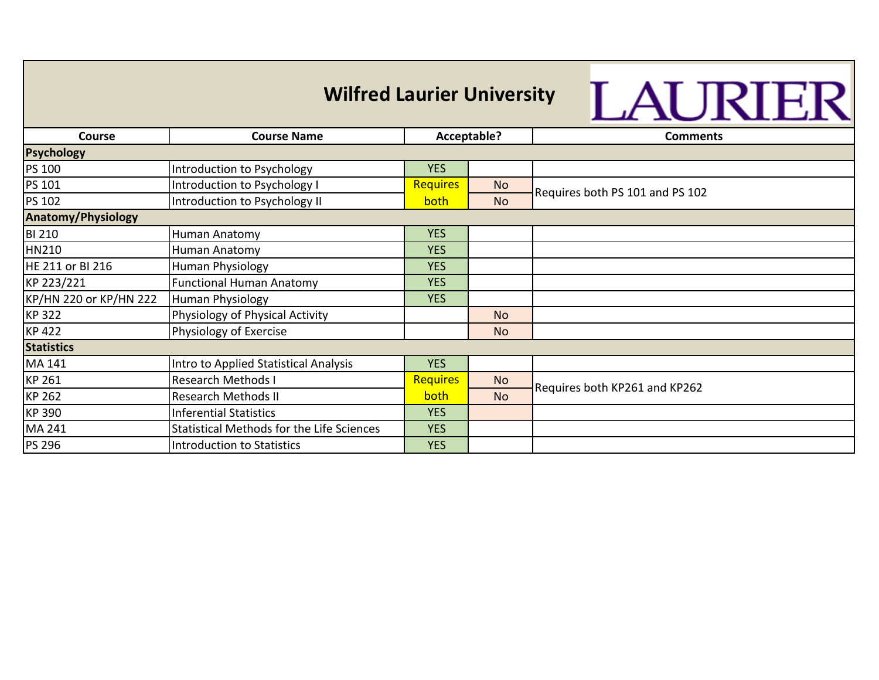| <b>Wilfred Laurier University</b><br>LAURIER |                                                  |                 |           |                                 |  |  |
|----------------------------------------------|--------------------------------------------------|-----------------|-----------|---------------------------------|--|--|
| Course                                       | <b>Course Name</b>                               | Acceptable?     |           | <b>Comments</b>                 |  |  |
| <b>Psychology</b>                            |                                                  |                 |           |                                 |  |  |
| PS 100                                       | Introduction to Psychology                       | <b>YES</b>      |           |                                 |  |  |
| PS 101                                       | Introduction to Psychology I                     | <b>Requires</b> | <b>No</b> | Requires both PS 101 and PS 102 |  |  |
| <b>PS 102</b>                                | Introduction to Psychology II                    | both            | <b>No</b> |                                 |  |  |
| <b>Anatomy/Physiology</b>                    |                                                  |                 |           |                                 |  |  |
| <b>BI 210</b>                                | Human Anatomy                                    | <b>YES</b>      |           |                                 |  |  |
| <b>HN210</b>                                 | Human Anatomy                                    | <b>YES</b>      |           |                                 |  |  |
| HE 211 or BI 216                             | Human Physiology                                 | <b>YES</b>      |           |                                 |  |  |
| KP 223/221                                   | <b>Functional Human Anatomy</b>                  | <b>YES</b>      |           |                                 |  |  |
| KP/HN 220 or KP/HN 222                       | Human Physiology                                 | <b>YES</b>      |           |                                 |  |  |
| <b>KP322</b>                                 | Physiology of Physical Activity                  |                 | <b>No</b> |                                 |  |  |
| <b>KP 422</b>                                | Physiology of Exercise                           |                 | <b>No</b> |                                 |  |  |
| <b>Statistics</b>                            |                                                  |                 |           |                                 |  |  |
| MA 141                                       | Intro to Applied Statistical Analysis            | <b>YES</b>      |           |                                 |  |  |
| <b>KP 261</b>                                | <b>Research Methods I</b>                        | <b>Requires</b> | <b>No</b> |                                 |  |  |
| <b>KP 262</b>                                | <b>Research Methods II</b>                       | both            | <b>No</b> | Requires both KP261 and KP262   |  |  |
| <b>KP390</b>                                 | <b>Inferential Statistics</b>                    | <b>YES</b>      |           |                                 |  |  |
| MA 241                                       | <b>Statistical Methods for the Life Sciences</b> | <b>YES</b>      |           |                                 |  |  |
| <b>PS 296</b>                                | Introduction to Statistics                       | <b>YES</b>      |           |                                 |  |  |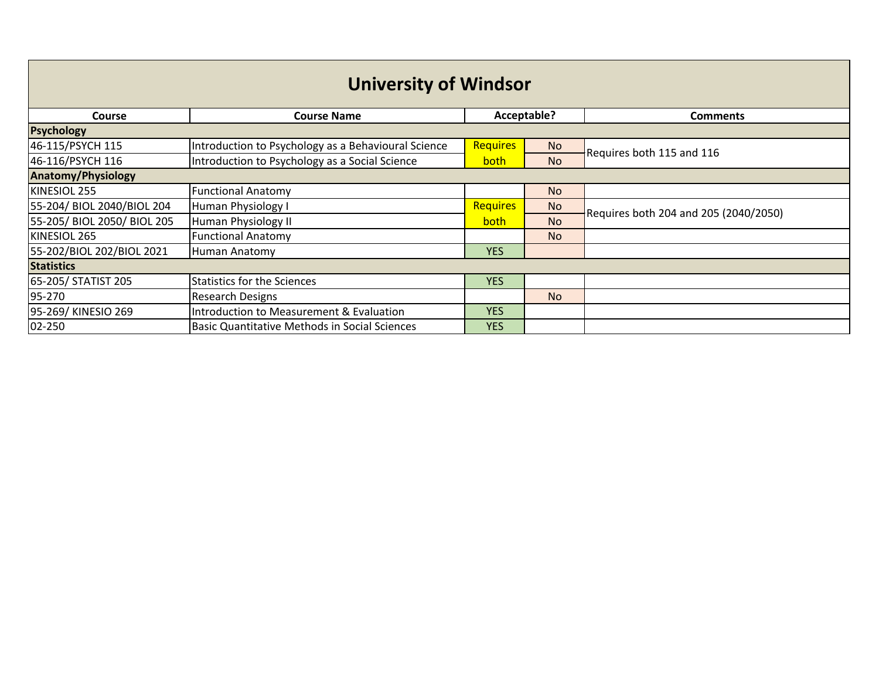| <b>University of Windsor</b> |                                                      |                 |           |                                       |  |
|------------------------------|------------------------------------------------------|-----------------|-----------|---------------------------------------|--|
| <b>Course</b>                | <b>Course Name</b>                                   | Acceptable?     |           | <b>Comments</b>                       |  |
| <b>Psychology</b>            |                                                      |                 |           |                                       |  |
| 46-115/PSYCH 115             | Introduction to Psychology as a Behavioural Science  | <b>Requires</b> | <b>No</b> | Requires both 115 and 116             |  |
| 46-116/PSYCH 116             | Introduction to Psychology as a Social Science       | <b>both</b>     | <b>No</b> |                                       |  |
| <b>Anatomy/Physiology</b>    |                                                      |                 |           |                                       |  |
| KINESIOL 255                 | <b>Functional Anatomy</b>                            |                 | <b>No</b> |                                       |  |
| 55-204/ BIOL 2040/BIOL 204   | Human Physiology I                                   | <b>Requires</b> | <b>No</b> | Requires both 204 and 205 (2040/2050) |  |
| 55-205/ BIOL 2050/ BIOL 205  | Human Physiology II                                  | both            | <b>No</b> |                                       |  |
| KINESIOL 265                 | <b>Functional Anatomy</b>                            |                 | <b>No</b> |                                       |  |
| 55-202/BIOL 202/BIOL 2021    | Human Anatomy                                        | <b>YES</b>      |           |                                       |  |
| <b>Statistics</b>            |                                                      |                 |           |                                       |  |
| 65-205/ STATIST 205          | <b>Statistics for the Sciences</b>                   | <b>YES</b>      |           |                                       |  |
| 95-270                       | <b>Research Designs</b>                              |                 | <b>No</b> |                                       |  |
| 95-269/ KINESIO 269          | Introduction to Measurement & Evaluation             | <b>YES</b>      |           |                                       |  |
| 02-250                       | <b>Basic Quantitative Methods in Social Sciences</b> | <b>YES</b>      |           |                                       |  |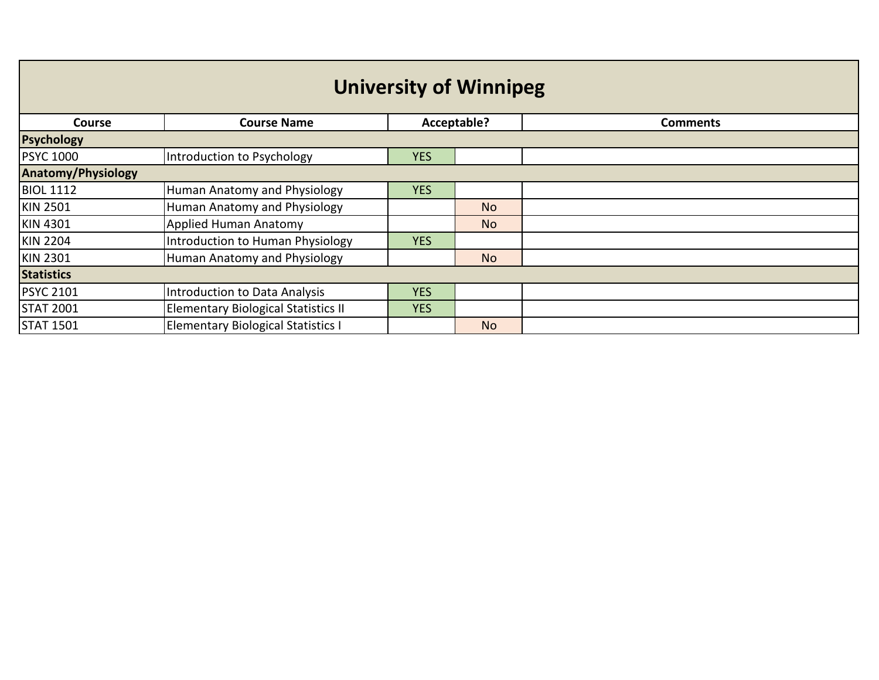| <b>University of Winnipeg</b> |                                            |             |           |                 |  |
|-------------------------------|--------------------------------------------|-------------|-----------|-----------------|--|
| <b>Course</b>                 | <b>Course Name</b>                         | Acceptable? |           | <b>Comments</b> |  |
| <b>Psychology</b>             |                                            |             |           |                 |  |
| <b>PSYC 1000</b>              | Introduction to Psychology                 | <b>YES</b>  |           |                 |  |
| <b>Anatomy/Physiology</b>     |                                            |             |           |                 |  |
| <b>BIOL 1112</b>              | Human Anatomy and Physiology               | <b>YES</b>  |           |                 |  |
| <b>KIN 2501</b>               | Human Anatomy and Physiology               |             | <b>No</b> |                 |  |
| <b>KIN 4301</b>               | <b>Applied Human Anatomy</b>               |             | <b>No</b> |                 |  |
| <b>KIN 2204</b>               | Introduction to Human Physiology           | <b>YES</b>  |           |                 |  |
| <b>KIN 2301</b>               | Human Anatomy and Physiology               |             | <b>No</b> |                 |  |
| <b>Statistics</b>             |                                            |             |           |                 |  |
| <b>PSYC 2101</b>              | Introduction to Data Analysis              | <b>YES</b>  |           |                 |  |
| <b>STAT 2001</b>              | <b>Elementary Biological Statistics II</b> | <b>YES</b>  |           |                 |  |
| <b>STAT 1501</b>              | <b>Elementary Biological Statistics I</b>  |             | <b>No</b> |                 |  |